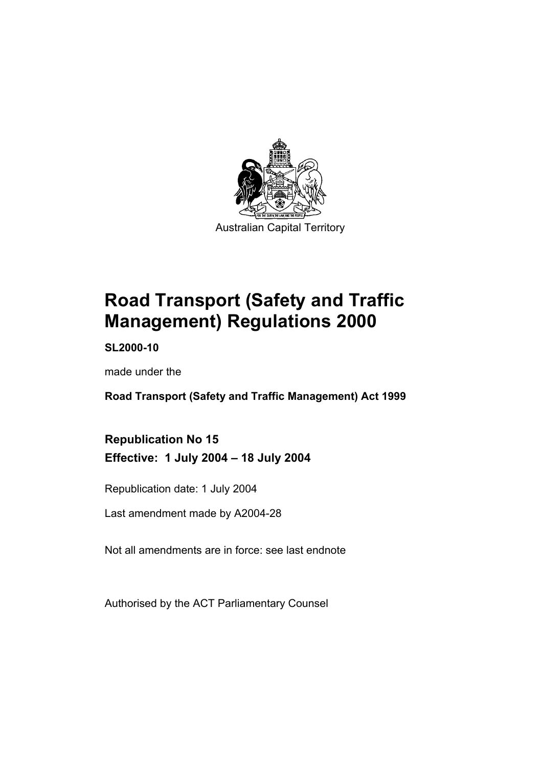

# **Road Transport (Safety and Traffic Management) Regulations 2000**

**SL2000-10** 

made under the

**Road Transport (Safety and Traffic Management) Act 1999** 

**Republication No 15 Effective: 1 July 2004 – 18 July 2004** 

Republication date: 1 July 2004

Last amendment made by A2004-28

Not all amendments are in force: see last endnote

Authorised by the ACT Parliamentary Counsel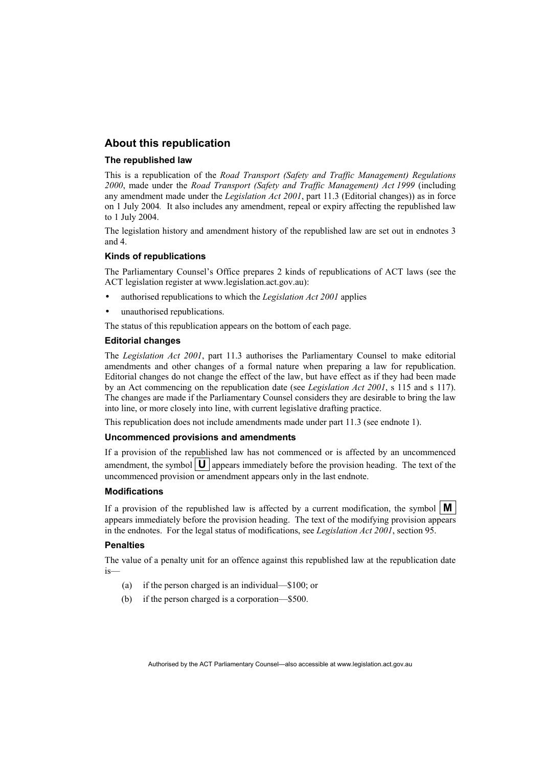#### **About this republication**

#### **The republished law**

This is a republication of the *Road Transport (Safety and Traffic Management) Regulations 2000*, made under the *Road Transport (Safety and Traffic Management) Act 1999* (including any amendment made under the *Legislation Act 2001*, part 11.3 (Editorial changes)) as in force on 1 July 2004*.* It also includes any amendment, repeal or expiry affecting the republished law to 1 July 2004.

The legislation history and amendment history of the republished law are set out in endnotes 3 and 4.

#### **Kinds of republications**

The Parliamentary Counsel's Office prepares 2 kinds of republications of ACT laws (see the ACT legislation register at www.legislation.act.gov.au):

- authorised republications to which the *Legislation Act 2001* applies
- unauthorised republications.

The status of this republication appears on the bottom of each page.

#### **Editorial changes**

The *Legislation Act 2001*, part 11.3 authorises the Parliamentary Counsel to make editorial amendments and other changes of a formal nature when preparing a law for republication. Editorial changes do not change the effect of the law, but have effect as if they had been made by an Act commencing on the republication date (see *Legislation Act 2001*, s 115 and s 117). The changes are made if the Parliamentary Counsel considers they are desirable to bring the law into line, or more closely into line, with current legislative drafting practice.

This republication does not include amendments made under part 11.3 (see endnote 1).

#### **Uncommenced provisions and amendments**

If a provision of the republished law has not commenced or is affected by an uncommenced amendment, the symbol  $\mathbf{U}$  appears immediately before the provision heading. The text of the uncommenced provision or amendment appears only in the last endnote.

#### **Modifications**

If a provision of the republished law is affected by a current modification, the symbol  $\mathbf{M}$ appears immediately before the provision heading. The text of the modifying provision appears in the endnotes. For the legal status of modifications, see *Legislation Act 2001*, section 95.

#### **Penalties**

The value of a penalty unit for an offence against this republished law at the republication date is—

- (a) if the person charged is an individual—\$100; or
- (b) if the person charged is a corporation—\$500.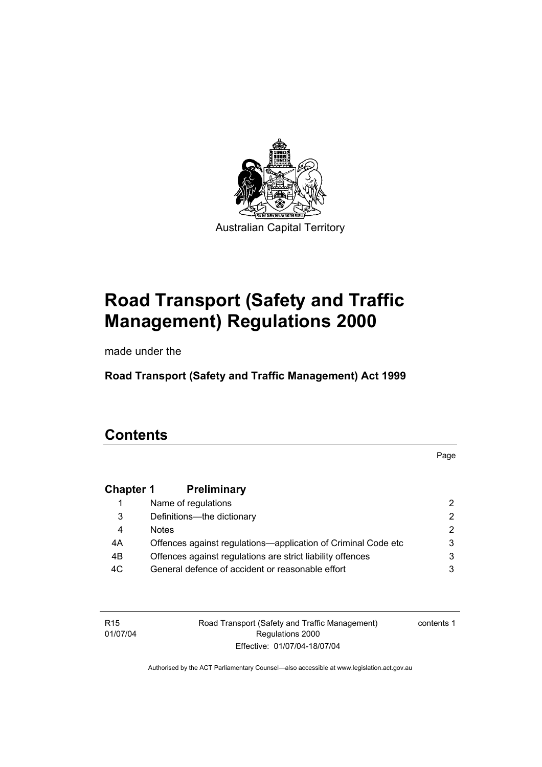

# **Road Transport (Safety and Traffic Management) Regulations 2000**

made under the

**Road Transport (Safety and Traffic Management) Act 1999** 

# **Contents**

Page

## **Chapter 1 Preliminary**

|     | Name of regulations                                           |               |
|-----|---------------------------------------------------------------|---------------|
| 3   | Definitions--- the dictionary                                 | 2.            |
| 4   | <b>Notes</b>                                                  | $\mathcal{P}$ |
| 4A  | Offences against regulations—application of Criminal Code etc | 3             |
| 4B  | Offences against regulations are strict liability offences    | 3             |
| 4C. | General defence of accident or reasonable effort              |               |

R15 01/07/04 Road Transport (Safety and Traffic Management) Regulations 2000 Effective: 01/07/04-18/07/04

contents 1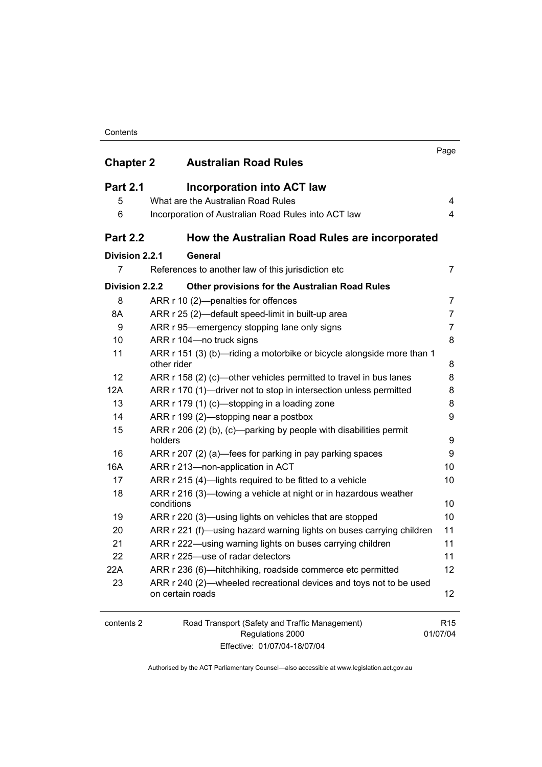#### **Contents**

| <b>Chapter 2</b> | <b>Australian Road Rules</b>                                                           | Page                        |
|------------------|----------------------------------------------------------------------------------------|-----------------------------|
| <b>Part 2.1</b>  | <b>Incorporation into ACT law</b>                                                      |                             |
| 5                | What are the Australian Road Rules                                                     | 4                           |
| 6                | Incorporation of Australian Road Rules into ACT law                                    | 4                           |
| <b>Part 2.2</b>  | How the Australian Road Rules are incorporated                                         |                             |
| Division 2.2.1   | General                                                                                |                             |
| $\overline{7}$   | References to another law of this jurisdiction etc                                     | $\overline{7}$              |
| Division 2.2.2   | Other provisions for the Australian Road Rules                                         |                             |
| 8                | ARR r 10 (2)-penalties for offences                                                    | 7                           |
| 8A               | ARR r 25 (2)—default speed-limit in built-up area                                      | 7                           |
| 9                | ARR r 95—emergency stopping lane only signs                                            | 7                           |
| 10               | ARR r 104-no truck signs                                                               | 8                           |
| 11               | ARR r 151 (3) (b)-riding a motorbike or bicycle alongside more than 1<br>other rider   | 8                           |
| 12               | ARR r 158 (2) (c)—other vehicles permitted to travel in bus lanes                      | 8                           |
| 12A              | ARR r 170 (1)—driver not to stop in intersection unless permitted                      | 8                           |
| 13               | ARR r 179 (1) (c)—stopping in a loading zone                                           | 8                           |
| 14               | ARR r 199 (2)—stopping near a postbox                                                  | 9                           |
| 15               | ARR r 206 (2) (b), (c)-parking by people with disabilities permit<br>holders           | 9                           |
| 16               | ARR r 207 (2) (a)—fees for parking in pay parking spaces                               | 9                           |
| 16A              | ARR r 213-non-application in ACT                                                       | 10                          |
| 17               | ARR r 215 (4)—lights required to be fitted to a vehicle                                | 10                          |
| 18               | ARR r 216 (3)—towing a vehicle at night or in hazardous weather<br>conditions          | 10                          |
| 19               | ARR r 220 (3)—using lights on vehicles that are stopped                                | 10                          |
| 20               | ARR r 221 (f)—using hazard warning lights on buses carrying children                   | 11                          |
| 21               | ARR r 222-using warning lights on buses carrying children                              | 11                          |
| 22               | ARR r 225-use of radar detectors                                                       | 11                          |
| 22A              | ARR r 236 (6)—hitchhiking, roadside commerce etc permitted                             | 12                          |
| 23               | ARR r 240 (2)—wheeled recreational devices and toys not to be used<br>on certain roads | 12                          |
| contents 2       | Road Transport (Safety and Traffic Management)<br>Regulations 2000                     | R <sub>15</sub><br>01/07/04 |

Effective: 01/07/04-18/07/04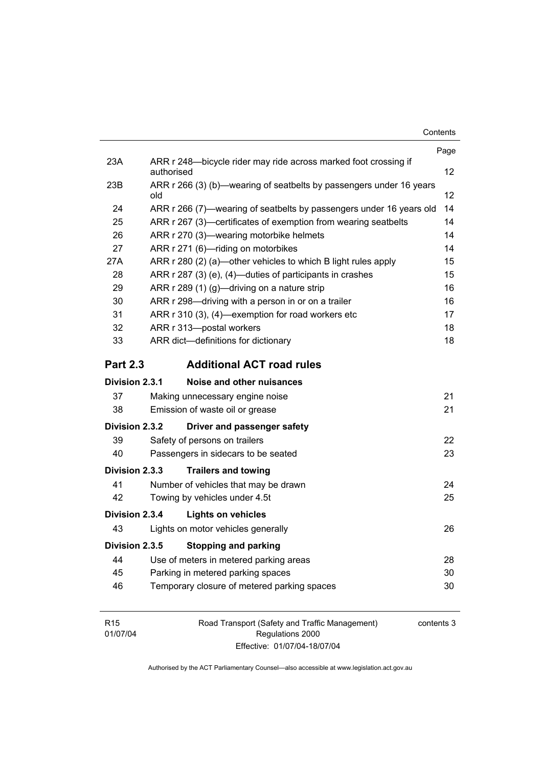**Contents** 

|                 |                                                                               | Page |
|-----------------|-------------------------------------------------------------------------------|------|
| 23A             | ARR r 248—bicycle rider may ride across marked foot crossing if<br>authorised | 12   |
| 23B             | ARR r 266 (3) (b)—wearing of seatbelts by passengers under 16 years<br>old    | 12   |
| 24              | ARR r 266 (7)—wearing of seatbelts by passengers under 16 years old           | 14   |
| 25              | ARR r 267 (3)—certificates of exemption from wearing seatbelts                | 14   |
| 26              | ARR r 270 (3)—wearing motorbike helmets                                       | 14   |
| 27              | ARR r 271 (6)-riding on motorbikes                                            | 14   |
| 27A             | ARR r 280 (2) (a)—other vehicles to which B light rules apply                 | 15   |
| 28              | ARR r 287 (3) (e), (4)—duties of participants in crashes                      | 15   |
| 29              | ARR r 289 (1) (g)—driving on a nature strip                                   | 16   |
| 30              | ARR r 298-driving with a person in or on a trailer                            | 16   |
| 31              | ARR r 310 (3), (4)-exemption for road workers etc                             | 17   |
| 32              | ARR r 313-postal workers                                                      | 18   |
| 33              | ARR dict-definitions for dictionary                                           | 18   |
| <b>Part 2.3</b> | <b>Additional ACT road rules</b>                                              |      |
| Division 2.3.1  | Noise and other nuisances                                                     |      |
| 37              | Making unnecessary engine noise                                               | 21   |
| 38              | Emission of waste oil or grease                                               | 21   |
| Division 2.3.2  | Driver and passenger safety                                                   |      |
| 39              | Safety of persons on trailers                                                 | 22   |
| 40              | Passengers in sidecars to be seated                                           | 23   |
| Division 2.3.3  | <b>Trailers and towing</b>                                                    |      |
| 41              | Number of vehicles that may be drawn                                          | 24   |
| 42              | Towing by vehicles under 4.5t                                                 | 25   |
| Division 2.3.4  | <b>Lights on vehicles</b>                                                     |      |
| 43              | Lights on motor vehicles generally                                            | 26   |
| Division 2.3.5  | <b>Stopping and parking</b>                                                   |      |
| 44              | Use of meters in metered parking areas                                        | 28   |
| 45              |                                                                               | 30   |
|                 | Parking in metered parking spaces                                             |      |
| 46              | Temporary closure of metered parking spaces                                   | 30   |

| R <sub>15</sub> | Road Transport (Safety and Traffic Management) | contents 3 |
|-----------------|------------------------------------------------|------------|
| 01/07/04        | Regulations 2000                               |            |
|                 | Effective: 01/07/04-18/07/04                   |            |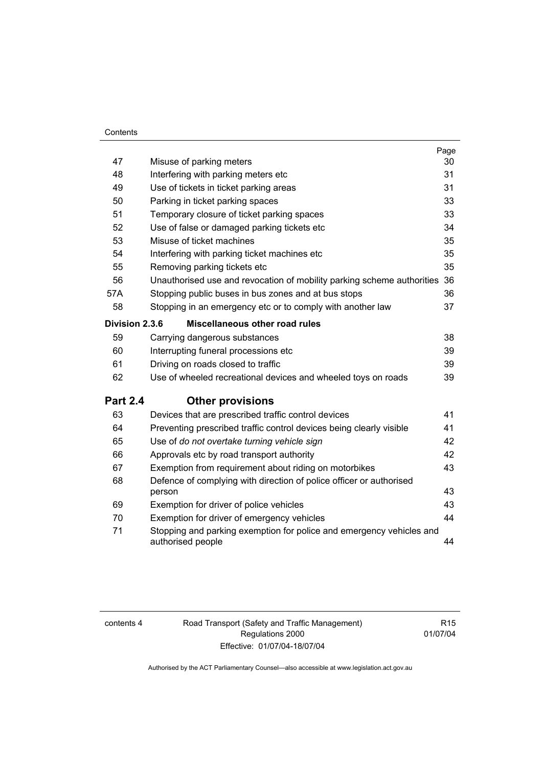#### **Contents**

| 47              | Misuse of parking meters                                                                  | Page<br>30 |
|-----------------|-------------------------------------------------------------------------------------------|------------|
| 48              | Interfering with parking meters etc                                                       | 31         |
| 49              | Use of tickets in ticket parking areas                                                    | 31         |
| 50              | Parking in ticket parking spaces                                                          | 33         |
| 51              | Temporary closure of ticket parking spaces                                                | 33         |
| 52              | Use of false or damaged parking tickets etc                                               | 34         |
| 53              | Misuse of ticket machines                                                                 | 35         |
| 54              | Interfering with parking ticket machines etc                                              | 35         |
| 55              | Removing parking tickets etc                                                              | 35         |
| 56              | Unauthorised use and revocation of mobility parking scheme authorities                    | 36         |
| 57A             | Stopping public buses in bus zones and at bus stops                                       | 36         |
| 58              | Stopping in an emergency etc or to comply with another law                                | 37         |
| Division 2.3.6  | Miscellaneous other road rules                                                            |            |
| 59              | Carrying dangerous substances                                                             | 38         |
| 60              | Interrupting funeral processions etc                                                      | 39         |
| 61              | Driving on roads closed to traffic                                                        | 39         |
| 62              | Use of wheeled recreational devices and wheeled toys on roads                             | 39         |
| <b>Part 2.4</b> | <b>Other provisions</b>                                                                   |            |
| 63              | Devices that are prescribed traffic control devices                                       | 41         |
| 64              | Preventing prescribed traffic control devices being clearly visible                       | 41         |
| 65              | Use of do not overtake turning vehicle sign                                               | 42         |
| 66              | Approvals etc by road transport authority                                                 | 42         |
| 67              | Exemption from requirement about riding on motorbikes                                     | 43         |
| 68              | Defence of complying with direction of police officer or authorised<br>person             | 43         |
| 69              | Exemption for driver of police vehicles                                                   | 43         |
| 70              | Exemption for driver of emergency vehicles                                                | 44         |
| 71              | Stopping and parking exemption for police and emergency vehicles and<br>authorised people | 44         |

contents 4 Road Transport (Safety and Traffic Management) Regulations 2000 Effective: 01/07/04-18/07/04

R15 01/07/04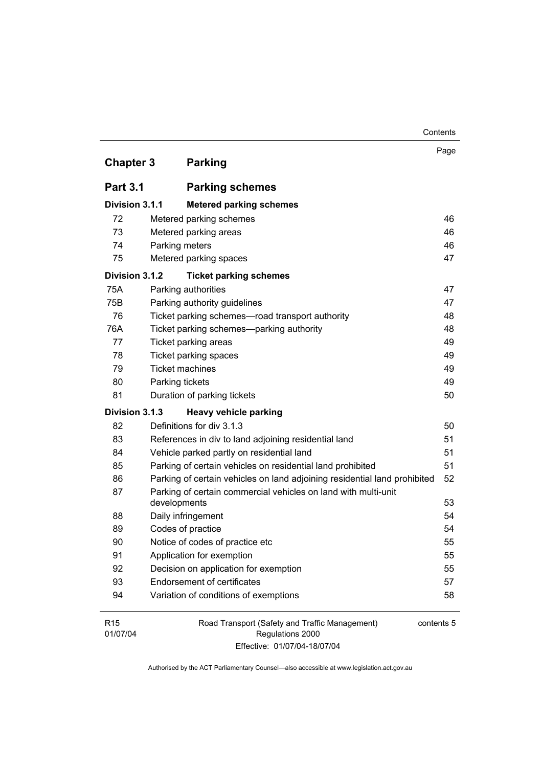| <b>Chapter 3</b><br><b>Parking</b><br><b>Part 3.1</b><br><b>Parking schemes</b><br>Division 3.1.1<br><b>Metered parking schemes</b><br>72<br>Metered parking schemes<br>73<br>Metered parking areas | Page                                                                      |    |
|-----------------------------------------------------------------------------------------------------------------------------------------------------------------------------------------------------|---------------------------------------------------------------------------|----|
|                                                                                                                                                                                                     |                                                                           |    |
|                                                                                                                                                                                                     |                                                                           |    |
|                                                                                                                                                                                                     |                                                                           |    |
|                                                                                                                                                                                                     |                                                                           |    |
|                                                                                                                                                                                                     |                                                                           | 46 |
|                                                                                                                                                                                                     |                                                                           | 46 |
| Parking meters<br>74                                                                                                                                                                                |                                                                           | 46 |
| 75<br>Metered parking spaces                                                                                                                                                                        |                                                                           | 47 |
| Division 3.1.2<br><b>Ticket parking schemes</b>                                                                                                                                                     |                                                                           |    |
| 75A<br>Parking authorities                                                                                                                                                                          |                                                                           | 47 |
| 75B<br>Parking authority guidelines                                                                                                                                                                 |                                                                           | 47 |
| 76<br>Ticket parking schemes-road transport authority                                                                                                                                               |                                                                           | 48 |
| 76A<br>Ticket parking schemes-parking authority                                                                                                                                                     |                                                                           | 48 |
| Ticket parking areas<br>77                                                                                                                                                                          |                                                                           | 49 |
| 78<br>Ticket parking spaces                                                                                                                                                                         |                                                                           | 49 |
| <b>Ticket machines</b><br>79                                                                                                                                                                        |                                                                           | 49 |
| 80<br>Parking tickets                                                                                                                                                                               |                                                                           | 49 |
| 81<br>Duration of parking tickets                                                                                                                                                                   |                                                                           | 50 |
| Division 3.1.3<br><b>Heavy vehicle parking</b>                                                                                                                                                      |                                                                           |    |
| Definitions for div 3.1.3<br>82                                                                                                                                                                     |                                                                           | 50 |
| 83<br>References in div to land adjoining residential land                                                                                                                                          |                                                                           | 51 |
| 84<br>Vehicle parked partly on residential land                                                                                                                                                     |                                                                           | 51 |
| 85<br>Parking of certain vehicles on residential land prohibited                                                                                                                                    |                                                                           | 51 |
| 86                                                                                                                                                                                                  | Parking of certain vehicles on land adjoining residential land prohibited | 52 |
| 87<br>Parking of certain commercial vehicles on land with multi-unit<br>developments                                                                                                                |                                                                           | 53 |
| Daily infringement<br>88                                                                                                                                                                            |                                                                           | 54 |
| 89<br>Codes of practice                                                                                                                                                                             |                                                                           | 54 |
| 90<br>Notice of codes of practice etc                                                                                                                                                               |                                                                           | 55 |
| 91<br>Application for exemption                                                                                                                                                                     |                                                                           | 55 |
| 92<br>Decision on application for exemption                                                                                                                                                         |                                                                           | 55 |
| 93<br><b>Endorsement of certificates</b>                                                                                                                                                            |                                                                           | 57 |
| Variation of conditions of exemptions<br>94                                                                                                                                                         |                                                                           | 58 |
| R <sub>15</sub><br>01/07/04<br>Regulations 2000                                                                                                                                                     | Road Transport (Safety and Traffic Management)<br>contents 5              |    |

Effective: 01/07/04-18/07/04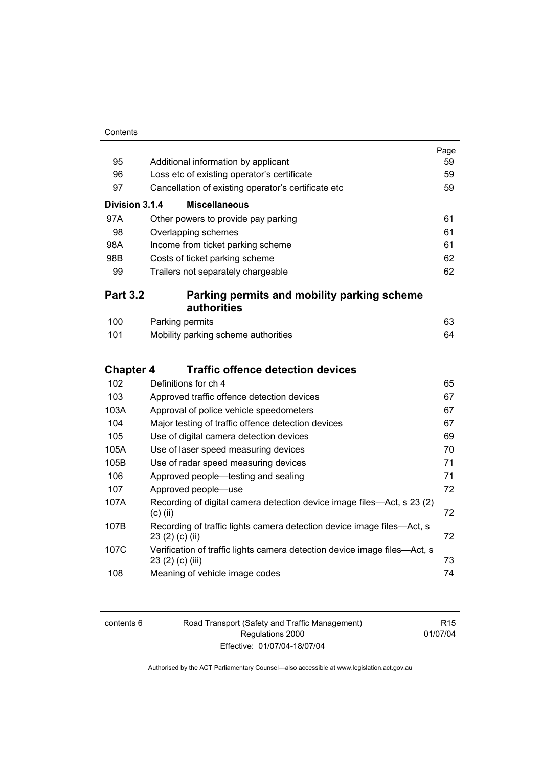| Contents |
|----------|
|          |

|                  |                                                                                               | Page |
|------------------|-----------------------------------------------------------------------------------------------|------|
| 95               | Additional information by applicant                                                           | 59   |
| 96               | Loss etc of existing operator's certificate                                                   | 59   |
| 97               | Cancellation of existing operator's certificate etc                                           | 59   |
| Division 3.1.4   | <b>Miscellaneous</b>                                                                          |      |
| 97A              | Other powers to provide pay parking                                                           | 61   |
| 98               | Overlapping schemes                                                                           | 61   |
| 98A              | Income from ticket parking scheme                                                             | 61   |
| 98B              | Costs of ticket parking scheme                                                                | 62   |
| 99               | Trailers not separately chargeable                                                            | 62   |
| <b>Part 3.2</b>  | Parking permits and mobility parking scheme                                                   |      |
|                  | authorities                                                                                   |      |
| 100              | Parking permits                                                                               | 63   |
| 101              | Mobility parking scheme authorities                                                           | 64   |
|                  |                                                                                               |      |
| <b>Chapter 4</b> | <b>Traffic offence detection devices</b>                                                      |      |
| 102              | Definitions for ch 4                                                                          | 65   |
| 103              | Approved traffic offence detection devices                                                    | 67   |
| 103A             | Approval of police vehicle speedometers                                                       | 67   |
| 104              | Major testing of traffic offence detection devices                                            | 67   |
| 105              | Use of digital camera detection devices                                                       | 69   |
| 105A             | Use of laser speed measuring devices                                                          | 70   |
| 105B             | Use of radar speed measuring devices                                                          | 71   |
| 106              | Approved people—testing and sealing                                                           | 71   |
| 107              | Approved people-use                                                                           | 72   |
| 107A             | Recording of digital camera detection device image files—Act, s 23 (2)<br>$(c)$ (ii)          | 72   |
| 107B             | Recording of traffic lights camera detection device image files—Act, s<br>23 (2) (c) (ii)     | 72   |
| 107C             | Verification of traffic lights camera detection device image files-Act, s<br>23 (2) (c) (iii) | 73   |
| 108              | Meaning of vehicle image codes                                                                | 74   |

6 Road Transport (Safety and Traffic Management) Regulations 2000 Effective: 01/07/04-18/07/04

R15 01/07/04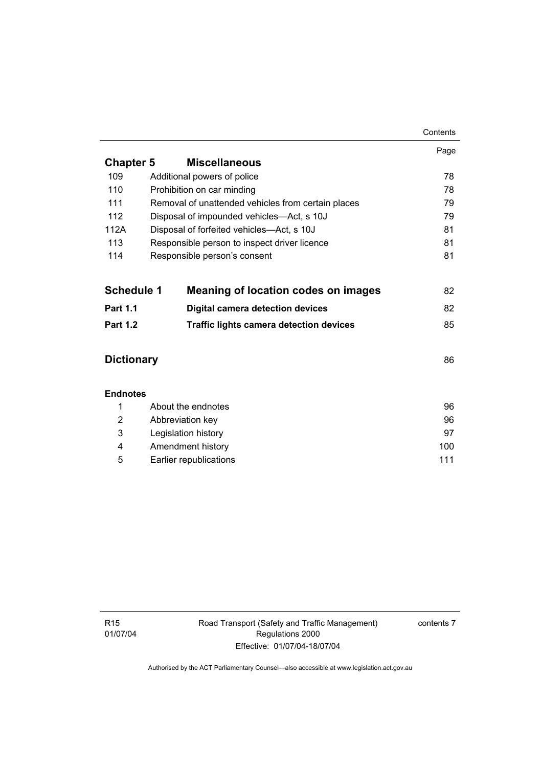|                                                                   |                                                    | Contents |
|-------------------------------------------------------------------|----------------------------------------------------|----------|
|                                                                   |                                                    | Page     |
| <b>Chapter 5</b>                                                  | <b>Miscellaneous</b>                               |          |
| 109                                                               | Additional powers of police                        | 78       |
| 110                                                               | Prohibition on car minding                         | 78       |
| 111                                                               | Removal of unattended vehicles from certain places | 79       |
| 112                                                               | Disposal of impounded vehicles—Act, s 10J          | 79       |
| 112A                                                              | Disposal of forfeited vehicles—Act, s 10J          | 81       |
| 113                                                               | Responsible person to inspect driver licence       | 81       |
| 114                                                               | Responsible person's consent                       | 81       |
|                                                                   |                                                    |          |
| <b>Schedule 1</b>                                                 | <b>Meaning of location codes on images</b>         | 82       |
| <b>Part 1.1</b>                                                   | <b>Digital camera detection devices</b>            | 82       |
| <b>Part 1.2</b><br><b>Traffic lights camera detection devices</b> |                                                    | 85       |
|                                                                   |                                                    |          |
| <b>Dictionary</b>                                                 |                                                    | 86       |
|                                                                   |                                                    |          |
| <b>Endnotes</b>                                                   |                                                    |          |
| 1                                                                 | About the endnotes                                 | 96       |
| 2                                                                 | 96<br>Abbreviation key                             |          |
| 3                                                                 | Legislation history                                | 97       |
| 4                                                                 | Amendment history<br>100                           |          |

5 Earlier republications 111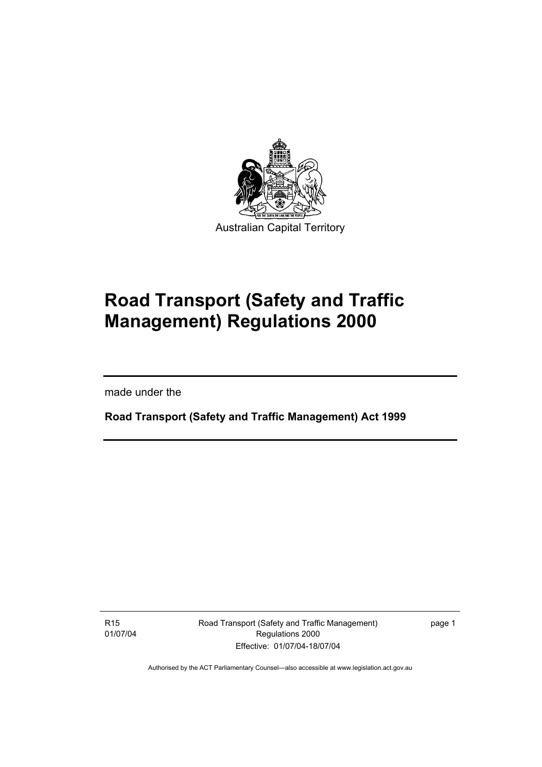

# **Road Transport (Safety and Traffic Management) Regulations 2000**

made under the

I

**Road Transport (Safety and Traffic Management) Act 1999** 

R15 01/07/04 Road Transport (Safety and Traffic Management) Regulations 2000 Effective: 01/07/04-18/07/04

page 1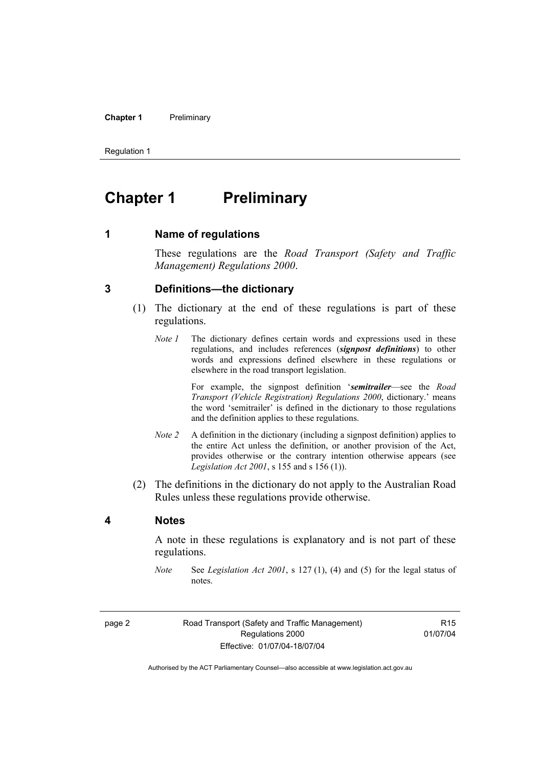#### **Chapter 1** Preliminary

Regulation 1

# **Chapter 1** Preliminary

**1 Name of regulations** 

These regulations are the *Road Transport (Safety and Traffic Management) Regulations 2000*.

#### **3 Definitions—the dictionary**

- (1) The dictionary at the end of these regulations is part of these regulations.
	- *Note 1* The dictionary defines certain words and expressions used in these regulations, and includes references (*signpost definitions*) to other words and expressions defined elsewhere in these regulations or elsewhere in the road transport legislation.

 For example, the signpost definition '*semitrailer*—see the *Road Transport (Vehicle Registration) Regulations 2000*, dictionary.' means the word 'semitrailer' is defined in the dictionary to those regulations and the definition applies to these regulations.

- *Note 2* A definition in the dictionary (including a signpost definition) applies to the entire Act unless the definition, or another provision of the Act, provides otherwise or the contrary intention otherwise appears (see *Legislation Act 2001*, s 155 and s 156 (1)).
- (2) The definitions in the dictionary do not apply to the Australian Road Rules unless these regulations provide otherwise.

#### **4 Notes**

A note in these regulations is explanatory and is not part of these regulations.

*Note* See *Legislation Act 2001*, s 127 (1), (4) and (5) for the legal status of notes.

page 2 Road Transport (Safety and Traffic Management) Regulations 2000 Effective: 01/07/04-18/07/04

R15 01/07/04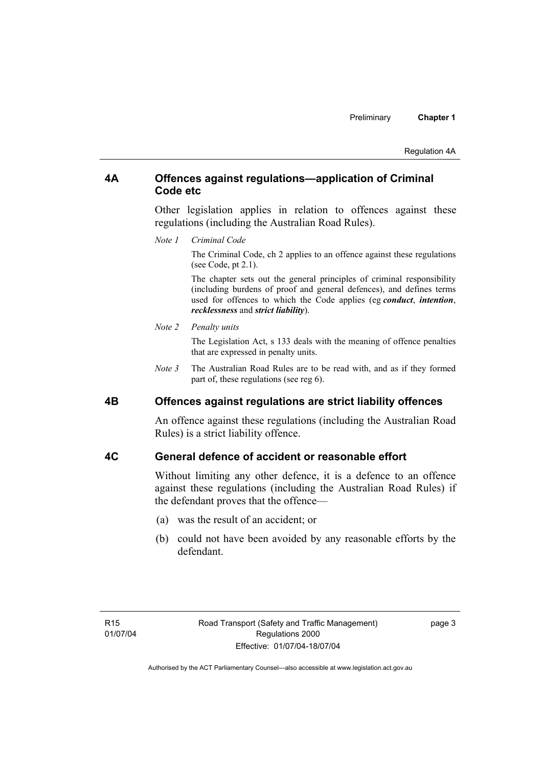#### **4A Offences against regulations—application of Criminal Code etc**

Other legislation applies in relation to offences against these regulations (including the Australian Road Rules).

*Note 1 Criminal Code*

The Criminal Code, ch 2 applies to an offence against these regulations (see Code, pt 2.1).

The chapter sets out the general principles of criminal responsibility (including burdens of proof and general defences), and defines terms used for offences to which the Code applies (eg *conduct*, *intention*, *recklessness* and *strict liability*).

#### *Note 2 Penalty units*

The Legislation Act, s 133 deals with the meaning of offence penalties that are expressed in penalty units.

*Note 3* The Australian Road Rules are to be read with, and as if they formed part of, these regulations (see reg 6).

#### **4B Offences against regulations are strict liability offences**

An offence against these regulations (including the Australian Road Rules) is a strict liability offence.

#### **4C General defence of accident or reasonable effort**

Without limiting any other defence, it is a defence to an offence against these regulations (including the Australian Road Rules) if the defendant proves that the offence—

- (a) was the result of an accident; or
- (b) could not have been avoided by any reasonable efforts by the defendant.

page 3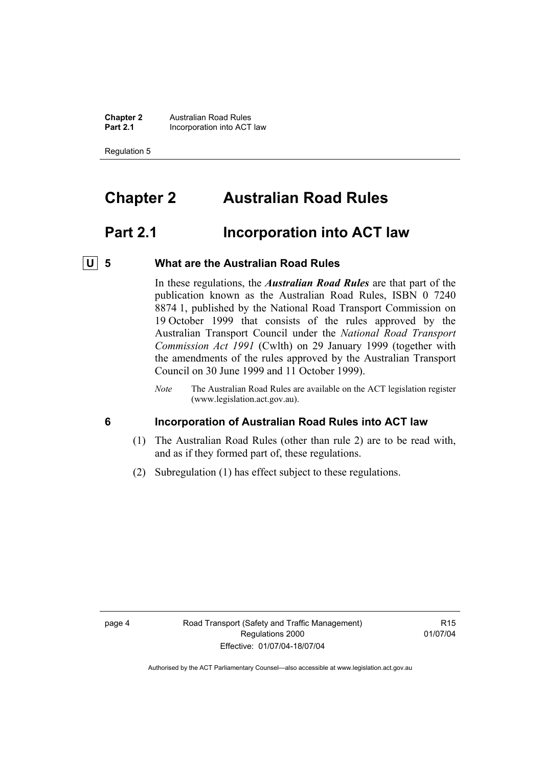**Chapter 2 Australian Road Rules**<br>**Part 2.1 Incorporation into ACT Incorporation into ACT law** 

Regulation 5

# **Chapter 2 Australian Road Rules**

## **Part 2.1 Incorporation into ACT law**

#### **U 5 What are the Australian Road Rules**

In these regulations, the *Australian Road Rules* are that part of the publication known as the Australian Road Rules, ISBN 0 7240 8874 1, published by the National Road Transport Commission on 19 October 1999 that consists of the rules approved by the Australian Transport Council under the *National Road Transport Commission Act 1991* (Cwlth) on 29 January 1999 (together with the amendments of the rules approved by the Australian Transport Council on 30 June 1999 and 11 October 1999).

#### **6 Incorporation of Australian Road Rules into ACT law**

- (1) The Australian Road Rules (other than rule 2) are to be read with, and as if they formed part of, these regulations.
- (2) Subregulation (1) has effect subject to these regulations.

R15 01/07/04

*Note* The Australian Road Rules are available on the ACT legislation register (www.legislation.act.gov.au).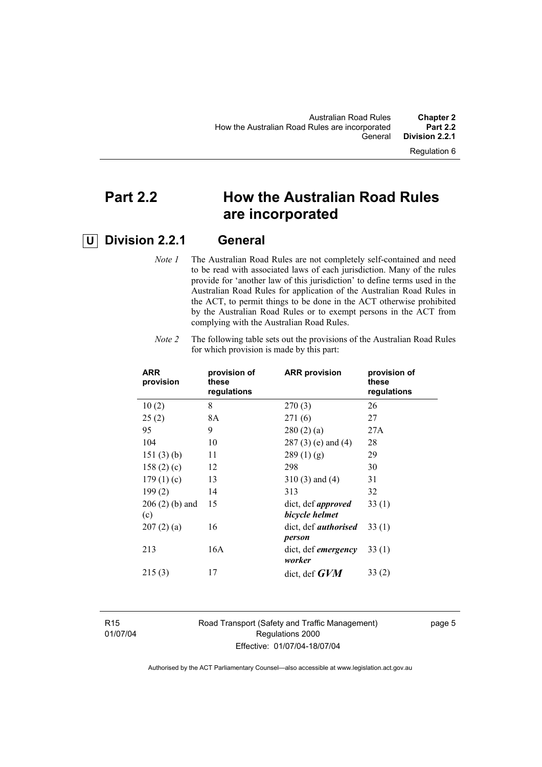# **Part 2.2 How the Australian Road Rules are incorporated**

#### **U Division 2.2.1 General**

*Note 1* The Australian Road Rules are not completely self-contained and need to be read with associated laws of each jurisdiction. Many of the rules provide for 'another law of this jurisdiction' to define terms used in the Australian Road Rules for application of the Australian Road Rules in the ACT, to permit things to be done in the ACT otherwise prohibited by the Australian Road Rules or to exempt persons in the ACT from complying with the Australian Road Rules.

| <b>ARR</b><br>provision | provision of<br>these<br>regulations | <b>ARR provision</b>                        | provision of<br>these<br>regulations |
|-------------------------|--------------------------------------|---------------------------------------------|--------------------------------------|
| 10(2)                   | 8                                    | 270(3)                                      | 26                                   |
| 25(2)                   | 8A                                   | 271 (6)                                     | 27                                   |
| 95                      | 9                                    | 280(2)(a)                                   | 27A                                  |
| 104                     | 10                                   | $287(3)$ (e) and (4)                        | 28                                   |
| 151 $(3)$ $(b)$         | 11                                   | 289(1)(g)                                   | 29                                   |
| 158 $(2)$ $(c)$         | 12                                   | 298                                         | 30                                   |
| 179(1)(c)               | 13                                   | $310(3)$ and $(4)$                          | 31                                   |
| 199(2)                  | 14                                   | 313                                         | 32                                   |
| $206(2)$ (b) and<br>(c) | 15                                   | dict, def <i>approved</i><br>bicycle helmet | 33(1)                                |
| 207(2)(a)               | 16                                   | dict, def <i>authorised</i><br>person       | 33 (1)                               |
| 213                     | 16A                                  | dict, def <i>emergency</i><br>worker        | 33(1)                                |
| 215(3)                  | 17                                   | dict, def $GVM$                             | 33(2)                                |

*Note 2* The following table sets out the provisions of the Australian Road Rules for which provision is made by this part:

R15 01/07/04 Road Transport (Safety and Traffic Management) Regulations 2000 Effective: 01/07/04-18/07/04

page 5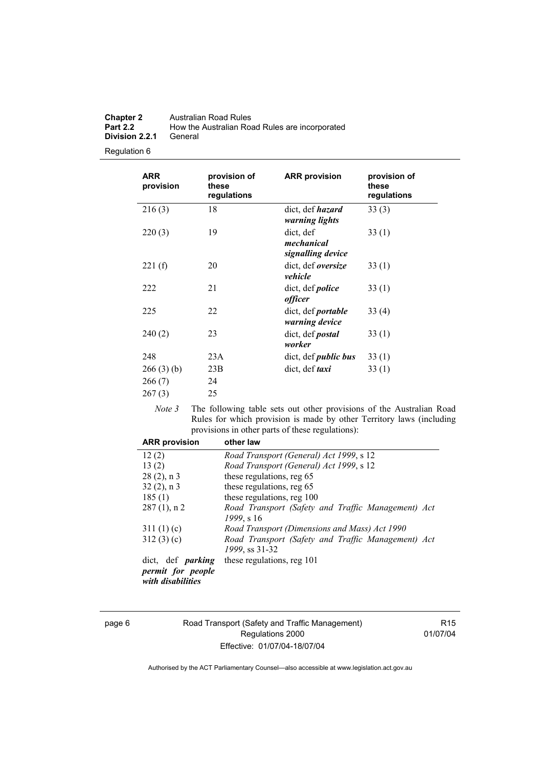| <b>Chapter 2</b> | Australian Road Rules                          |
|------------------|------------------------------------------------|
| <b>Part 2.2</b>  | How the Australian Road Rules are incorporated |
| Division 2.2.1   | General                                        |

| ARR<br>provision              | provision of<br>these<br>regulations | <b>ARR provision</b>                         | provision of<br>these<br>regulations |
|-------------------------------|--------------------------------------|----------------------------------------------|--------------------------------------|
| 216(3)                        | 18                                   | dict, def <i>hazard</i><br>warning lights    | 33(3)                                |
| 220(3)                        | 19                                   | dict, def<br>mechanical<br>signalling device | 33(1)                                |
| 221(f)                        | 20                                   | dict, def oversize<br>vehicle                | 33(1)                                |
| 222                           | 21                                   | dict, def <i>police</i><br>officer           | 33(1)                                |
| 225                           | 22                                   | dict, def portable<br>warning device         | 33(4)                                |
| 240(2)                        | 23                                   | dict, def <i>postal</i><br>worker            | 33(1)                                |
| 248                           | 23A                                  | dict, def <i>public bus</i>                  | 33 (1)                               |
| 266(3)(b)<br>266(7)<br>267(3) | 23B<br>24<br>25                      | dict, def <i>taxi</i>                        | 33(1)                                |

*Note 3* The following table sets out other provisions of the Australian Road Rules for which provision is made by other Territory laws (including provisions in other parts of these regulations):

| <b>ARR provision</b>                   | other law                                          |  |
|----------------------------------------|----------------------------------------------------|--|
| 12(2)                                  | Road Transport (General) Act 1999, s 12            |  |
| 13(2)                                  | Road Transport (General) Act 1999, s 12            |  |
| $28(2)$ , n 3                          | these regulations, reg 65                          |  |
| $32(2)$ , n 3                          | these regulations, reg 65                          |  |
| 185(1)                                 | these regulations, reg 100                         |  |
| $287(1)$ , n 2                         | Road Transport (Safety and Traffic Management) Act |  |
|                                        | 1999, s 16                                         |  |
| 311(1)(c)                              | Road Transport (Dimensions and Mass) Act 1990      |  |
| 312(3)(c)                              | Road Transport (Safety and Traffic Management) Act |  |
|                                        | 1999, ss 31-32                                     |  |
| dict, def <i>parking</i>               | these regulations, reg 101                         |  |
| permit for people<br>with disabilities |                                                    |  |

page 6 Road Transport (Safety and Traffic Management) Regulations 2000 Effective: 01/07/04-18/07/04

R15 01/07/04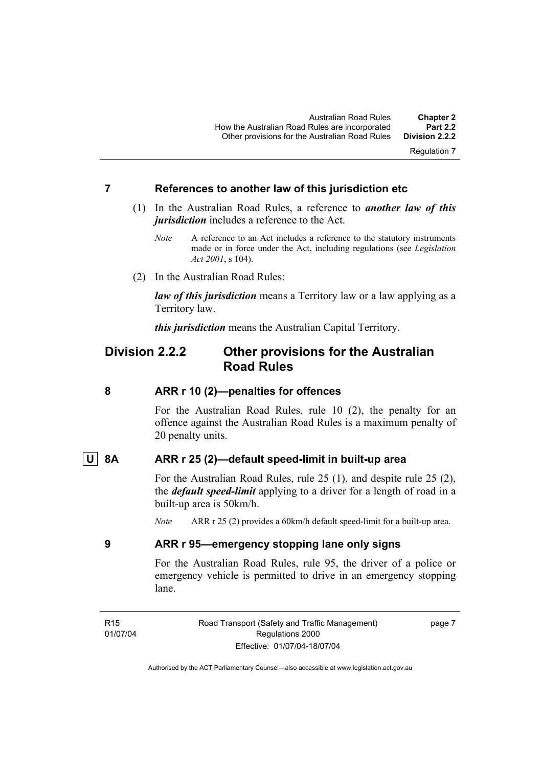#### **7 References to another law of this jurisdiction etc**

- (1) In the Australian Road Rules, a reference to *another law of this jurisdiction* includes a reference to the Act.
	- *Note* A reference to an Act includes a reference to the statutory instruments made or in force under the Act, including regulations (see *Legislation Act 2001*, s 104).
- (2) In the Australian Road Rules:

*law of this jurisdiction* means a Territory law or a law applying as a Territory law.

*this jurisdiction* means the Australian Capital Territory.

### **Division 2.2.2 Other provisions for the Australian Road Rules**

#### **8 ARR r 10 (2)—penalties for offences**

For the Australian Road Rules, rule 10 (2), the penalty for an offence against the Australian Road Rules is a maximum penalty of 20 penalty units.

#### **U 8A ARR r 25 (2)—default speed-limit in built-up area**

For the Australian Road Rules, rule 25 (1), and despite rule 25 (2), the *default speed-limit* applying to a driver for a length of road in a built-up area is 50km/h.

*Note* ARR r 25 (2) provides a 60km/h default speed-limit for a built-up area.

#### **9 ARR r 95—emergency stopping lane only signs**

For the Australian Road Rules, rule 95, the driver of a police or emergency vehicle is permitted to drive in an emergency stopping lane.

page 7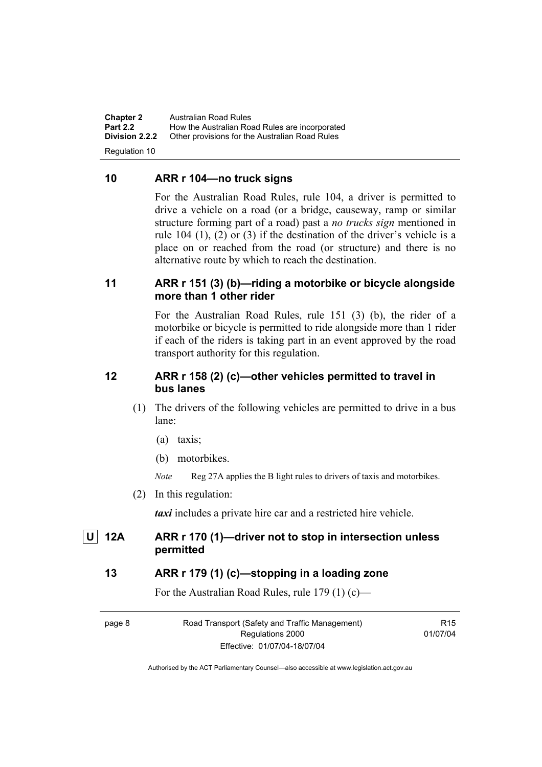**Chapter 2** Australian Road Rules<br>**Part 2.2** How the Australian Ro **Part 2.2 How the Australian Road Rules are incorporated Division 2.2.2** Other provisions for the Australian Road Rules **Other provisions for the Australian Road Rules** Regulation 10

#### **10 ARR r 104—no truck signs**

For the Australian Road Rules, rule 104, a driver is permitted to drive a vehicle on a road (or a bridge, causeway, ramp or similar structure forming part of a road) past a *no trucks sign* mentioned in rule 104 (1), (2) or (3) if the destination of the driver's vehicle is a place on or reached from the road (or structure) and there is no alternative route by which to reach the destination.

#### **11 ARR r 151 (3) (b)—riding a motorbike or bicycle alongside more than 1 other rider**

For the Australian Road Rules, rule 151 (3) (b), the rider of a motorbike or bicycle is permitted to ride alongside more than 1 rider if each of the riders is taking part in an event approved by the road transport authority for this regulation.

#### **12 ARR r 158 (2) (c)—other vehicles permitted to travel in bus lanes**

- (1) The drivers of the following vehicles are permitted to drive in a bus lane:
	- (a) taxis;
	- (b) motorbikes.
	- *Note* Reg 27A applies the B light rules to drivers of taxis and motorbikes.
- (2) In this regulation:

*taxi* includes a private hire car and a restricted hire vehicle.

 **U 12A ARR r 170 (1)—driver not to stop in intersection unless permitted** 

#### **13 ARR r 179 (1) (c)—stopping in a loading zone**

For the Australian Road Rules, rule 179 (1) (c)—

page 8 Road Transport (Safety and Traffic Management) Regulations 2000 Effective: 01/07/04-18/07/04

**R15** 01/07/04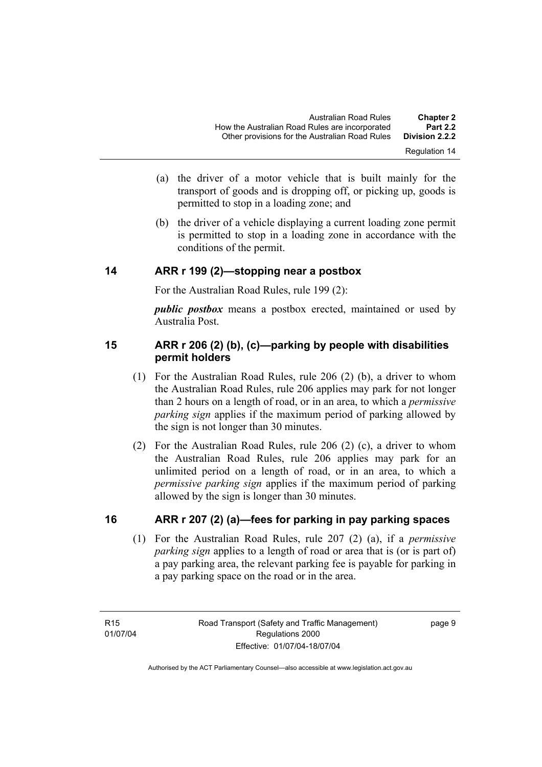- (a) the driver of a motor vehicle that is built mainly for the transport of goods and is dropping off, or picking up, goods is permitted to stop in a loading zone; and
- (b) the driver of a vehicle displaying a current loading zone permit is permitted to stop in a loading zone in accordance with the conditions of the permit.

#### **14 ARR r 199 (2)—stopping near a postbox**

For the Australian Road Rules, rule 199 (2):

*public postbox* means a postbox erected, maintained or used by Australia Post.

#### **15 ARR r 206 (2) (b), (c)—parking by people with disabilities permit holders**

- (1) For the Australian Road Rules, rule 206 (2) (b), a driver to whom the Australian Road Rules, rule 206 applies may park for not longer than 2 hours on a length of road, or in an area, to which a *permissive parking sign* applies if the maximum period of parking allowed by the sign is not longer than 30 minutes.
- (2) For the Australian Road Rules, rule 206 (2) (c), a driver to whom the Australian Road Rules, rule 206 applies may park for an unlimited period on a length of road, or in an area, to which a *permissive parking sign* applies if the maximum period of parking allowed by the sign is longer than 30 minutes.

#### **16 ARR r 207 (2) (a)—fees for parking in pay parking spaces**

 (1) For the Australian Road Rules, rule 207 (2) (a), if a *permissive parking sign* applies to a length of road or area that is (or is part of) a pay parking area, the relevant parking fee is payable for parking in a pay parking space on the road or in the area.

page 9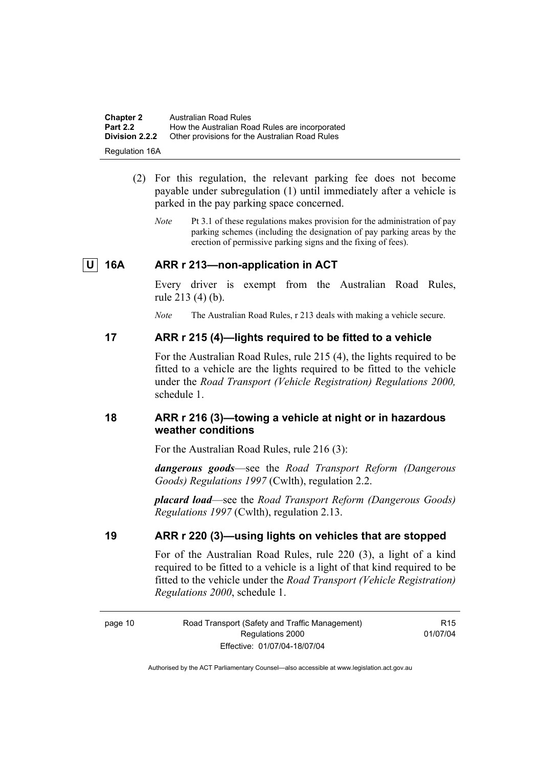| <b>Chapter 2</b>      | Australian Road Rules                          |
|-----------------------|------------------------------------------------|
| <b>Part 2.2</b>       | How the Australian Road Rules are incorporated |
| Division 2.2.2        | Other provisions for the Australian Road Rules |
| <b>Regulation 16A</b> |                                                |

- (2) For this regulation, the relevant parking fee does not become payable under subregulation (1) until immediately after a vehicle is parked in the pay parking space concerned.
	- *Note* Pt 3.1 of these regulations makes provision for the administration of pay parking schemes (including the designation of pay parking areas by the erection of permissive parking signs and the fixing of fees).

#### **U 16A ARR r 213—non-application in ACT**

Every driver is exempt from the Australian Road Rules, rule 213 (4) (b).

*Note* The Australian Road Rules, r 213 deals with making a vehicle secure.

#### **17 ARR r 215 (4)—lights required to be fitted to a vehicle**

For the Australian Road Rules, rule 215 (4), the lights required to be fitted to a vehicle are the lights required to be fitted to the vehicle under the *Road Transport (Vehicle Registration) Regulations 2000,*  schedule 1.

#### **18 ARR r 216 (3)—towing a vehicle at night or in hazardous weather conditions**

For the Australian Road Rules, rule 216 (3):

*dangerous goods*—see the *Road Transport Reform (Dangerous Goods) Regulations 1997* (Cwlth), regulation 2.2.

*placard load*—see the *Road Transport Reform (Dangerous Goods) Regulations 1997* (Cwlth), regulation 2.13.

#### **19 ARR r 220 (3)—using lights on vehicles that are stopped**

For of the Australian Road Rules, rule 220 (3), a light of a kind required to be fitted to a vehicle is a light of that kind required to be fitted to the vehicle under the *Road Transport (Vehicle Registration) Regulations 2000*, schedule 1.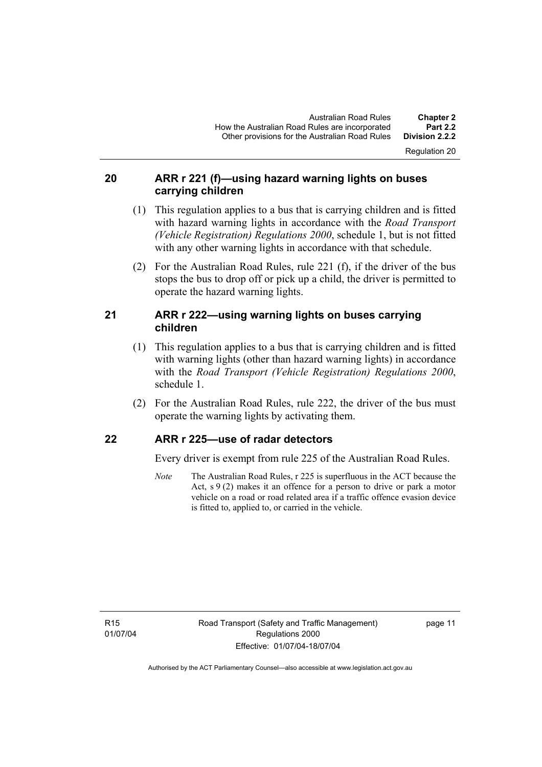#### **20 ARR r 221 (f)—using hazard warning lights on buses carrying children**

- (1) This regulation applies to a bus that is carrying children and is fitted with hazard warning lights in accordance with the *Road Transport (Vehicle Registration) Regulations 2000*, schedule 1, but is not fitted with any other warning lights in accordance with that schedule.
- (2) For the Australian Road Rules, rule 221 (f), if the driver of the bus stops the bus to drop off or pick up a child, the driver is permitted to operate the hazard warning lights.

#### **21 ARR r 222—using warning lights on buses carrying children**

- (1) This regulation applies to a bus that is carrying children and is fitted with warning lights (other than hazard warning lights) in accordance with the *Road Transport (Vehicle Registration) Regulations 2000*, schedule 1.
- (2) For the Australian Road Rules, rule 222, the driver of the bus must operate the warning lights by activating them.

#### **22 ARR r 225—use of radar detectors**

Every driver is exempt from rule 225 of the Australian Road Rules.

*Note* The Australian Road Rules, r 225 is superfluous in the ACT because the Act,  $s \theta(2)$  makes it an offence for a person to drive or park a motor vehicle on a road or road related area if a traffic offence evasion device is fitted to, applied to, or carried in the vehicle.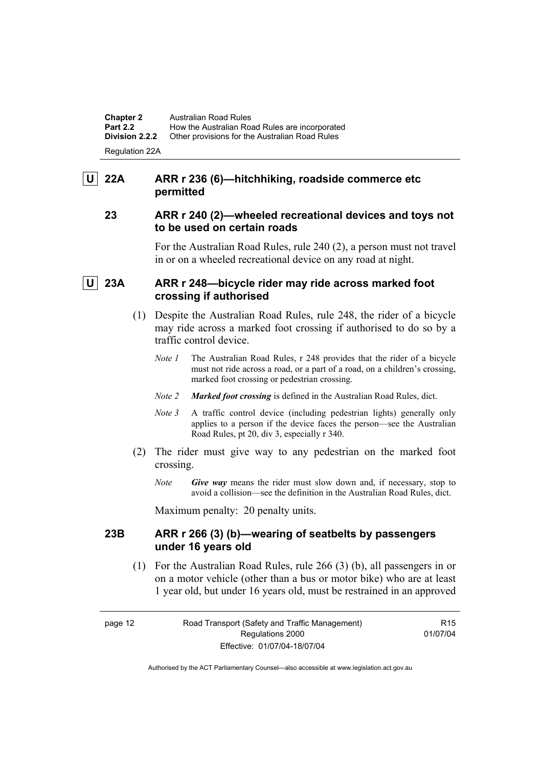**Chapter 2** Australian Road Rules<br>**Part 2.2** How the Australian Ro **Part 2.2 How the Australian Road Rules are incorporated Division 2.2.2** Other provisions for the Australian Road Rules **Other provisions for the Australian Road Rules** Regulation 22A

#### **U 22A ARR r 236 (6)—hitchhiking, roadside commerce etc permitted**

#### **23 ARR r 240 (2)—wheeled recreational devices and toys not to be used on certain roads**

For the Australian Road Rules, rule 240 (2), a person must not travel in or on a wheeled recreational device on any road at night.

#### **U 23A ARR r 248—bicycle rider may ride across marked foot crossing if authorised**

- (1) Despite the Australian Road Rules, rule 248, the rider of a bicycle may ride across a marked foot crossing if authorised to do so by a traffic control device.
	- *Note 1* The Australian Road Rules, r 248 provides that the rider of a bicycle must not ride across a road, or a part of a road, on a children's crossing, marked foot crossing or pedestrian crossing.
	- *Note 2 Marked foot crossing* is defined in the Australian Road Rules, dict.
	- *Note 3* A traffic control device (including pedestrian lights) generally only applies to a person if the device faces the person—see the Australian Road Rules, pt 20, div 3, especially r 340.
- (2) The rider must give way to any pedestrian on the marked foot crossing.
	- *Note Give way* means the rider must slow down and, if necessary, stop to avoid a collision—see the definition in the Australian Road Rules, dict.

Maximum penalty: 20 penalty units.

#### **23B ARR r 266 (3) (b)—wearing of seatbelts by passengers under 16 years old**

 (1) For the Australian Road Rules, rule 266 (3) (b), all passengers in or on a motor vehicle (other than a bus or motor bike) who are at least 1 year old, but under 16 years old, must be restrained in an approved

R15 01/07/04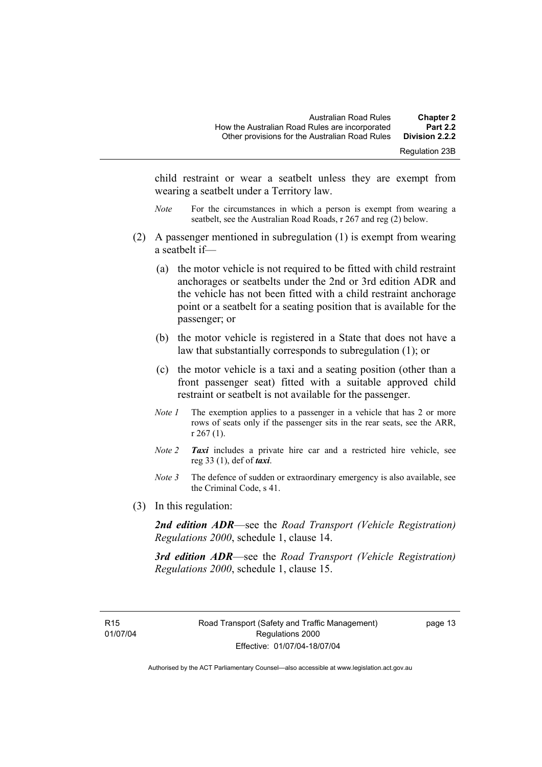Regulation 23B

child restraint or wear a seatbelt unless they are exempt from wearing a seatbelt under a Territory law.

- *Note* For the circumstances in which a person is exempt from wearing a seatbelt, see the Australian Road Roads, r 267 and reg (2) below.
- (2) A passenger mentioned in subregulation (1) is exempt from wearing a seatbelt if—
	- (a) the motor vehicle is not required to be fitted with child restraint anchorages or seatbelts under the 2nd or 3rd edition ADR and the vehicle has not been fitted with a child restraint anchorage point or a seatbelt for a seating position that is available for the passenger; or
	- (b) the motor vehicle is registered in a State that does not have a law that substantially corresponds to subregulation (1); or
	- (c) the motor vehicle is a taxi and a seating position (other than a front passenger seat) fitted with a suitable approved child restraint or seatbelt is not available for the passenger.
	- *Note 1* The exemption applies to a passenger in a vehicle that has 2 or more rows of seats only if the passenger sits in the rear seats, see the ARR, r 267 (1).
	- *Note 2 Taxi* includes a private hire car and a restricted hire vehicle, see reg 33 (1), def of *taxi*.
	- *Note 3* The defence of sudden or extraordinary emergency is also available, see the Criminal Code, s 41.
- (3) In this regulation:

*2nd edition ADR*—see the *Road Transport (Vehicle Registration) Regulations 2000*, schedule 1, clause 14.

*3rd edition ADR*—see the *Road Transport (Vehicle Registration) Regulations 2000*, schedule 1, clause 15.

R15 01/07/04 page 13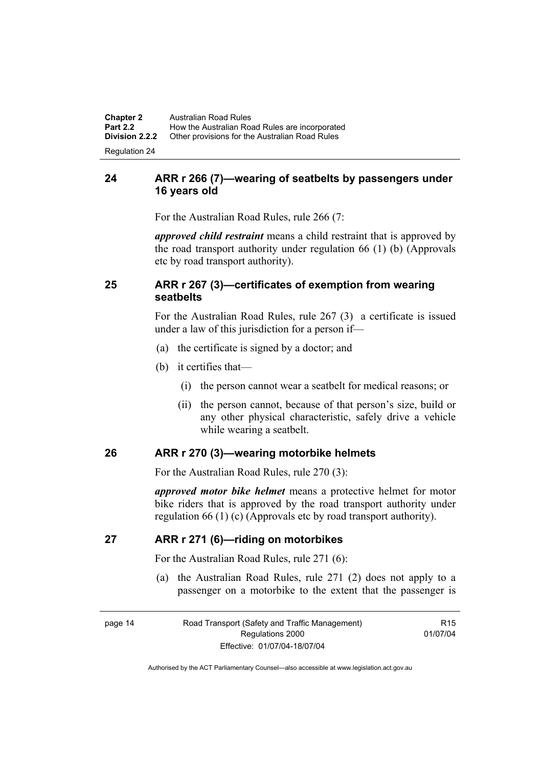**Chapter 2** Australian Road Rules<br>**Part 2.2** How the Australian Road **Part 2.2 How the Australian Road Rules are incorporated Division 2.2.2** Other provisions for the Australian Road Rules **Other provisions for the Australian Road Rules** 

Regulation 24

#### **24 ARR r 266 (7)—wearing of seatbelts by passengers under 16 years old**

For the Australian Road Rules, rule 266 (7:

*approved child restraint* means a child restraint that is approved by the road transport authority under regulation 66 (1) (b) (Approvals etc by road transport authority).

#### **25 ARR r 267 (3)—certificates of exemption from wearing seatbelts**

For the Australian Road Rules, rule 267 (3) a certificate is issued under a law of this jurisdiction for a person if—

- (a) the certificate is signed by a doctor; and
- (b) it certifies that—
	- (i) the person cannot wear a seatbelt for medical reasons; or
	- (ii) the person cannot, because of that person's size, build or any other physical characteristic, safely drive a vehicle while wearing a seatbelt.

#### **26 ARR r 270 (3)—wearing motorbike helmets**

For the Australian Road Rules, rule 270 (3):

*approved motor bike helmet* means a protective helmet for motor bike riders that is approved by the road transport authority under regulation 66 (1) (c) (Approvals etc by road transport authority).

#### **27 ARR r 271 (6)—riding on motorbikes**

For the Australian Road Rules, rule 271 (6):

 (a) the Australian Road Rules, rule 271 (2) does not apply to a passenger on a motorbike to the extent that the passenger is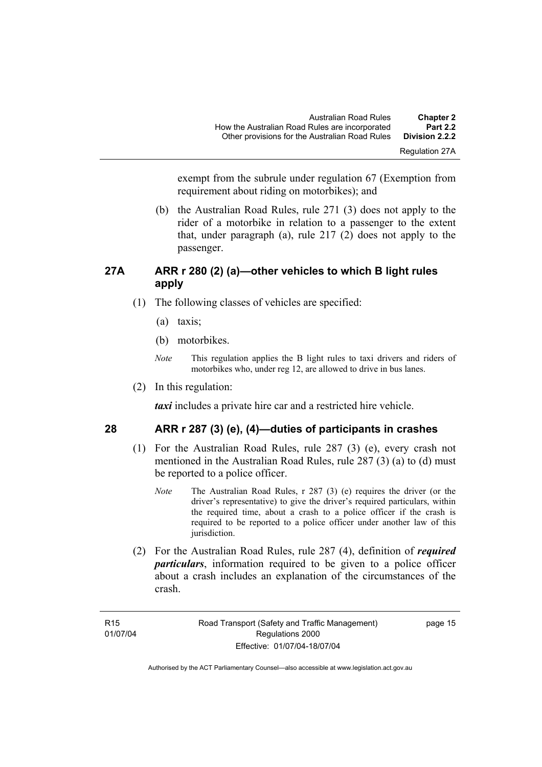Regulation 27A

exempt from the subrule under regulation 67 (Exemption from requirement about riding on motorbikes); and

 (b) the Australian Road Rules, rule 271 (3) does not apply to the rider of a motorbike in relation to a passenger to the extent that, under paragraph (a), rule  $217(2)$  does not apply to the passenger.

#### **27A ARR r 280 (2) (a)—other vehicles to which B light rules apply**

- (1) The following classes of vehicles are specified:
	- (a) taxis;
	- (b) motorbikes.
	- *Note* This regulation applies the B light rules to taxi drivers and riders of motorbikes who, under reg 12, are allowed to drive in bus lanes.
- (2) In this regulation:

*taxi* includes a private hire car and a restricted hire vehicle.

#### **28 ARR r 287 (3) (e), (4)—duties of participants in crashes**

- (1) For the Australian Road Rules, rule 287 (3) (e), every crash not mentioned in the Australian Road Rules, rule 287 (3) (a) to (d) must be reported to a police officer.
	- *Note* The Australian Road Rules, r 287 (3) (e) requires the driver (or the driver's representative) to give the driver's required particulars, within the required time, about a crash to a police officer if the crash is required to be reported to a police officer under another law of this jurisdiction.
- (2) For the Australian Road Rules, rule 287 (4), definition of *required particulars*, information required to be given to a police officer about a crash includes an explanation of the circumstances of the crash.

page 15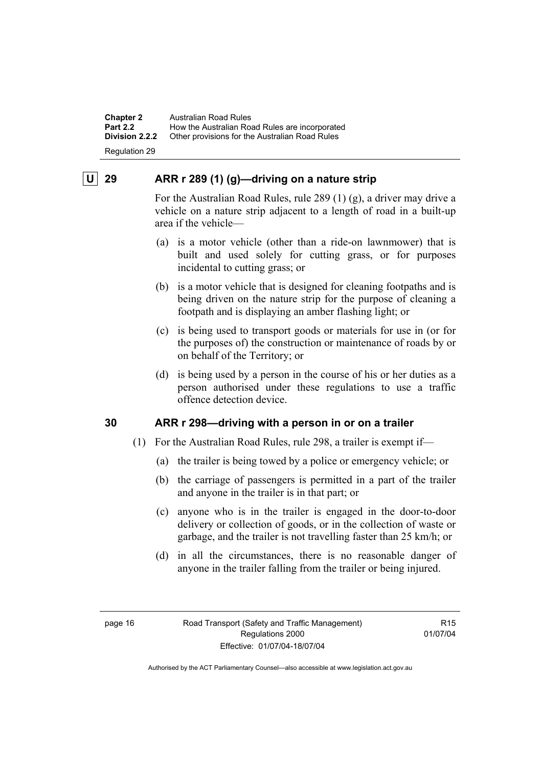**Chapter 2** Australian Road Rules<br>**Part 2.2** How the Australian Ro **Part 2.2 How the Australian Road Rules are incorporated Division 2.2.2** Other provisions for the Australian Road Rules **Other provisions for the Australian Road Rules** Regulation 29

#### **U 29 ARR r 289 (1) (g)—driving on a nature strip**

For the Australian Road Rules, rule 289 (1) (g), a driver may drive a vehicle on a nature strip adjacent to a length of road in a built-up area if the vehicle—

- (a) is a motor vehicle (other than a ride-on lawnmower) that is built and used solely for cutting grass, or for purposes incidental to cutting grass; or
- (b) is a motor vehicle that is designed for cleaning footpaths and is being driven on the nature strip for the purpose of cleaning a footpath and is displaying an amber flashing light; or
- (c) is being used to transport goods or materials for use in (or for the purposes of) the construction or maintenance of roads by or on behalf of the Territory; or
- (d) is being used by a person in the course of his or her duties as a person authorised under these regulations to use a traffic offence detection device.

#### **30 ARR r 298—driving with a person in or on a trailer**

- (1) For the Australian Road Rules, rule 298, a trailer is exempt if—
	- (a) the trailer is being towed by a police or emergency vehicle; or
	- (b) the carriage of passengers is permitted in a part of the trailer and anyone in the trailer is in that part; or
	- (c) anyone who is in the trailer is engaged in the door-to-door delivery or collection of goods, or in the collection of waste or garbage, and the trailer is not travelling faster than 25 km/h; or
	- (d) in all the circumstances, there is no reasonable danger of anyone in the trailer falling from the trailer or being injured.

**R15** 01/07/04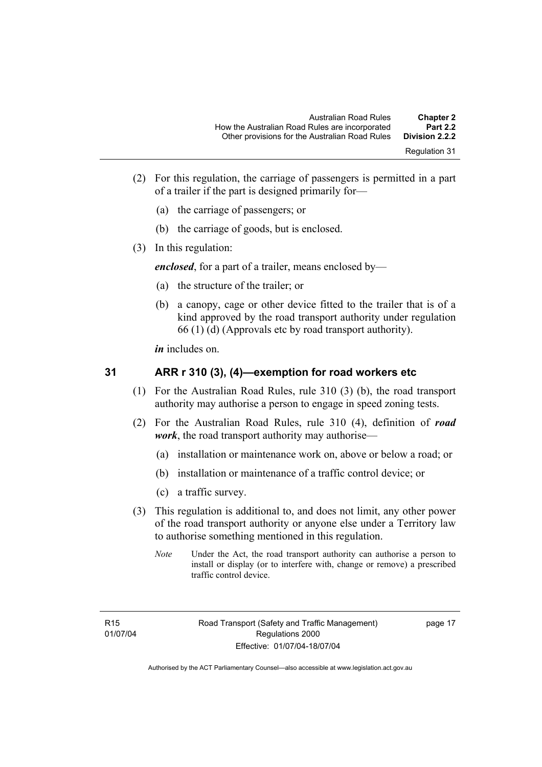- (2) For this regulation, the carriage of passengers is permitted in a part of a trailer if the part is designed primarily for—
	- (a) the carriage of passengers; or
	- (b) the carriage of goods, but is enclosed.
- (3) In this regulation:

*enclosed*, for a part of a trailer, means enclosed by—

- (a) the structure of the trailer; or
- (b) a canopy, cage or other device fitted to the trailer that is of a kind approved by the road transport authority under regulation 66 (1) (d) (Approvals etc by road transport authority).

*in* includes on.

#### **31 ARR r 310 (3), (4)—exemption for road workers etc**

- (1) For the Australian Road Rules, rule 310 (3) (b), the road transport authority may authorise a person to engage in speed zoning tests.
- (2) For the Australian Road Rules, rule 310 (4), definition of *road work*, the road transport authority may authorise—
	- (a) installation or maintenance work on, above or below a road; or
	- (b) installation or maintenance of a traffic control device; or
	- (c) a traffic survey.
- (3) This regulation is additional to, and does not limit, any other power of the road transport authority or anyone else under a Territory law to authorise something mentioned in this regulation.
	- *Note* Under the Act, the road transport authority can authorise a person to install or display (or to interfere with, change or remove) a prescribed traffic control device.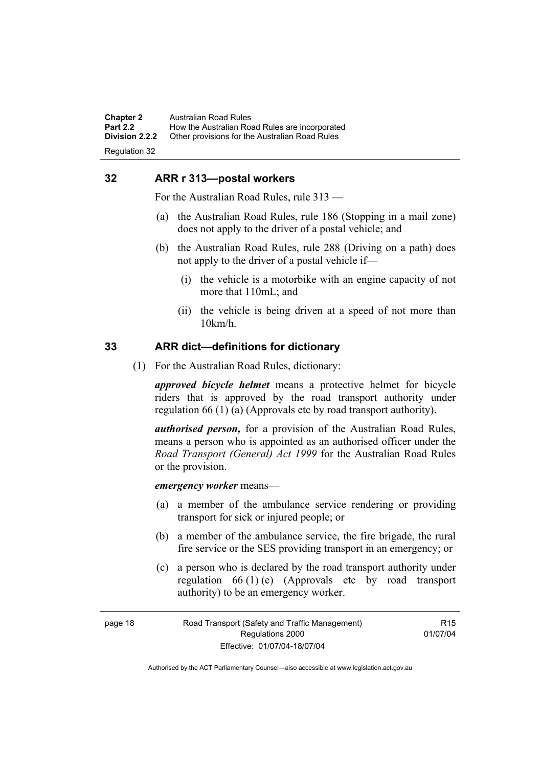**Chapter 2** Australian Road Rules<br>**Part 2.2** How the Australian Road **Part 2.2 How the Australian Road Rules are incorporated Division 2.2.2** Other provisions for the Australian Road Rules **Other provisions for the Australian Road Rules** Regulation 32

#### **32 ARR r 313—postal workers**

For the Australian Road Rules, rule 313 —

- (a) the Australian Road Rules, rule 186 (Stopping in a mail zone) does not apply to the driver of a postal vehicle; and
- (b) the Australian Road Rules, rule 288 (Driving on a path) does not apply to the driver of a postal vehicle if—
	- (i) the vehicle is a motorbike with an engine capacity of not more that 110mL; and
	- (ii) the vehicle is being driven at a speed of not more than 10km/h.

#### **33 ARR dict—definitions for dictionary**

(1) For the Australian Road Rules, dictionary:

*approved bicycle helmet* means a protective helmet for bicycle riders that is approved by the road transport authority under regulation 66 (1) (a) (Approvals etc by road transport authority).

*authorised person,* for a provision of the Australian Road Rules, means a person who is appointed as an authorised officer under the *Road Transport (General) Act 1999* for the Australian Road Rules or the provision.

#### *emergency worker* means—

- (a) a member of the ambulance service rendering or providing transport for sick or injured people; or
- (b) a member of the ambulance service, the fire brigade, the rural fire service or the SES providing transport in an emergency; or
- (c) a person who is declared by the road transport authority under regulation  $66 (1) (e)$  (Approvals etc by road transport authority) to be an emergency worker.

R15 01/07/04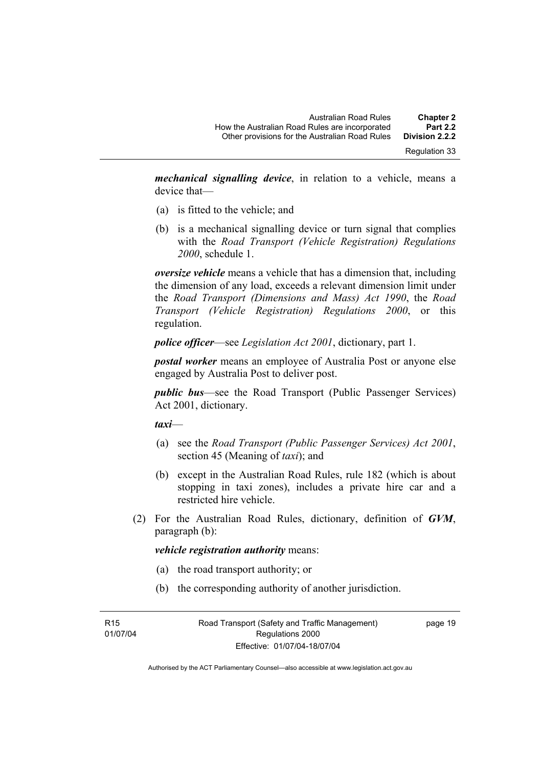*mechanical signalling device*, in relation to a vehicle, means a device that—

- (a) is fitted to the vehicle; and
- (b) is a mechanical signalling device or turn signal that complies with the *Road Transport (Vehicle Registration) Regulations 2000*, schedule 1.

*oversize vehicle* means a vehicle that has a dimension that, including the dimension of any load, exceeds a relevant dimension limit under the *Road Transport (Dimensions and Mass) Act 1990*, the *Road Transport (Vehicle Registration) Regulations 2000*, or this regulation.

*police officer*—see *Legislation Act 2001*, dictionary, part 1.

*postal worker* means an employee of Australia Post or anyone else engaged by Australia Post to deliver post.

*public bus*—see the Road Transport (Public Passenger Services) Act 2001, dictionary.

*taxi*—

- (a) see the *Road Transport (Public Passenger Services) Act 2001*, section 45 (Meaning of *taxi*); and
- (b) except in the Australian Road Rules, rule 182 (which is about stopping in taxi zones), includes a private hire car and a restricted hire vehicle.
- (2) For the Australian Road Rules, dictionary, definition of *GVM*, paragraph (b):

#### *vehicle registration authority* means:

- (a) the road transport authority; or
- (b) the corresponding authority of another jurisdiction.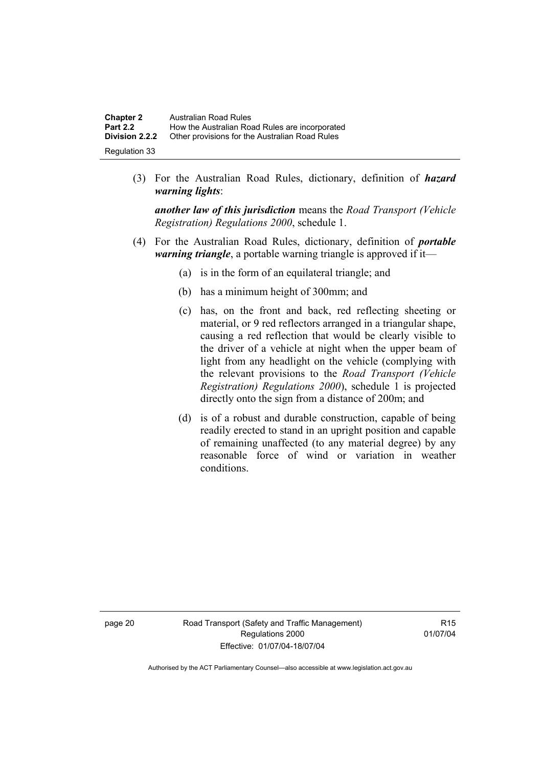| <b>Chapter 2</b>      | Australian Road Rules                          |
|-----------------------|------------------------------------------------|
| <b>Part 2.2</b>       | How the Australian Road Rules are incorporated |
| <b>Division 2.2.2</b> | Other provisions for the Australian Road Rules |
| Regulation 33         |                                                |

 (3) For the Australian Road Rules, dictionary, definition of *hazard warning lights*:

*another law of this jurisdiction* means the *Road Transport (Vehicle Registration) Regulations 2000*, schedule 1.

- (4) For the Australian Road Rules, dictionary, definition of *portable warning triangle*, a portable warning triangle is approved if it—
	- (a) is in the form of an equilateral triangle; and
	- (b) has a minimum height of 300mm; and
	- (c) has, on the front and back, red reflecting sheeting or material, or 9 red reflectors arranged in a triangular shape, causing a red reflection that would be clearly visible to the driver of a vehicle at night when the upper beam of light from any headlight on the vehicle (complying with the relevant provisions to the *Road Transport (Vehicle Registration) Regulations 2000*), schedule 1 is projected directly onto the sign from a distance of 200m; and
	- (d) is of a robust and durable construction, capable of being readily erected to stand in an upright position and capable of remaining unaffected (to any material degree) by any reasonable force of wind or variation in weather conditions.

page 20 Road Transport (Safety and Traffic Management) Regulations 2000 Effective: 01/07/04-18/07/04

R15 01/07/04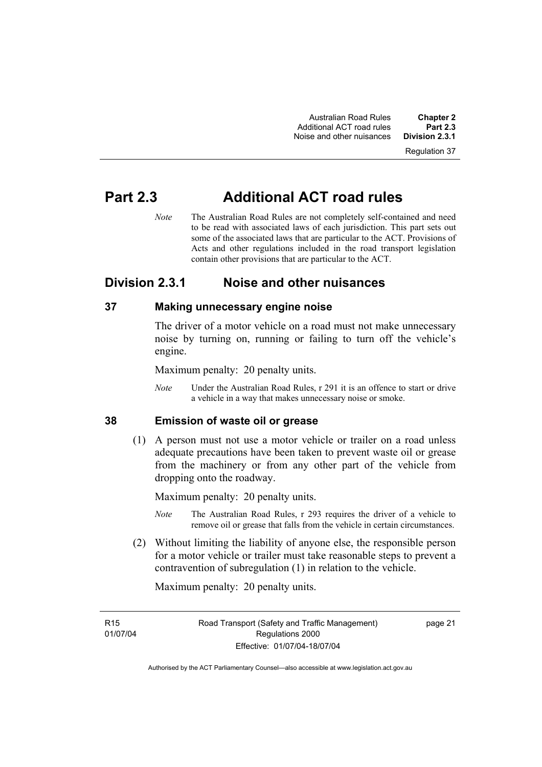Australian Road Rules **Chapter 2**  Additional ACT road rules **Part 2.3**  Noise and other nuisances

Regulation 37

# **Part 2.3 Additional ACT road rules**

*Note* The Australian Road Rules are not completely self-contained and need to be read with associated laws of each jurisdiction. This part sets out some of the associated laws that are particular to the ACT. Provisions of Acts and other regulations included in the road transport legislation contain other provisions that are particular to the ACT.

### **Division 2.3.1 Noise and other nuisances**

#### **37 Making unnecessary engine noise**

The driver of a motor vehicle on a road must not make unnecessary noise by turning on, running or failing to turn off the vehicle's engine.

Maximum penalty: 20 penalty units.

*Note* Under the Australian Road Rules, r 291 it is an offence to start or drive a vehicle in a way that makes unnecessary noise or smoke.

#### **38 Emission of waste oil or grease**

 (1) A person must not use a motor vehicle or trailer on a road unless adequate precautions have been taken to prevent waste oil or grease from the machinery or from any other part of the vehicle from dropping onto the roadway.

Maximum penalty: 20 penalty units.

- *Note* The Australian Road Rules, r 293 requires the driver of a vehicle to remove oil or grease that falls from the vehicle in certain circumstances.
- (2) Without limiting the liability of anyone else, the responsible person for a motor vehicle or trailer must take reasonable steps to prevent a contravention of subregulation (1) in relation to the vehicle.

Maximum penalty: 20 penalty units.

R15 01/07/04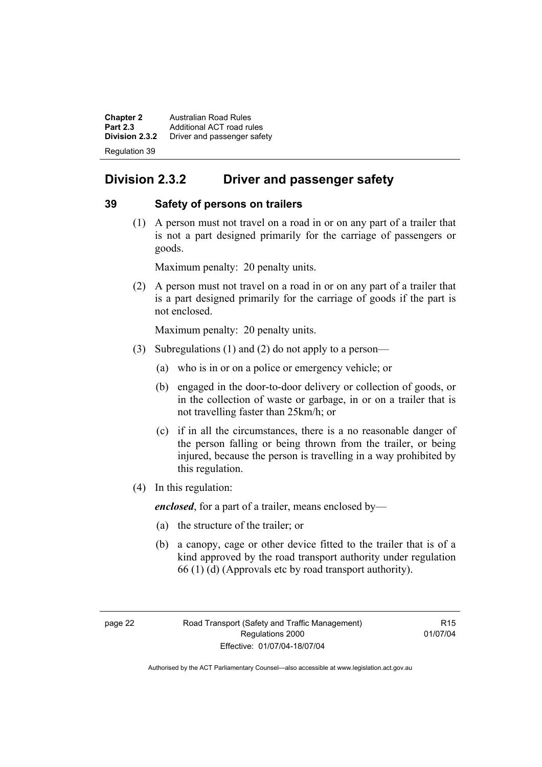**Chapter 2 Australian Road Rules**<br>**Part 2.3 Additional ACT road rules Part 2.3** Additional ACT road rules<br>**Division 2.3.2** Driver and passenger safe **Division 2.3.2** Driver and passenger safety Regulation 39

## **Division 2.3.2 Driver and passenger safety**

#### **39 Safety of persons on trailers**

 (1) A person must not travel on a road in or on any part of a trailer that is not a part designed primarily for the carriage of passengers or goods.

Maximum penalty: 20 penalty units.

 (2) A person must not travel on a road in or on any part of a trailer that is a part designed primarily for the carriage of goods if the part is not enclosed.

Maximum penalty: 20 penalty units.

- (3) Subregulations (1) and (2) do not apply to a person—
	- (a) who is in or on a police or emergency vehicle; or
	- (b) engaged in the door-to-door delivery or collection of goods, or in the collection of waste or garbage, in or on a trailer that is not travelling faster than 25km/h; or
	- (c) if in all the circumstances, there is a no reasonable danger of the person falling or being thrown from the trailer, or being injured, because the person is travelling in a way prohibited by this regulation.
- (4) In this regulation:

*enclosed*, for a part of a trailer, means enclosed by—

- (a) the structure of the trailer; or
- (b) a canopy, cage or other device fitted to the trailer that is of a kind approved by the road transport authority under regulation 66 (1) (d) (Approvals etc by road transport authority).

**R15** 01/07/04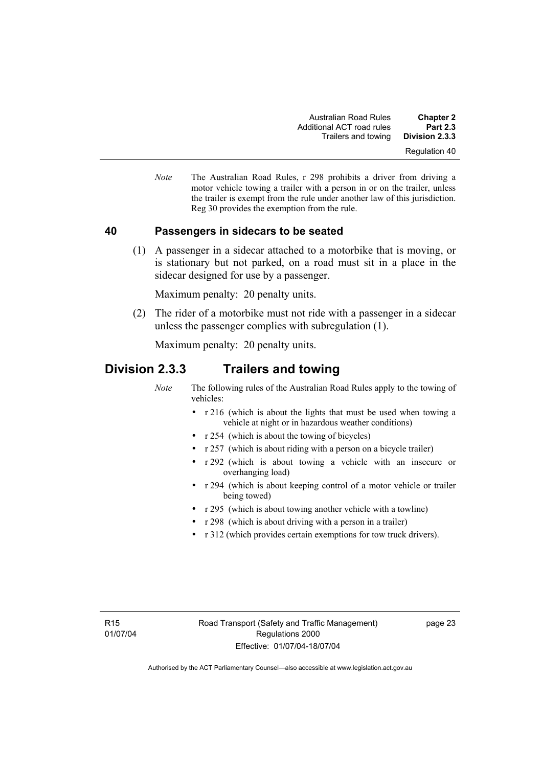*Note* The Australian Road Rules, r 298 prohibits a driver from driving a motor vehicle towing a trailer with a person in or on the trailer, unless the trailer is exempt from the rule under another law of this jurisdiction. Reg 30 provides the exemption from the rule.

#### **40 Passengers in sidecars to be seated**

 (1) A passenger in a sidecar attached to a motorbike that is moving, or is stationary but not parked, on a road must sit in a place in the sidecar designed for use by a passenger.

Maximum penalty: 20 penalty units.

 (2) The rider of a motorbike must not ride with a passenger in a sidecar unless the passenger complies with subregulation (1).

Maximum penalty: 20 penalty units.

### **Division 2.3.3 Trailers and towing**

*Note* The following rules of the Australian Road Rules apply to the towing of vehicles:

- r 216 (which is about the lights that must be used when towing a vehicle at night or in hazardous weather conditions)
- r 254 (which is about the towing of bicycles)
- r 257 (which is about riding with a person on a bicycle trailer)
- r 292 (which is about towing a vehicle with an insecure or overhanging load)
- r 294 (which is about keeping control of a motor vehicle or trailer being towed)
- r 295 (which is about towing another vehicle with a towline)
- r 298 (which is about driving with a person in a trailer)
- r 312 (which provides certain exemptions for tow truck drivers).

page 23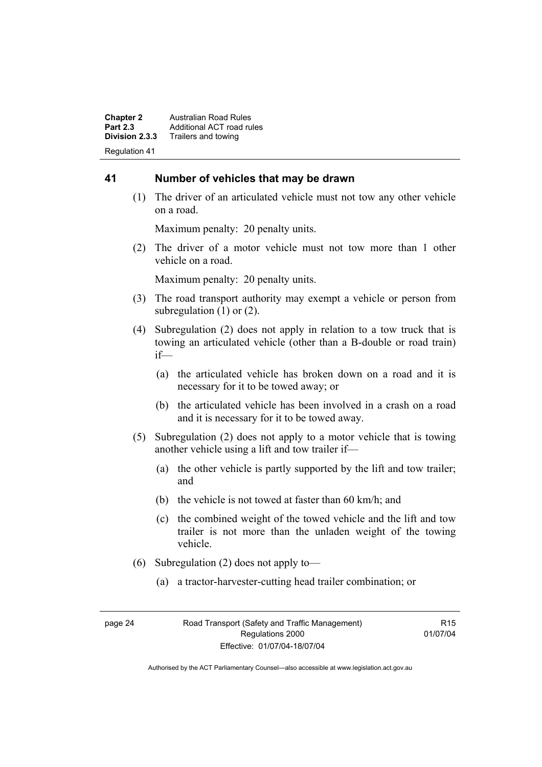**Chapter 2 Australian Road Rules**<br>**Part 2.3 Additional ACT road rules Part 2.3** Additional ACT road rules<br>**Division 2.3.3** Trailers and towing **Division 2.3.3** Trailers and towing Regulation 41

#### **41 Number of vehicles that may be drawn**

 (1) The driver of an articulated vehicle must not tow any other vehicle on a road.

Maximum penalty: 20 penalty units.

 (2) The driver of a motor vehicle must not tow more than 1 other vehicle on a road.

Maximum penalty: 20 penalty units.

- (3) The road transport authority may exempt a vehicle or person from subregulation (1) or (2).
- (4) Subregulation (2) does not apply in relation to a tow truck that is towing an articulated vehicle (other than a B-double or road train) if—
	- (a) the articulated vehicle has broken down on a road and it is necessary for it to be towed away; or
	- (b) the articulated vehicle has been involved in a crash on a road and it is necessary for it to be towed away.
- (5) Subregulation (2) does not apply to a motor vehicle that is towing another vehicle using a lift and tow trailer if—
	- (a) the other vehicle is partly supported by the lift and tow trailer; and
	- (b) the vehicle is not towed at faster than 60 km/h; and
	- (c) the combined weight of the towed vehicle and the lift and tow trailer is not more than the unladen weight of the towing vehicle.
- (6) Subregulation (2) does not apply to—
	- (a) a tractor-harvester-cutting head trailer combination; or

R15 01/07/04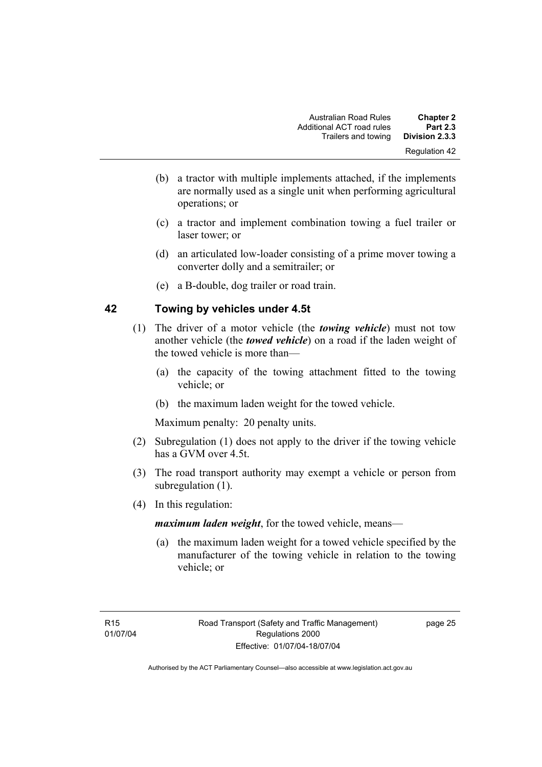- (b) a tractor with multiple implements attached, if the implements are normally used as a single unit when performing agricultural operations; or
- (c) a tractor and implement combination towing a fuel trailer or laser tower; or
- (d) an articulated low-loader consisting of a prime mover towing a converter dolly and a semitrailer; or
- (e) a B-double, dog trailer or road train.

#### **42 Towing by vehicles under 4.5t**

- (1) The driver of a motor vehicle (the *towing vehicle*) must not tow another vehicle (the *towed vehicle*) on a road if the laden weight of the towed vehicle is more than—
	- (a) the capacity of the towing attachment fitted to the towing vehicle; or
	- (b) the maximum laden weight for the towed vehicle.

Maximum penalty: 20 penalty units.

- (2) Subregulation (1) does not apply to the driver if the towing vehicle has a GVM over 4.5t.
- (3) The road transport authority may exempt a vehicle or person from subregulation  $(1)$ .
- (4) In this regulation:

*maximum laden weight*, for the towed vehicle, means—

 (a) the maximum laden weight for a towed vehicle specified by the manufacturer of the towing vehicle in relation to the towing vehicle; or

page 25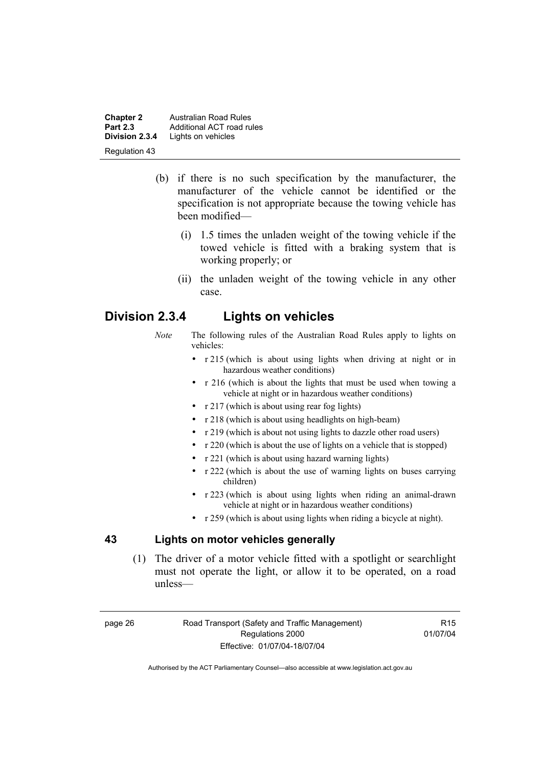**Chapter 2 Australian Road Rules**<br>**Part 2.3 Additional ACT road rules Part 2.3** Additional ACT road rules<br>**Division 2.3.4** Lights on vehicles Lights on vehicles Regulation 43

- (b) if there is no such specification by the manufacturer, the manufacturer of the vehicle cannot be identified or the specification is not appropriate because the towing vehicle has been modified—
	- (i) 1.5 times the unladen weight of the towing vehicle if the towed vehicle is fitted with a braking system that is working properly; or
	- (ii) the unladen weight of the towing vehicle in any other case.

#### **Division 2.3.4 Lights on vehicles**

- *Note* The following rules of the Australian Road Rules apply to lights on vehicles:
	- r 215 (which is about using lights when driving at night or in hazardous weather conditions)
	- r 216 (which is about the lights that must be used when towing a vehicle at night or in hazardous weather conditions)
	- r 217 (which is about using rear fog lights)
	- r 218 (which is about using headlights on high-beam)
	- r 219 (which is about not using lights to dazzle other road users)
	- r 220 (which is about the use of lights on a vehicle that is stopped)
	- r 221 (which is about using hazard warning lights)
	- r 222 (which is about the use of warning lights on buses carrying children)
	- r 223 (which is about using lights when riding an animal-drawn vehicle at night or in hazardous weather conditions)
	- r 259 (which is about using lights when riding a bicycle at night).

#### **43 Lights on motor vehicles generally**

 (1) The driver of a motor vehicle fitted with a spotlight or searchlight must not operate the light, or allow it to be operated, on a road unless—

page 26 Road Transport (Safety and Traffic Management) Regulations 2000 Effective: 01/07/04-18/07/04

R15 01/07/04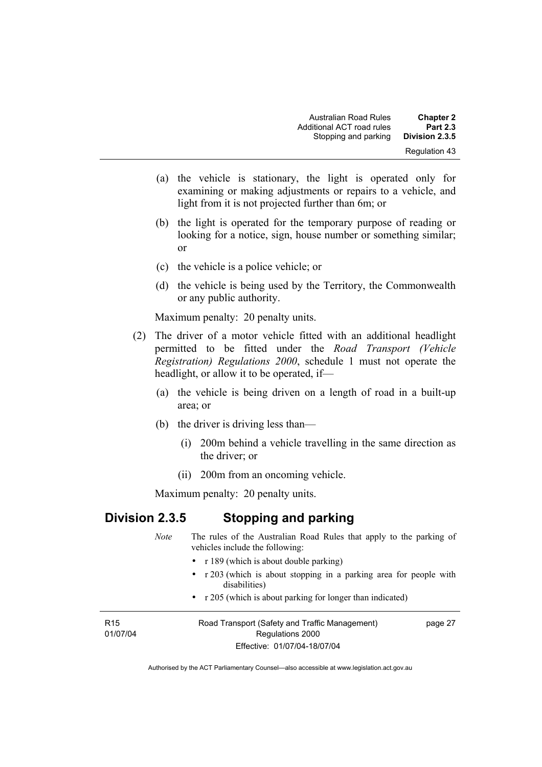- (a) the vehicle is stationary, the light is operated only for examining or making adjustments or repairs to a vehicle, and light from it is not projected further than 6m; or
- (b) the light is operated for the temporary purpose of reading or looking for a notice, sign, house number or something similar; or
- (c) the vehicle is a police vehicle; or
- (d) the vehicle is being used by the Territory, the Commonwealth or any public authority.

Maximum penalty: 20 penalty units.

- (2) The driver of a motor vehicle fitted with an additional headlight permitted to be fitted under the *Road Transport (Vehicle Registration) Regulations 2000*, schedule 1 must not operate the headlight, or allow it to be operated, if—
	- (a) the vehicle is being driven on a length of road in a built-up area; or
	- (b) the driver is driving less than—
		- (i) 200m behind a vehicle travelling in the same direction as the driver; or
		- (ii) 200m from an oncoming vehicle.

Maximum penalty: 20 penalty units.

# **Division 2.3.5 Stopping and parking**

| <b>Note</b>                 | The rules of the Australian Road Rules that apply to the parking of<br>vehicles include the following: |
|-----------------------------|--------------------------------------------------------------------------------------------------------|
|                             | • $r189$ (which is about double parking)                                                               |
|                             | • $\tau$ 203 (which is about stopping in a parking area for people with<br>disabilities)               |
|                             | • r 205 (which is about parking for longer than indicated)                                             |
| R <sub>15</sub><br>01/07/04 | Road Transport (Safety and Traffic Management)<br>page 27<br>Regulations 2000                          |
|                             | Effective: 01/07/04-18/07/04                                                                           |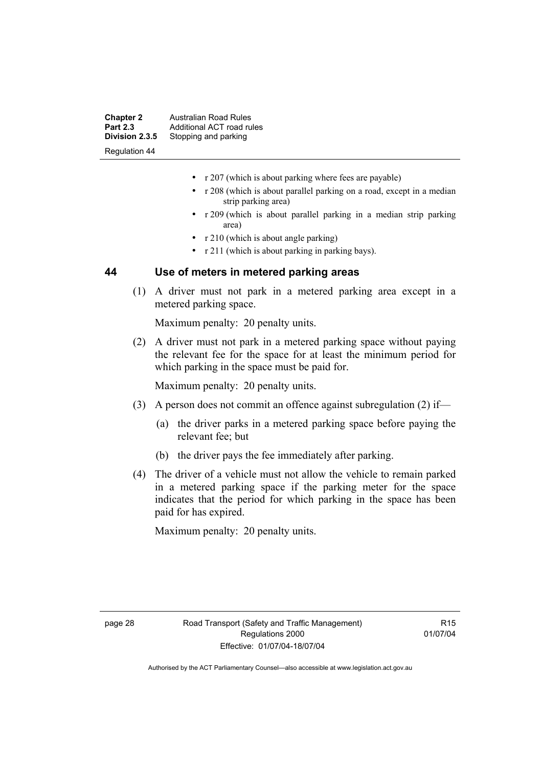| <b>Chapter 2</b>     | <b>Australian Road Rules</b> |
|----------------------|------------------------------|
| <b>Part 2.3</b>      | Additional ACT road rules    |
| Division 2.3.5       | Stopping and parking         |
| <b>Regulation 44</b> |                              |

- r 207 (which is about parking where fees are payable)
- r 208 (which is about parallel parking on a road, except in a median strip parking area)
- r 209 (which is about parallel parking in a median strip parking area)
- r 210 (which is about angle parking)
- r 211 (which is about parking in parking bays).

#### **44 Use of meters in metered parking areas**

 (1) A driver must not park in a metered parking area except in a metered parking space.

Maximum penalty: 20 penalty units.

 (2) A driver must not park in a metered parking space without paying the relevant fee for the space for at least the minimum period for which parking in the space must be paid for.

Maximum penalty: 20 penalty units.

- (3) A person does not commit an offence against subregulation (2) if—
	- (a) the driver parks in a metered parking space before paying the relevant fee; but
	- (b) the driver pays the fee immediately after parking.
- (4) The driver of a vehicle must not allow the vehicle to remain parked in a metered parking space if the parking meter for the space indicates that the period for which parking in the space has been paid for has expired.

Maximum penalty: 20 penalty units.

**R15** 01/07/04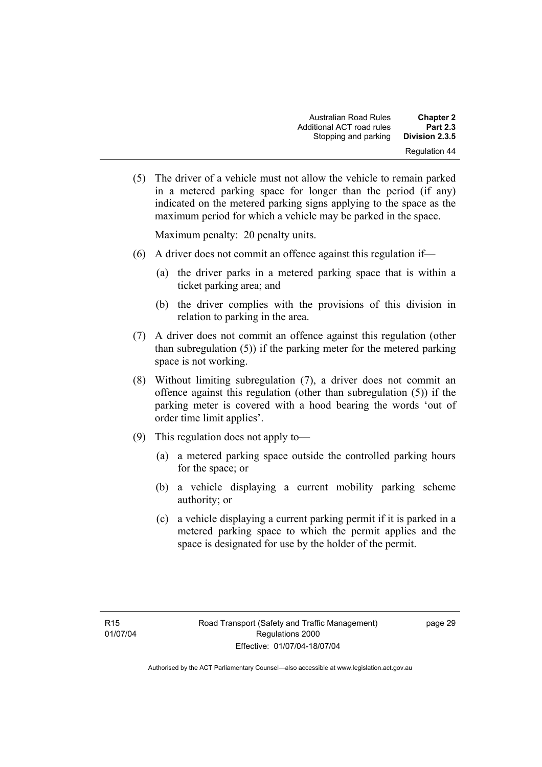(5) The driver of a vehicle must not allow the vehicle to remain parked in a metered parking space for longer than the period (if any) indicated on the metered parking signs applying to the space as the maximum period for which a vehicle may be parked in the space.

Maximum penalty: 20 penalty units.

- (6) A driver does not commit an offence against this regulation if—
	- (a) the driver parks in a metered parking space that is within a ticket parking area; and
	- (b) the driver complies with the provisions of this division in relation to parking in the area.
- (7) A driver does not commit an offence against this regulation (other than subregulation (5)) if the parking meter for the metered parking space is not working.
- (8) Without limiting subregulation (7), a driver does not commit an offence against this regulation (other than subregulation (5)) if the parking meter is covered with a hood bearing the words 'out of order time limit applies'.
- (9) This regulation does not apply to—
	- (a) a metered parking space outside the controlled parking hours for the space; or
	- (b) a vehicle displaying a current mobility parking scheme authority; or
	- (c) a vehicle displaying a current parking permit if it is parked in a metered parking space to which the permit applies and the space is designated for use by the holder of the permit.

page 29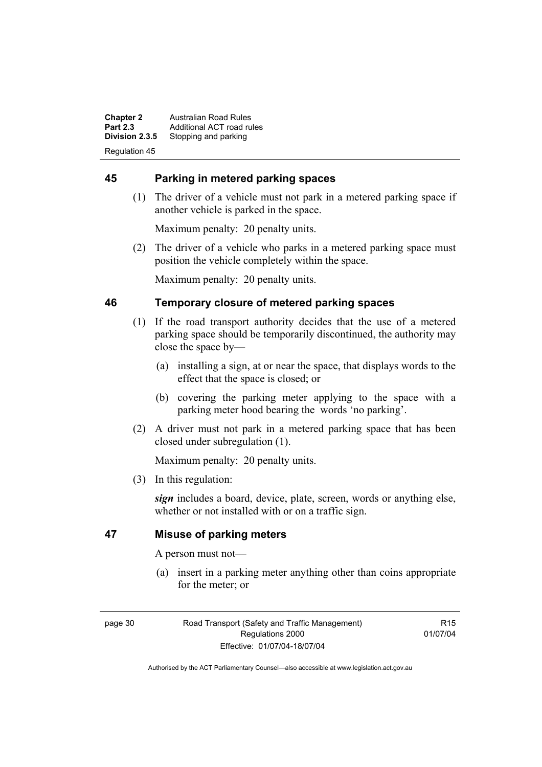**Chapter 2 Australian Road Rules**<br>**Part 2.3 Additional ACT road rules Part 2.3** Additional ACT road rules<br>**Division 2.3.5** Stopping and parking Stopping and parking Regulation 45

### **45 Parking in metered parking spaces**

 (1) The driver of a vehicle must not park in a metered parking space if another vehicle is parked in the space.

Maximum penalty: 20 penalty units.

 (2) The driver of a vehicle who parks in a metered parking space must position the vehicle completely within the space.

Maximum penalty: 20 penalty units.

#### **46 Temporary closure of metered parking spaces**

- (1) If the road transport authority decides that the use of a metered parking space should be temporarily discontinued, the authority may close the space by—
	- (a) installing a sign, at or near the space, that displays words to the effect that the space is closed; or
	- (b) covering the parking meter applying to the space with a parking meter hood bearing the words 'no parking'.
- (2) A driver must not park in a metered parking space that has been closed under subregulation (1).

Maximum penalty: 20 penalty units.

(3) In this regulation:

*sign* includes a board, device, plate, screen, words or anything else, whether or not installed with or on a traffic sign.

#### **47 Misuse of parking meters**

A person must not—

 (a) insert in a parking meter anything other than coins appropriate for the meter; or

page 30 Road Transport (Safety and Traffic Management) Regulations 2000 Effective: 01/07/04-18/07/04

R15 01/07/04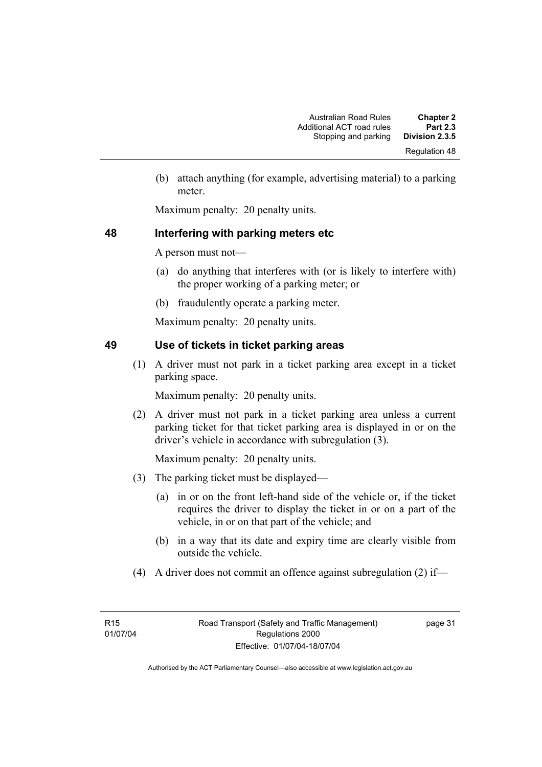(b) attach anything (for example, advertising material) to a parking meter.

Maximum penalty: 20 penalty units.

# **48 Interfering with parking meters etc**

A person must not—

- (a) do anything that interferes with (or is likely to interfere with) the proper working of a parking meter; or
- (b) fraudulently operate a parking meter.

Maximum penalty: 20 penalty units.

# **49 Use of tickets in ticket parking areas**

 (1) A driver must not park in a ticket parking area except in a ticket parking space.

Maximum penalty: 20 penalty units.

 (2) A driver must not park in a ticket parking area unless a current parking ticket for that ticket parking area is displayed in or on the driver's vehicle in accordance with subregulation (3).

Maximum penalty: 20 penalty units.

- (3) The parking ticket must be displayed—
	- (a) in or on the front left-hand side of the vehicle or, if the ticket requires the driver to display the ticket in or on a part of the vehicle, in or on that part of the vehicle; and
	- (b) in a way that its date and expiry time are clearly visible from outside the vehicle.
- (4) A driver does not commit an offence against subregulation (2) if—

page 31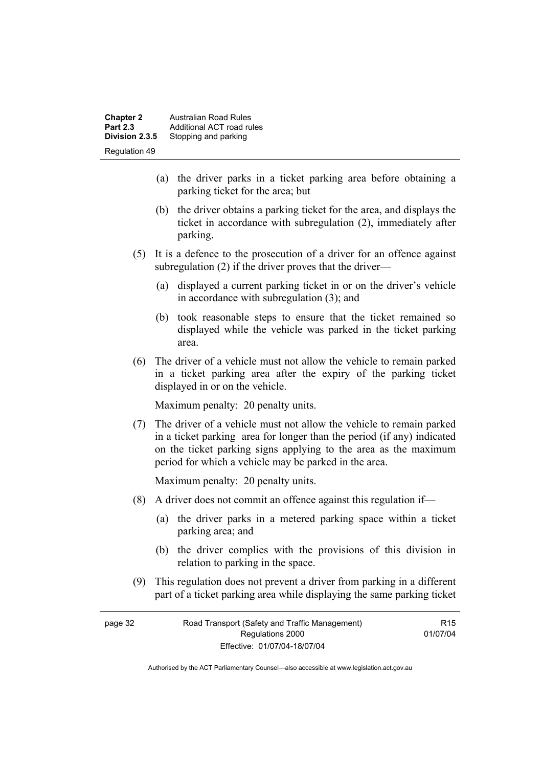| <b>Chapter 2</b><br><b>Part 2.3</b> | <b>Australian Road Rules</b><br>Additional ACT road rules |
|-------------------------------------|-----------------------------------------------------------|
| Division 2.3.5                      | Stopping and parking                                      |
| <b>Regulation 49</b>                |                                                           |

- (a) the driver parks in a ticket parking area before obtaining a parking ticket for the area; but
- (b) the driver obtains a parking ticket for the area, and displays the ticket in accordance with subregulation (2), immediately after parking.
- (5) It is a defence to the prosecution of a driver for an offence against subregulation (2) if the driver proves that the driver—
	- (a) displayed a current parking ticket in or on the driver's vehicle in accordance with subregulation (3); and
	- (b) took reasonable steps to ensure that the ticket remained so displayed while the vehicle was parked in the ticket parking area.
- (6) The driver of a vehicle must not allow the vehicle to remain parked in a ticket parking area after the expiry of the parking ticket displayed in or on the vehicle.

Maximum penalty: 20 penalty units.

 (7) The driver of a vehicle must not allow the vehicle to remain parked in a ticket parking area for longer than the period (if any) indicated on the ticket parking signs applying to the area as the maximum period for which a vehicle may be parked in the area.

Maximum penalty: 20 penalty units.

- (8) A driver does not commit an offence against this regulation if—
	- (a) the driver parks in a metered parking space within a ticket parking area; and
	- (b) the driver complies with the provisions of this division in relation to parking in the space.
- (9) This regulation does not prevent a driver from parking in a different part of a ticket parking area while displaying the same parking ticket

| page 32          | Road Transport (Safety and Traffic Management) | R <sub>15</sub> |
|------------------|------------------------------------------------|-----------------|
| Regulations 2000 |                                                | 01/07/04        |
|                  | Effective: 01/07/04-18/07/04                   |                 |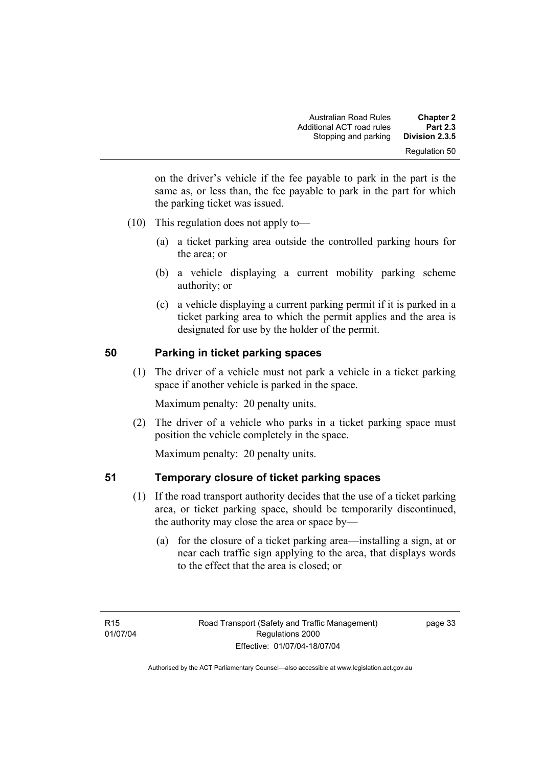on the driver's vehicle if the fee payable to park in the part is the same as, or less than, the fee payable to park in the part for which the parking ticket was issued.

- (10) This regulation does not apply to—
	- (a) a ticket parking area outside the controlled parking hours for the area; or
	- (b) a vehicle displaying a current mobility parking scheme authority; or
	- (c) a vehicle displaying a current parking permit if it is parked in a ticket parking area to which the permit applies and the area is designated for use by the holder of the permit.

# **50 Parking in ticket parking spaces**

 (1) The driver of a vehicle must not park a vehicle in a ticket parking space if another vehicle is parked in the space.

Maximum penalty: 20 penalty units.

 (2) The driver of a vehicle who parks in a ticket parking space must position the vehicle completely in the space.

Maximum penalty: 20 penalty units.

# **51 Temporary closure of ticket parking spaces**

- (1) If the road transport authority decides that the use of a ticket parking area, or ticket parking space, should be temporarily discontinued, the authority may close the area or space by—
	- (a) for the closure of a ticket parking area—installing a sign, at or near each traffic sign applying to the area, that displays words to the effect that the area is closed; or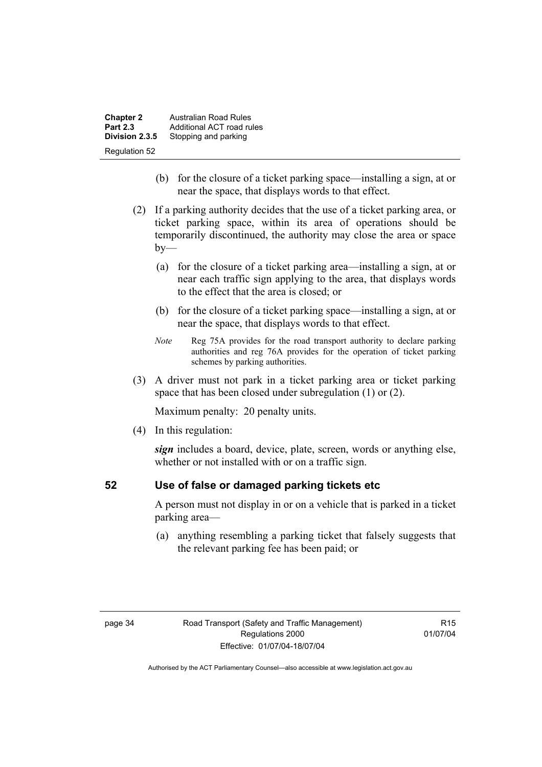| <b>Chapter 2</b> | <b>Australian Road Rules</b> |
|------------------|------------------------------|
| <b>Part 2.3</b>  | Additional ACT road rules    |
| Division 2.3.5   | Stopping and parking         |
| Regulation 52    |                              |

- (b) for the closure of a ticket parking space—installing a sign, at or near the space, that displays words to that effect.
- (2) If a parking authority decides that the use of a ticket parking area, or ticket parking space, within its area of operations should be temporarily discontinued, the authority may close the area or space  $by-$ 
	- (a) for the closure of a ticket parking area—installing a sign, at or near each traffic sign applying to the area, that displays words to the effect that the area is closed; or
	- (b) for the closure of a ticket parking space—installing a sign, at or near the space, that displays words to that effect.
	- *Note* Reg 75A provides for the road transport authority to declare parking authorities and reg 76A provides for the operation of ticket parking schemes by parking authorities.
- (3) A driver must not park in a ticket parking area or ticket parking space that has been closed under subregulation (1) or (2).

Maximum penalty: 20 penalty units.

(4) In this regulation:

*sign* includes a board, device, plate, screen, words or anything else, whether or not installed with or on a traffic sign.

# **52 Use of false or damaged parking tickets etc**

A person must not display in or on a vehicle that is parked in a ticket parking area—

 (a) anything resembling a parking ticket that falsely suggests that the relevant parking fee has been paid; or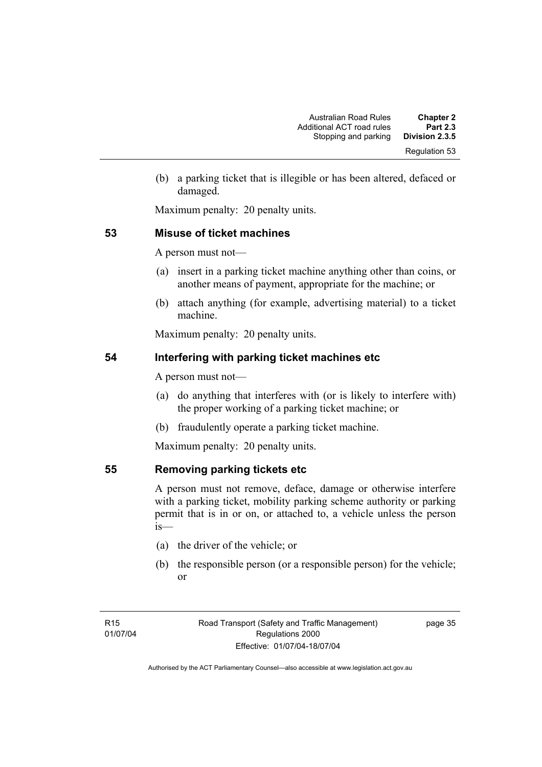(b) a parking ticket that is illegible or has been altered, defaced or damaged.

Maximum penalty: 20 penalty units.

# **53 Misuse of ticket machines**

A person must not—

- (a) insert in a parking ticket machine anything other than coins, or another means of payment, appropriate for the machine; or
- (b) attach anything (for example, advertising material) to a ticket machine.

Maximum penalty: 20 penalty units.

# **54 Interfering with parking ticket machines etc**

A person must not—

- (a) do anything that interferes with (or is likely to interfere with) the proper working of a parking ticket machine; or
- (b) fraudulently operate a parking ticket machine.

Maximum penalty: 20 penalty units.

# **55 Removing parking tickets etc**

A person must not remove, deface, damage or otherwise interfere with a parking ticket, mobility parking scheme authority or parking permit that is in or on, or attached to, a vehicle unless the person is—

- (a) the driver of the vehicle; or
- (b) the responsible person (or a responsible person) for the vehicle; or

page 35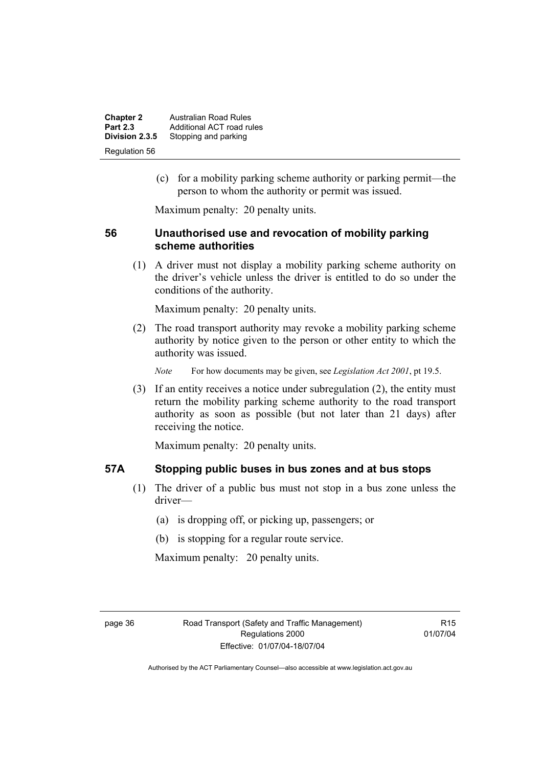| <b>Chapter 2</b><br><b>Part 2.3</b> | <b>Australian Road Rules</b><br>Additional ACT road rules |
|-------------------------------------|-----------------------------------------------------------|
| Division 2.3.5                      | Stopping and parking                                      |
| Regulation 56                       |                                                           |

 (c) for a mobility parking scheme authority or parking permit—the person to whom the authority or permit was issued.

Maximum penalty: 20 penalty units.

### **56 Unauthorised use and revocation of mobility parking scheme authorities**

 (1) A driver must not display a mobility parking scheme authority on the driver's vehicle unless the driver is entitled to do so under the conditions of the authority.

Maximum penalty: 20 penalty units.

 (2) The road transport authority may revoke a mobility parking scheme authority by notice given to the person or other entity to which the authority was issued.

*Note* For how documents may be given, see *Legislation Act 2001*, pt 19.5.

 (3) If an entity receives a notice under subregulation (2), the entity must return the mobility parking scheme authority to the road transport authority as soon as possible (but not later than 21 days) after receiving the notice.

Maximum penalty: 20 penalty units.

#### **57A Stopping public buses in bus zones and at bus stops**

- (1) The driver of a public bus must not stop in a bus zone unless the driver—
	- (a) is dropping off, or picking up, passengers; or
	- (b) is stopping for a regular route service.

Maximum penalty: 20 penalty units.

R15 01/07/04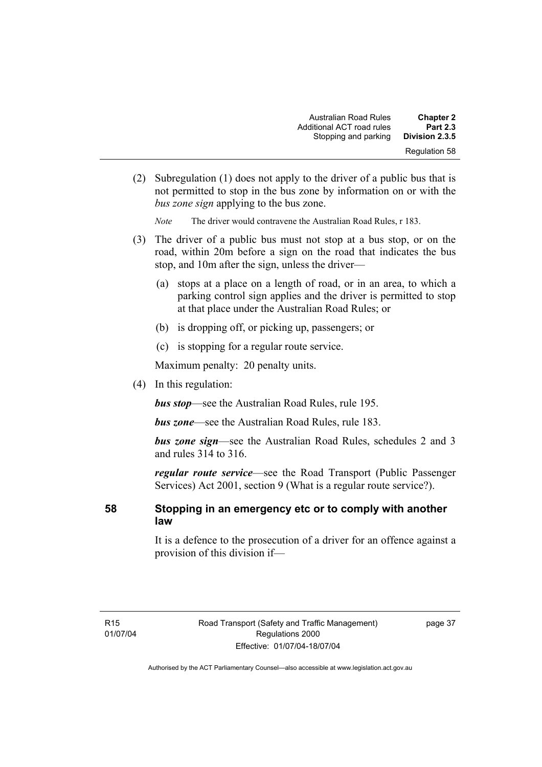| <b>Chapter 2</b> | <b>Australian Road Rules</b> |  |
|------------------|------------------------------|--|
| <b>Part 2.3</b>  | Additional ACT road rules    |  |
| Division 2.3.5   | Stopping and parking         |  |
| Regulation 58    |                              |  |

 (2) Subregulation (1) does not apply to the driver of a public bus that is not permitted to stop in the bus zone by information on or with the *bus zone sign* applying to the bus zone.

*Note* The driver would contravene the Australian Road Rules, r 183.

- (3) The driver of a public bus must not stop at a bus stop, or on the road, within 20m before a sign on the road that indicates the bus stop, and 10m after the sign, unless the driver—
	- (a) stops at a place on a length of road, or in an area, to which a parking control sign applies and the driver is permitted to stop at that place under the Australian Road Rules; or
	- (b) is dropping off, or picking up, passengers; or
	- (c) is stopping for a regular route service.

Maximum penalty: 20 penalty units.

(4) In this regulation:

*bus stop*—see the Australian Road Rules, rule 195.

*bus zone*—see the Australian Road Rules, rule 183.

*bus zone sign*—see the Australian Road Rules, schedules 2 and 3 and rules 314 to 316.

*regular route service*—see the Road Transport (Public Passenger Services) Act 2001, section 9 (What is a regular route service?).

#### **58 Stopping in an emergency etc or to comply with another law**

It is a defence to the prosecution of a driver for an offence against a provision of this division if—

page 37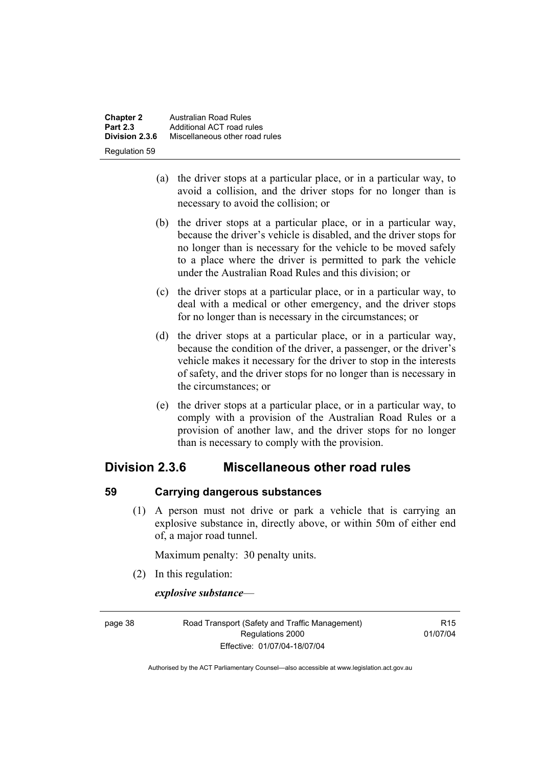**Chapter 2 Australian Road Rules**<br>**Part 2.3 Additional ACT road rules Part 2.3 Additional ACT road rules**<br>**Division 2.3.6** Miscellaneous other road **Division 2.3.6** Miscellaneous other road rules Regulation 59

- (a) the driver stops at a particular place, or in a particular way, to avoid a collision, and the driver stops for no longer than is necessary to avoid the collision; or
- (b) the driver stops at a particular place, or in a particular way, because the driver's vehicle is disabled, and the driver stops for no longer than is necessary for the vehicle to be moved safely to a place where the driver is permitted to park the vehicle under the Australian Road Rules and this division; or
- (c) the driver stops at a particular place, or in a particular way, to deal with a medical or other emergency, and the driver stops for no longer than is necessary in the circumstances; or
- (d) the driver stops at a particular place, or in a particular way, because the condition of the driver, a passenger, or the driver's vehicle makes it necessary for the driver to stop in the interests of safety, and the driver stops for no longer than is necessary in the circumstances; or
- (e) the driver stops at a particular place, or in a particular way, to comply with a provision of the Australian Road Rules or a provision of another law, and the driver stops for no longer than is necessary to comply with the provision.

# **Division 2.3.6 Miscellaneous other road rules**

# **59 Carrying dangerous substances**

 (1) A person must not drive or park a vehicle that is carrying an explosive substance in, directly above, or within 50m of either end of, a major road tunnel.

Maximum penalty: 30 penalty units.

(2) In this regulation:

*explosive substance*—

page 38 Road Transport (Safety and Traffic Management) Regulations 2000 Effective: 01/07/04-18/07/04

**R15** 01/07/04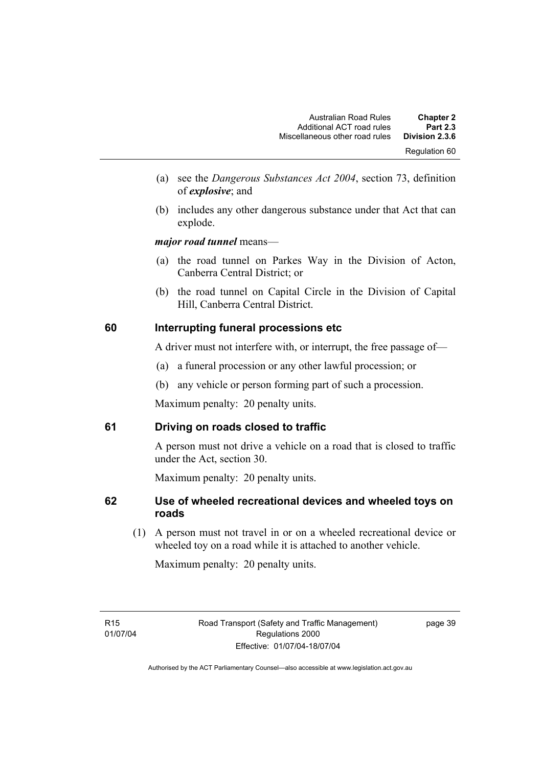- (a) see the *Dangerous Substances Act 2004*, section 73, definition of *explosive*; and
- (b) includes any other dangerous substance under that Act that can explode.

*major road tunnel* means—

- (a) the road tunnel on Parkes Way in the Division of Acton, Canberra Central District; or
- (b) the road tunnel on Capital Circle in the Division of Capital Hill, Canberra Central District.

# **60 Interrupting funeral processions etc**

A driver must not interfere with, or interrupt, the free passage of—

- (a) a funeral procession or any other lawful procession; or
- (b) any vehicle or person forming part of such a procession.

Maximum penalty: 20 penalty units.

# **61 Driving on roads closed to traffic**

A person must not drive a vehicle on a road that is closed to traffic under the Act, section 30.

Maximum penalty: 20 penalty units.

# **62 Use of wheeled recreational devices and wheeled toys on roads**

 (1) A person must not travel in or on a wheeled recreational device or wheeled toy on a road while it is attached to another vehicle.

Maximum penalty: 20 penalty units.

page 39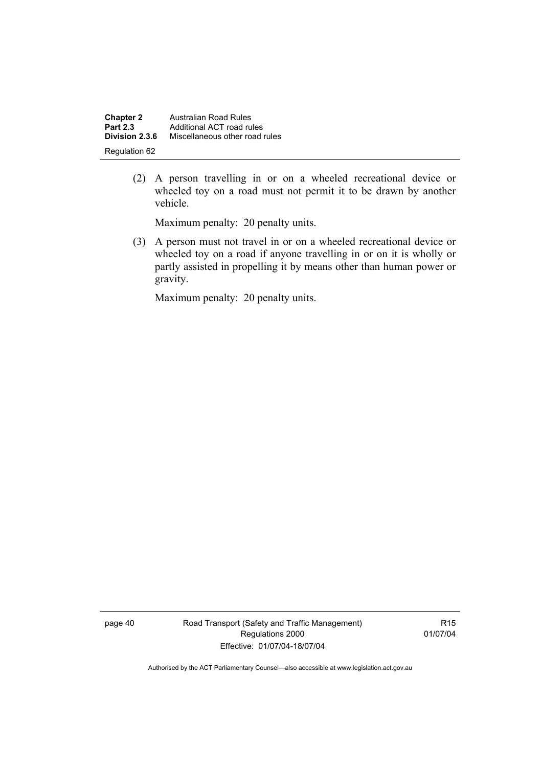| <b>Chapter 2</b> | <b>Australian Road Rules</b>   |
|------------------|--------------------------------|
| <b>Part 2.3</b>  | Additional ACT road rules      |
| Division 2.3.6   | Miscellaneous other road rules |
| Regulation 62    |                                |

 (2) A person travelling in or on a wheeled recreational device or wheeled toy on a road must not permit it to be drawn by another vehicle.

Maximum penalty: 20 penalty units.

 (3) A person must not travel in or on a wheeled recreational device or wheeled toy on a road if anyone travelling in or on it is wholly or partly assisted in propelling it by means other than human power or gravity.

Maximum penalty: 20 penalty units.

page 40 Road Transport (Safety and Traffic Management) Regulations 2000 Effective: 01/07/04-18/07/04

R15 01/07/04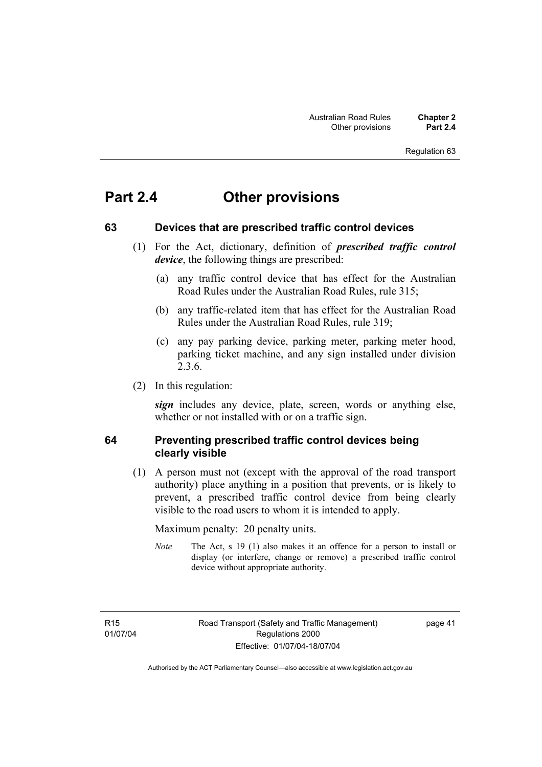# Regulation 63

# **Part 2.4 Other provisions**

#### **63 Devices that are prescribed traffic control devices**

- (1) For the Act, dictionary, definition of *prescribed traffic control device*, the following things are prescribed:
	- (a) any traffic control device that has effect for the Australian Road Rules under the Australian Road Rules, rule 315;
	- (b) any traffic-related item that has effect for the Australian Road Rules under the Australian Road Rules, rule 319;
	- (c) any pay parking device, parking meter, parking meter hood, parking ticket machine, and any sign installed under division 2.3.6.
- (2) In this regulation:

*sign* includes any device, plate, screen, words or anything else, whether or not installed with or on a traffic sign.

#### **64 Preventing prescribed traffic control devices being clearly visible**

 (1) A person must not (except with the approval of the road transport authority) place anything in a position that prevents, or is likely to prevent, a prescribed traffic control device from being clearly visible to the road users to whom it is intended to apply.

Maximum penalty: 20 penalty units.

*Note* The Act, s 19 (1) also makes it an offence for a person to install or display (or interfere, change or remove) a prescribed traffic control device without appropriate authority.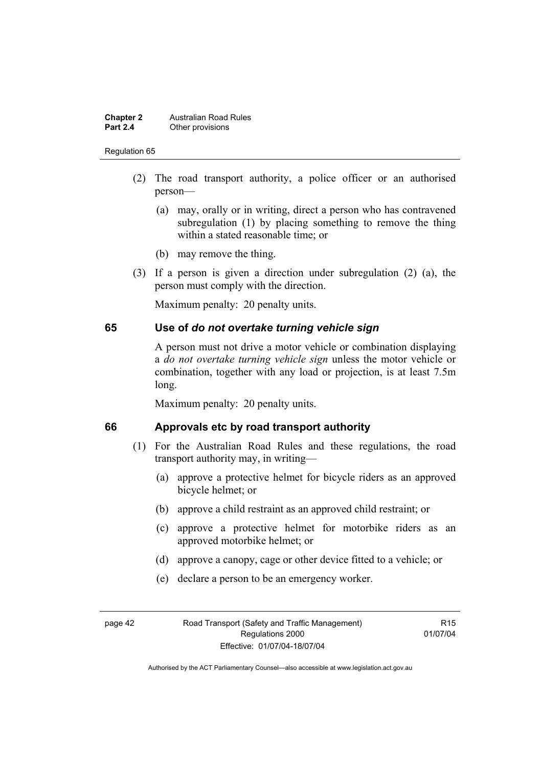#### **Chapter 2 Australian Road Rules**<br>**Part 2.4 Other provisions Other provisions**

#### Regulation 65

- (2) The road transport authority, a police officer or an authorised person—
	- (a) may, orally or in writing, direct a person who has contravened subregulation (1) by placing something to remove the thing within a stated reasonable time; or
	- (b) may remove the thing.
- (3) If a person is given a direction under subregulation (2) (a), the person must comply with the direction.

Maximum penalty: 20 penalty units.

#### **65 Use of** *do not overtake turning vehicle sign*

A person must not drive a motor vehicle or combination displaying a *do not overtake turning vehicle sign* unless the motor vehicle or combination, together with any load or projection, is at least 7.5m long.

Maximum penalty: 20 penalty units.

# **66 Approvals etc by road transport authority**

- (1) For the Australian Road Rules and these regulations, the road transport authority may, in writing—
	- (a) approve a protective helmet for bicycle riders as an approved bicycle helmet; or
	- (b) approve a child restraint as an approved child restraint; or
	- (c) approve a protective helmet for motorbike riders as an approved motorbike helmet; or
	- (d) approve a canopy, cage or other device fitted to a vehicle; or
	- (e) declare a person to be an emergency worker.

R15 01/07/04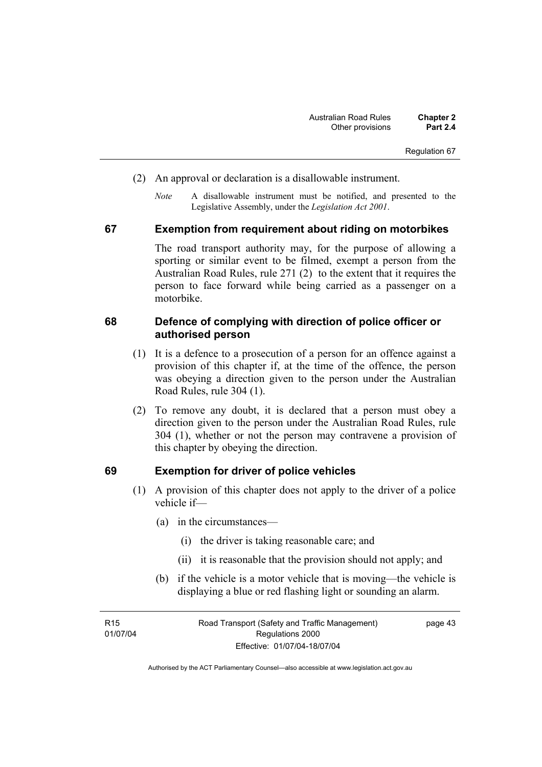Regulation 67

- (2) An approval or declaration is a disallowable instrument.
	- *Note* A disallowable instrument must be notified, and presented to the Legislative Assembly, under the *Legislation Act 2001*.

#### **67 Exemption from requirement about riding on motorbikes**

The road transport authority may, for the purpose of allowing a sporting or similar event to be filmed, exempt a person from the Australian Road Rules, rule 271 (2) to the extent that it requires the person to face forward while being carried as a passenger on a motorbike.

#### **68 Defence of complying with direction of police officer or authorised person**

- (1) It is a defence to a prosecution of a person for an offence against a provision of this chapter if, at the time of the offence, the person was obeying a direction given to the person under the Australian Road Rules, rule 304 (1).
- (2) To remove any doubt, it is declared that a person must obey a direction given to the person under the Australian Road Rules, rule 304 (1), whether or not the person may contravene a provision of this chapter by obeying the direction.

#### **69 Exemption for driver of police vehicles**

- (1) A provision of this chapter does not apply to the driver of a police vehicle if—
	- (a) in the circumstances—
		- (i) the driver is taking reasonable care; and
		- (ii) it is reasonable that the provision should not apply; and
	- (b) if the vehicle is a motor vehicle that is moving—the vehicle is displaying a blue or red flashing light or sounding an alarm.

page 43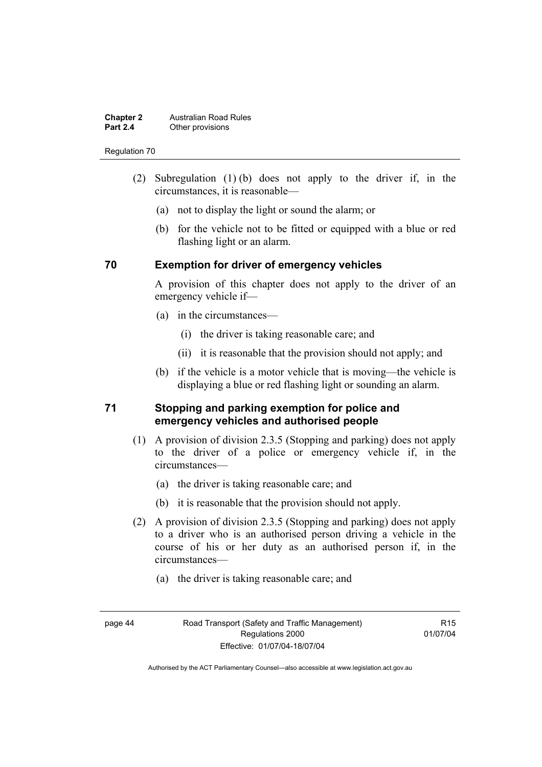#### **Chapter 2 Australian Road Rules**<br>**Part 2.4 Other provisions Other provisions**

#### Regulation 70

- (2) Subregulation (1) (b) does not apply to the driver if, in the circumstances, it is reasonable—
	- (a) not to display the light or sound the alarm; or
	- (b) for the vehicle not to be fitted or equipped with a blue or red flashing light or an alarm.

# **70 Exemption for driver of emergency vehicles**

A provision of this chapter does not apply to the driver of an emergency vehicle if—

- (a) in the circumstances—
	- (i) the driver is taking reasonable care; and
	- (ii) it is reasonable that the provision should not apply; and
- (b) if the vehicle is a motor vehicle that is moving—the vehicle is displaying a blue or red flashing light or sounding an alarm.

#### **71 Stopping and parking exemption for police and emergency vehicles and authorised people**

- (1) A provision of division 2.3.5 (Stopping and parking) does not apply to the driver of a police or emergency vehicle if, in the circumstances—
	- (a) the driver is taking reasonable care; and
	- (b) it is reasonable that the provision should not apply.
- (2) A provision of division 2.3.5 (Stopping and parking) does not apply to a driver who is an authorised person driving a vehicle in the course of his or her duty as an authorised person if, in the circumstances—
	- (a) the driver is taking reasonable care; and
- 

R15 01/07/04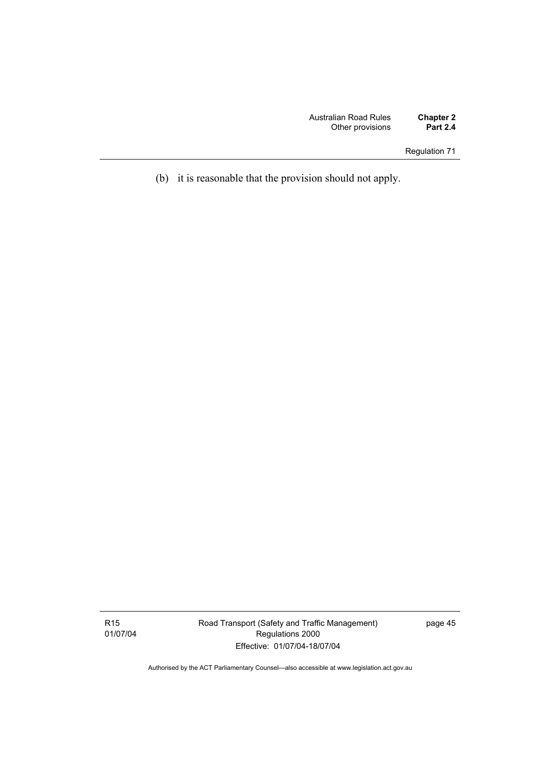Regulation 71

(b) it is reasonable that the provision should not apply.

R15 01/07/04 Road Transport (Safety and Traffic Management) Regulations 2000 Effective: 01/07/04-18/07/04

page 45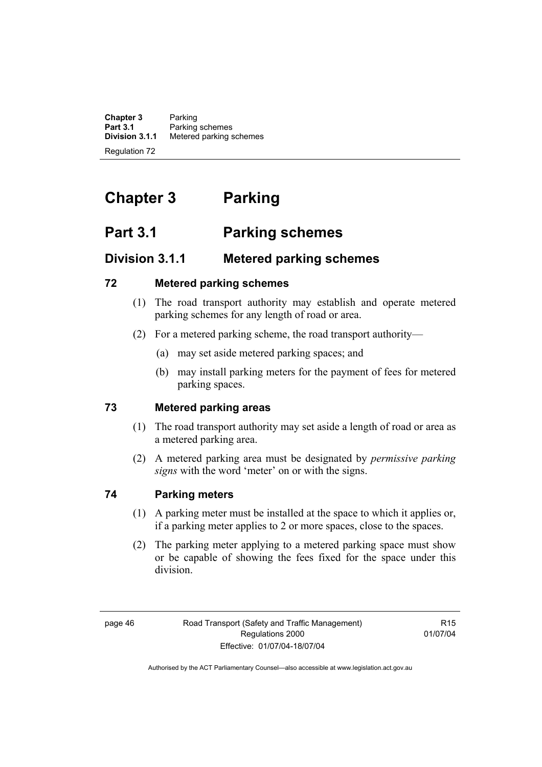**Chapter 3** Parking<br>**Part 3.1** Parking **Part 3.1** Parking schemes<br>**Division 3.1.1** Metered parking s **Division 3.1.1** Metered parking schemes Regulation 72

# **Chapter 3 Parking**

# **Part 3.1 Parking schemes**

# **Division 3.1.1 Metered parking schemes**

# **72 Metered parking schemes**

- (1) The road transport authority may establish and operate metered parking schemes for any length of road or area.
- (2) For a metered parking scheme, the road transport authority—
	- (a) may set aside metered parking spaces; and
	- (b) may install parking meters for the payment of fees for metered parking spaces.

# **73 Metered parking areas**

- (1) The road transport authority may set aside a length of road or area as a metered parking area.
- (2) A metered parking area must be designated by *permissive parking signs* with the word 'meter' on or with the signs.

# **74 Parking meters**

- (1) A parking meter must be installed at the space to which it applies or, if a parking meter applies to 2 or more spaces, close to the spaces.
- (2) The parking meter applying to a metered parking space must show or be capable of showing the fees fixed for the space under this division.

**R15** 01/07/04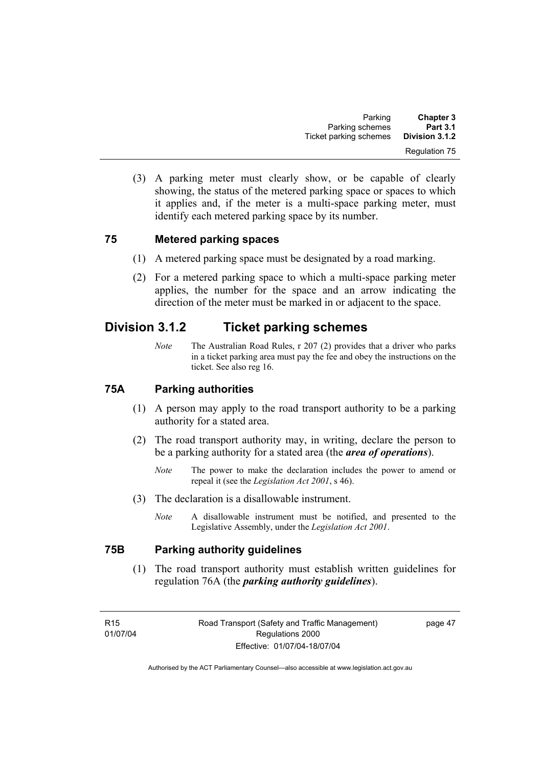(3) A parking meter must clearly show, or be capable of clearly showing, the status of the metered parking space or spaces to which it applies and, if the meter is a multi-space parking meter, must identify each metered parking space by its number.

# **75 Metered parking spaces**

- (1) A metered parking space must be designated by a road marking.
- (2) For a metered parking space to which a multi-space parking meter applies, the number for the space and an arrow indicating the direction of the meter must be marked in or adjacent to the space.

# **Division 3.1.2 Ticket parking schemes**

*Note* The Australian Road Rules, r 207 (2) provides that a driver who parks in a ticket parking area must pay the fee and obey the instructions on the ticket. See also reg 16.

#### **75A Parking authorities**

- (1) A person may apply to the road transport authority to be a parking authority for a stated area.
- (2) The road transport authority may, in writing, declare the person to be a parking authority for a stated area (the *area of operations*).
	- *Note* The power to make the declaration includes the power to amend or repeal it (see the *Legislation Act 2001*, s 46).
- (3) The declaration is a disallowable instrument.
	- *Note* A disallowable instrument must be notified, and presented to the Legislative Assembly, under the *Legislation Act 2001*.

# **75B Parking authority guidelines**

 (1) The road transport authority must establish written guidelines for regulation 76A (the *parking authority guidelines*).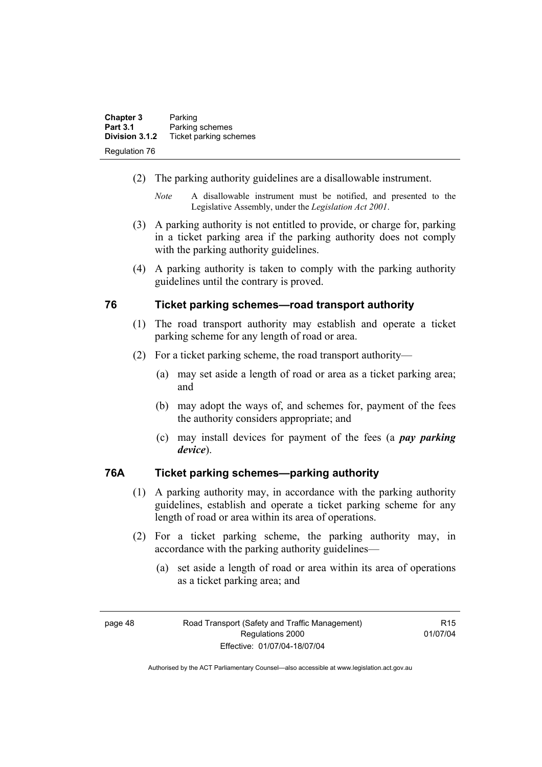| <b>Chapter 3</b> | Parking                |
|------------------|------------------------|
| <b>Part 3.1</b>  | Parking schemes        |
| Division 3.1.2   | Ticket parking schemes |
| Regulation 76    |                        |

- (2) The parking authority guidelines are a disallowable instrument.
	- *Note* A disallowable instrument must be notified, and presented to the Legislative Assembly, under the *Legislation Act 2001*.
- (3) A parking authority is not entitled to provide, or charge for, parking in a ticket parking area if the parking authority does not comply with the parking authority guidelines.
- (4) A parking authority is taken to comply with the parking authority guidelines until the contrary is proved.

#### **76 Ticket parking schemes—road transport authority**

- (1) The road transport authority may establish and operate a ticket parking scheme for any length of road or area.
- (2) For a ticket parking scheme, the road transport authority—
	- (a) may set aside a length of road or area as a ticket parking area; and
	- (b) may adopt the ways of, and schemes for, payment of the fees the authority considers appropriate; and
	- (c) may install devices for payment of the fees (a *pay parking device*).

# **76A Ticket parking schemes—parking authority**

- (1) A parking authority may, in accordance with the parking authority guidelines, establish and operate a ticket parking scheme for any length of road or area within its area of operations.
- (2) For a ticket parking scheme, the parking authority may, in accordance with the parking authority guidelines—
	- (a) set aside a length of road or area within its area of operations as a ticket parking area; and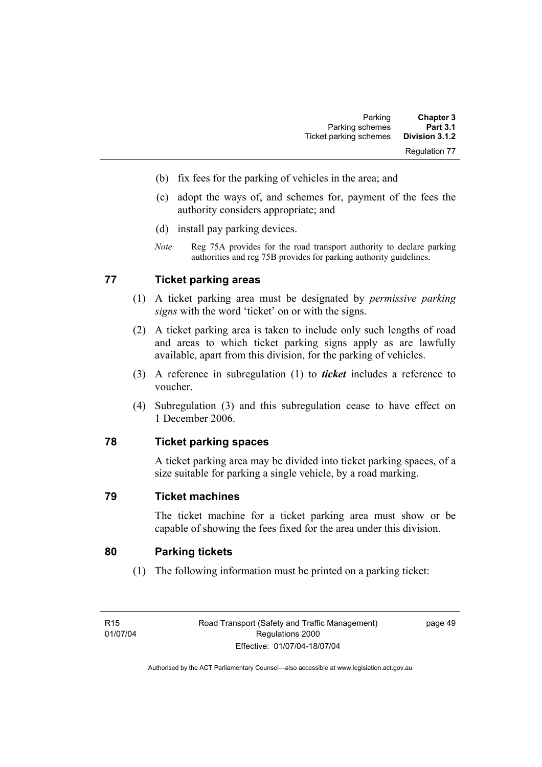- (b) fix fees for the parking of vehicles in the area; and
- (c) adopt the ways of, and schemes for, payment of the fees the authority considers appropriate; and
- (d) install pay parking devices.
- *Note* Reg 75A provides for the road transport authority to declare parking authorities and reg 75B provides for parking authority guidelines.

#### **77 Ticket parking areas**

- (1) A ticket parking area must be designated by *permissive parking signs* with the word 'ticket' on or with the signs.
- (2) A ticket parking area is taken to include only such lengths of road and areas to which ticket parking signs apply as are lawfully available, apart from this division, for the parking of vehicles.
- (3) A reference in subregulation (1) to *ticket* includes a reference to voucher.
- (4) Subregulation (3) and this subregulation cease to have effect on 1 December 2006.

#### **78 Ticket parking spaces**

A ticket parking area may be divided into ticket parking spaces, of a size suitable for parking a single vehicle, by a road marking.

#### **79 Ticket machines**

The ticket machine for a ticket parking area must show or be capable of showing the fees fixed for the area under this division.

#### **80 Parking tickets**

(1) The following information must be printed on a parking ticket: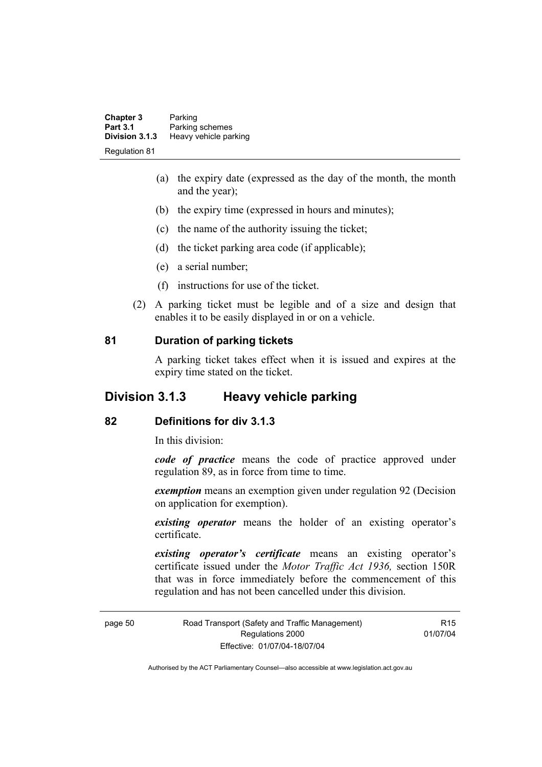| <b>Chapter 3</b>     | Parking               |
|----------------------|-----------------------|
| <b>Part 3.1</b>      | Parking schemes       |
| Division 3.1.3       | Heavy vehicle parking |
| <b>Regulation 81</b> |                       |

- (a) the expiry date (expressed as the day of the month, the month and the year);
- (b) the expiry time (expressed in hours and minutes);
- (c) the name of the authority issuing the ticket;
- (d) the ticket parking area code (if applicable);
- (e) a serial number;
- (f) instructions for use of the ticket.
- (2) A parking ticket must be legible and of a size and design that enables it to be easily displayed in or on a vehicle.

#### **81 Duration of parking tickets**

A parking ticket takes effect when it is issued and expires at the expiry time stated on the ticket.

# **Division 3.1.3 Heavy vehicle parking**

#### **82 Definitions for div 3.1.3**

In this division:

*code of practice* means the code of practice approved under regulation 89, as in force from time to time.

*exemption* means an exemption given under regulation 92 (Decision on application for exemption).

*existing operator* means the holder of an existing operator's certificate.

*existing operator's certificate* means an existing operator's certificate issued under the *Motor Traffic Act 1936,* section 150R that was in force immediately before the commencement of this regulation and has not been cancelled under this division.

page 50 Road Transport (Safety and Traffic Management) Regulations 2000 Effective: 01/07/04-18/07/04

R15 01/07/04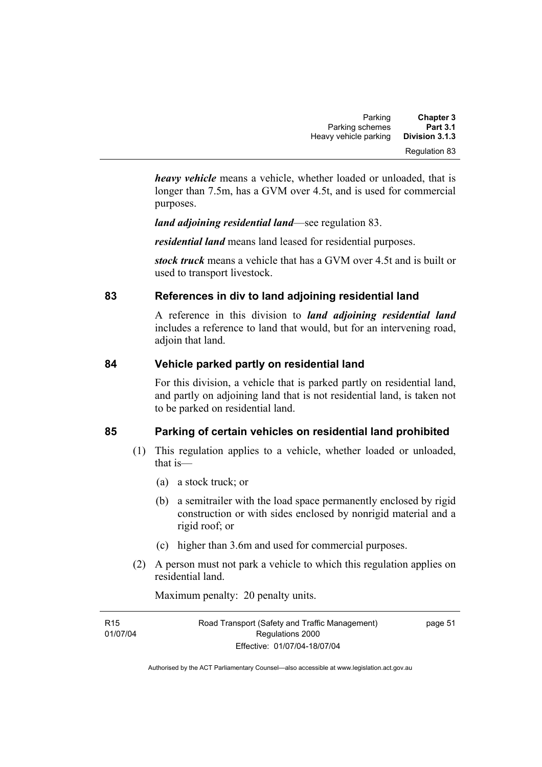| Parking               | <b>Chapter 3</b> |
|-----------------------|------------------|
| Parking schemes       | <b>Part 3.1</b>  |
| Heavy vehicle parking | Division 3.1.3   |
|                       | Regulation 83    |

*heavy vehicle* means a vehicle, whether loaded or unloaded, that is longer than 7.5m, has a GVM over 4.5t, and is used for commercial purposes.

*land adjoining residential land*—see regulation 83.

*residential land* means land leased for residential purposes.

*stock truck* means a vehicle that has a GVM over 4.5t and is built or used to transport livestock.

# **83 References in div to land adjoining residential land**

A reference in this division to *land adjoining residential land* includes a reference to land that would, but for an intervening road, adjoin that land.

# **84 Vehicle parked partly on residential land**

For this division, a vehicle that is parked partly on residential land, and partly on adjoining land that is not residential land, is taken not to be parked on residential land.

# **85 Parking of certain vehicles on residential land prohibited**

- (1) This regulation applies to a vehicle, whether loaded or unloaded, that is—
	- (a) a stock truck; or
	- (b) a semitrailer with the load space permanently enclosed by rigid construction or with sides enclosed by nonrigid material and a rigid roof; or
	- (c) higher than 3.6m and used for commercial purposes.
- (2) A person must not park a vehicle to which this regulation applies on residential land.

Maximum penalty: 20 penalty units.

| R15      | Road Transport (Safety and Traffic Management) | page 51 |
|----------|------------------------------------------------|---------|
| 01/07/04 | Regulations 2000                               |         |
|          | Effective: 01/07/04-18/07/04                   |         |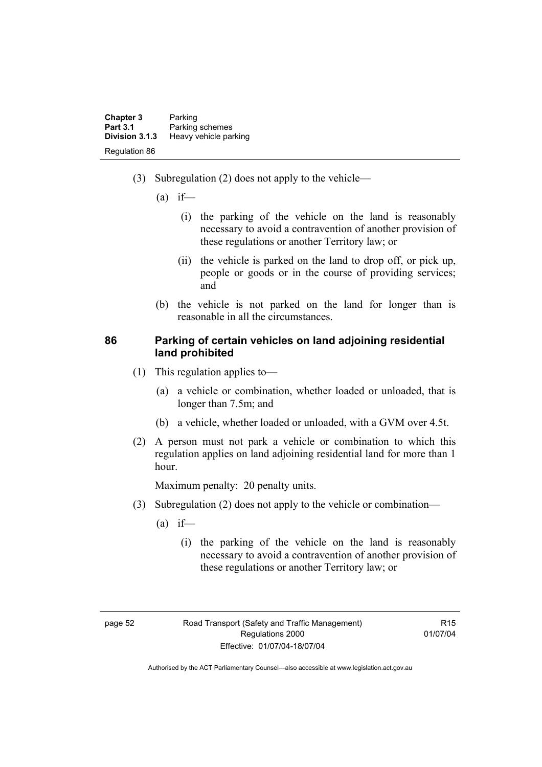| <b>Chapter 3</b> | Parking               |
|------------------|-----------------------|
| <b>Part 3.1</b>  | Parking schemes       |
| Division 3.1.3   | Heavy vehicle parking |
| Regulation 86    |                       |

- (3) Subregulation (2) does not apply to the vehicle—
	- $(a)$  if—
		- (i) the parking of the vehicle on the land is reasonably necessary to avoid a contravention of another provision of these regulations or another Territory law; or
		- (ii) the vehicle is parked on the land to drop off, or pick up, people or goods or in the course of providing services; and
	- (b) the vehicle is not parked on the land for longer than is reasonable in all the circumstances.

#### **86 Parking of certain vehicles on land adjoining residential land prohibited**

- (1) This regulation applies to—
	- (a) a vehicle or combination, whether loaded or unloaded, that is longer than 7.5m; and
	- (b) a vehicle, whether loaded or unloaded, with a GVM over 4.5t.
- (2) A person must not park a vehicle or combination to which this regulation applies on land adjoining residential land for more than 1 hour.

Maximum penalty: 20 penalty units.

- (3) Subregulation (2) does not apply to the vehicle or combination—
	- $(a)$  if—
		- (i) the parking of the vehicle on the land is reasonably necessary to avoid a contravention of another provision of these regulations or another Territory law; or

R15 01/07/04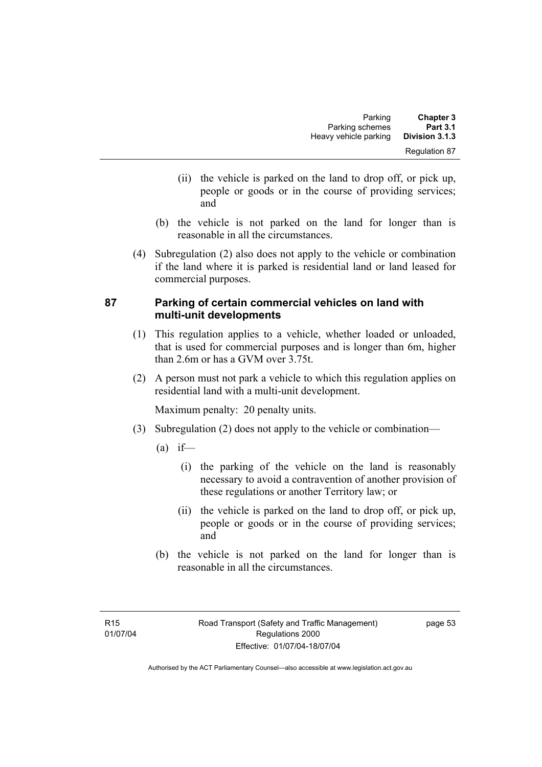- (ii) the vehicle is parked on the land to drop off, or pick up, people or goods or in the course of providing services; and
- (b) the vehicle is not parked on the land for longer than is reasonable in all the circumstances.
- (4) Subregulation (2) also does not apply to the vehicle or combination if the land where it is parked is residential land or land leased for commercial purposes.

# **87 Parking of certain commercial vehicles on land with multi-unit developments**

- (1) This regulation applies to a vehicle, whether loaded or unloaded, that is used for commercial purposes and is longer than 6m, higher than 2.6m or has a GVM over 3.75t.
- (2) A person must not park a vehicle to which this regulation applies on residential land with a multi-unit development.

Maximum penalty: 20 penalty units.

- (3) Subregulation (2) does not apply to the vehicle or combination—
	- $(a)$  if—
		- (i) the parking of the vehicle on the land is reasonably necessary to avoid a contravention of another provision of these regulations or another Territory law; or
		- (ii) the vehicle is parked on the land to drop off, or pick up, people or goods or in the course of providing services; and
	- (b) the vehicle is not parked on the land for longer than is reasonable in all the circumstances.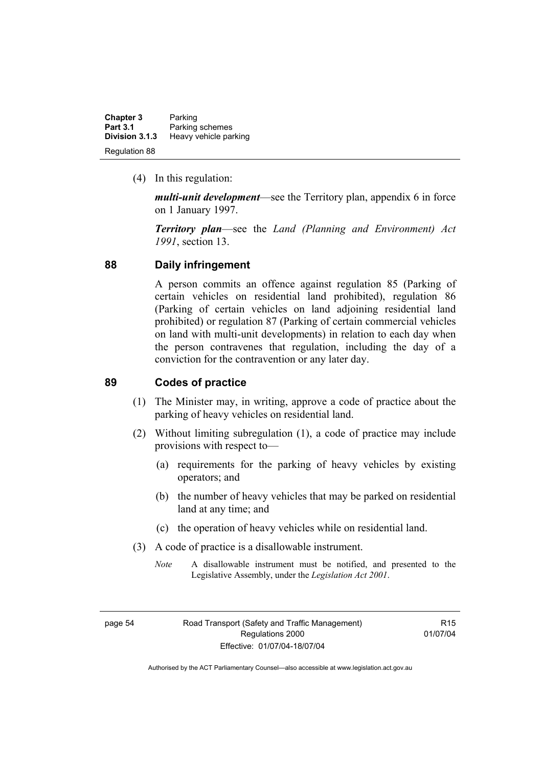| <b>Chapter 3</b> | Parking               |
|------------------|-----------------------|
| <b>Part 3.1</b>  | Parking schemes       |
| Division 3.1.3   | Heavy vehicle parking |
| Regulation 88    |                       |

(4) In this regulation:

*multi-unit development*—see the Territory plan, appendix 6 in force on 1 January 1997.

*Territory plan*—see the *Land (Planning and Environment) Act 1991*, section 13.

#### **88 Daily infringement**

A person commits an offence against regulation 85 (Parking of certain vehicles on residential land prohibited), regulation 86 (Parking of certain vehicles on land adjoining residential land prohibited) or regulation 87 (Parking of certain commercial vehicles on land with multi-unit developments) in relation to each day when the person contravenes that regulation, including the day of a conviction for the contravention or any later day.

### **89 Codes of practice**

- (1) The Minister may, in writing, approve a code of practice about the parking of heavy vehicles on residential land.
- (2) Without limiting subregulation (1), a code of practice may include provisions with respect to—
	- (a) requirements for the parking of heavy vehicles by existing operators; and
	- (b) the number of heavy vehicles that may be parked on residential land at any time; and
	- (c) the operation of heavy vehicles while on residential land.
- (3) A code of practice is a disallowable instrument.
	- *Note* A disallowable instrument must be notified, and presented to the Legislative Assembly, under the *Legislation Act 2001*.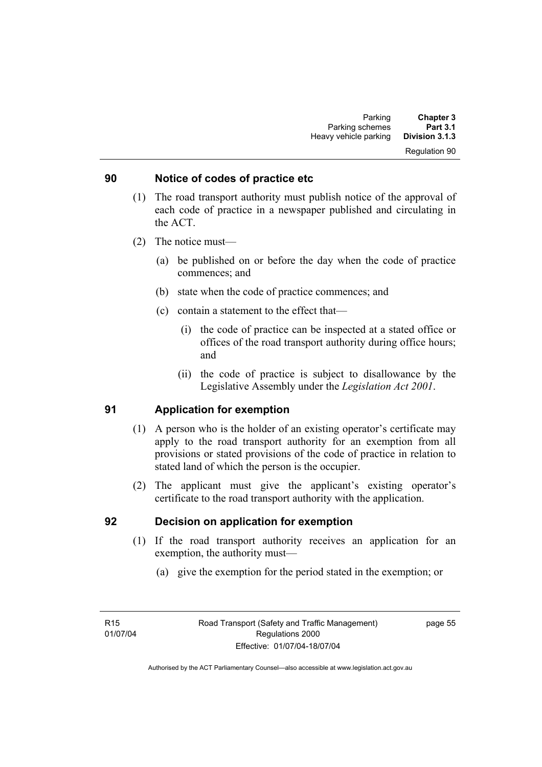#### Regulation 90

#### **90 Notice of codes of practice etc**

- (1) The road transport authority must publish notice of the approval of each code of practice in a newspaper published and circulating in the ACT.
- (2) The notice must—
	- (a) be published on or before the day when the code of practice commences; and
	- (b) state when the code of practice commences; and
	- (c) contain a statement to the effect that—
		- (i) the code of practice can be inspected at a stated office or offices of the road transport authority during office hours; and
		- (ii) the code of practice is subject to disallowance by the Legislative Assembly under the *Legislation Act 2001*.

### **91 Application for exemption**

- (1) A person who is the holder of an existing operator's certificate may apply to the road transport authority for an exemption from all provisions or stated provisions of the code of practice in relation to stated land of which the person is the occupier.
- (2) The applicant must give the applicant's existing operator's certificate to the road transport authority with the application.

#### **92 Decision on application for exemption**

- (1) If the road transport authority receives an application for an exemption, the authority must—
	- (a) give the exemption for the period stated in the exemption; or

page 55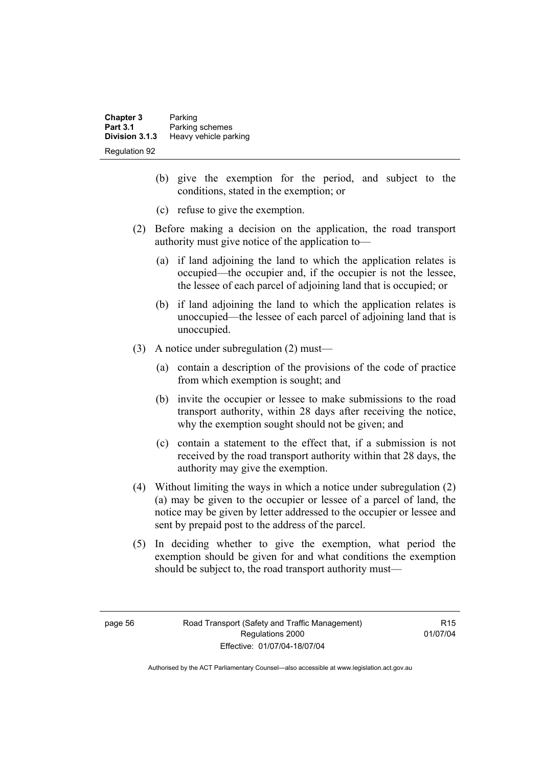| <b>Chapter 3</b><br><b>Part 3.1</b> | Parking<br>Parking schemes |
|-------------------------------------|----------------------------|
| Division 3.1.3                      | Heavy vehicle parking      |
| Regulation 92                       |                            |

- (b) give the exemption for the period, and subject to the conditions, stated in the exemption; or
- (c) refuse to give the exemption.
- (2) Before making a decision on the application, the road transport authority must give notice of the application to—
	- (a) if land adjoining the land to which the application relates is occupied—the occupier and, if the occupier is not the lessee, the lessee of each parcel of adjoining land that is occupied; or
	- (b) if land adjoining the land to which the application relates is unoccupied—the lessee of each parcel of adjoining land that is unoccupied.
- (3) A notice under subregulation (2) must—
	- (a) contain a description of the provisions of the code of practice from which exemption is sought; and
	- (b) invite the occupier or lessee to make submissions to the road transport authority, within 28 days after receiving the notice, why the exemption sought should not be given; and
	- (c) contain a statement to the effect that, if a submission is not received by the road transport authority within that 28 days, the authority may give the exemption.
- (4) Without limiting the ways in which a notice under subregulation (2) (a) may be given to the occupier or lessee of a parcel of land, the notice may be given by letter addressed to the occupier or lessee and sent by prepaid post to the address of the parcel.
- (5) In deciding whether to give the exemption, what period the exemption should be given for and what conditions the exemption should be subject to, the road transport authority must—

R15 01/07/04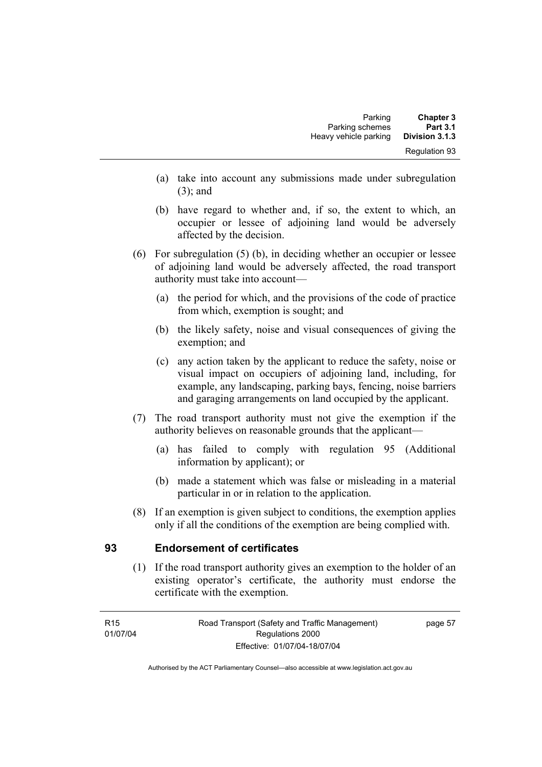- (a) take into account any submissions made under subregulation (3); and
- (b) have regard to whether and, if so, the extent to which, an occupier or lessee of adjoining land would be adversely affected by the decision.
- (6) For subregulation (5) (b), in deciding whether an occupier or lessee of adjoining land would be adversely affected, the road transport authority must take into account—
	- (a) the period for which, and the provisions of the code of practice from which, exemption is sought; and
	- (b) the likely safety, noise and visual consequences of giving the exemption; and
	- (c) any action taken by the applicant to reduce the safety, noise or visual impact on occupiers of adjoining land, including, for example, any landscaping, parking bays, fencing, noise barriers and garaging arrangements on land occupied by the applicant.
- (7) The road transport authority must not give the exemption if the authority believes on reasonable grounds that the applicant—
	- (a) has failed to comply with regulation 95 (Additional information by applicant); or
	- (b) made a statement which was false or misleading in a material particular in or in relation to the application.
- (8) If an exemption is given subject to conditions, the exemption applies only if all the conditions of the exemption are being complied with.

# **93 Endorsement of certificates**

 (1) If the road transport authority gives an exemption to the holder of an existing operator's certificate, the authority must endorse the certificate with the exemption.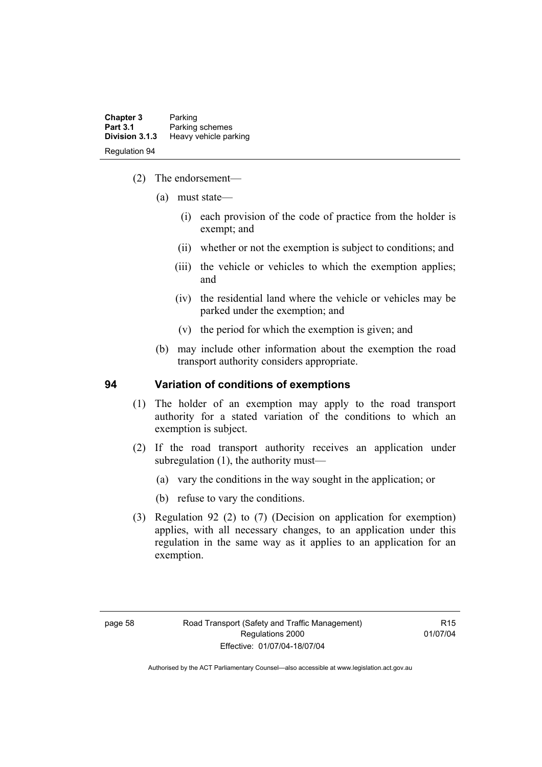| <b>Chapter 3</b>     | Parking               |
|----------------------|-----------------------|
| <b>Part 3.1</b>      | Parking schemes       |
| Division 3.1.3       | Heavy vehicle parking |
| <b>Regulation 94</b> |                       |

- (2) The endorsement—
	- (a) must state—
		- (i) each provision of the code of practice from the holder is exempt; and
		- (ii) whether or not the exemption is subject to conditions; and
		- (iii) the vehicle or vehicles to which the exemption applies; and
		- (iv) the residential land where the vehicle or vehicles may be parked under the exemption; and
		- (v) the period for which the exemption is given; and
	- (b) may include other information about the exemption the road transport authority considers appropriate.

#### **94 Variation of conditions of exemptions**

- (1) The holder of an exemption may apply to the road transport authority for a stated variation of the conditions to which an exemption is subject.
- (2) If the road transport authority receives an application under subregulation (1), the authority must—
	- (a) vary the conditions in the way sought in the application; or
	- (b) refuse to vary the conditions.
- (3) Regulation 92 (2) to (7) (Decision on application for exemption) applies, with all necessary changes, to an application under this regulation in the same way as it applies to an application for an exemption.

R15 01/07/04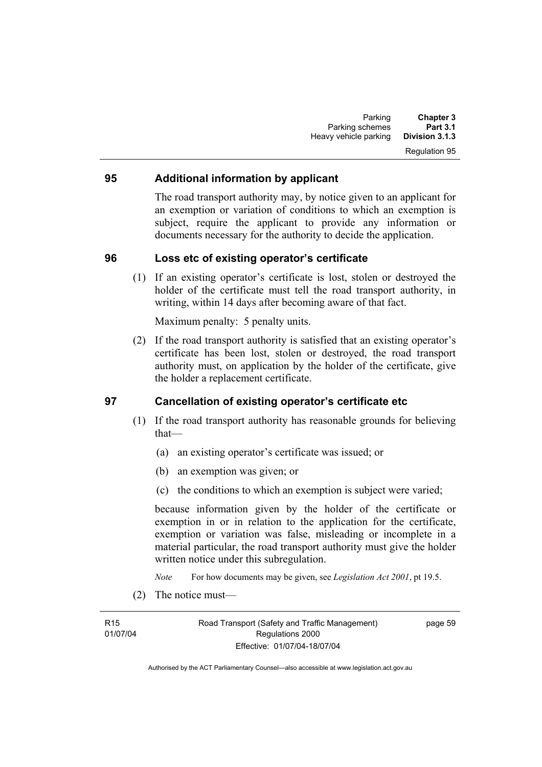#### **95 Additional information by applicant**

The road transport authority may, by notice given to an applicant for an exemption or variation of conditions to which an exemption is subject, require the applicant to provide any information or documents necessary for the authority to decide the application.

#### **96 Loss etc of existing operator's certificate**

 (1) If an existing operator's certificate is lost, stolen or destroyed the holder of the certificate must tell the road transport authority, in writing, within 14 days after becoming aware of that fact.

Maximum penalty: 5 penalty units.

 (2) If the road transport authority is satisfied that an existing operator's certificate has been lost, stolen or destroyed, the road transport authority must, on application by the holder of the certificate, give the holder a replacement certificate.

#### **97 Cancellation of existing operator's certificate etc**

- (1) If the road transport authority has reasonable grounds for believing that—
	- (a) an existing operator's certificate was issued; or
	- (b) an exemption was given; or
	- (c) the conditions to which an exemption is subject were varied;

because information given by the holder of the certificate or exemption in or in relation to the application for the certificate, exemption or variation was false, misleading or incomplete in a material particular, the road transport authority must give the holder written notice under this subregulation.

*Note* For how documents may be given, see *Legislation Act 2001*, pt 19.5.

(2) The notice must—

R15 01/07/04 Road Transport (Safety and Traffic Management) Regulations 2000 Effective: 01/07/04-18/07/04

page 59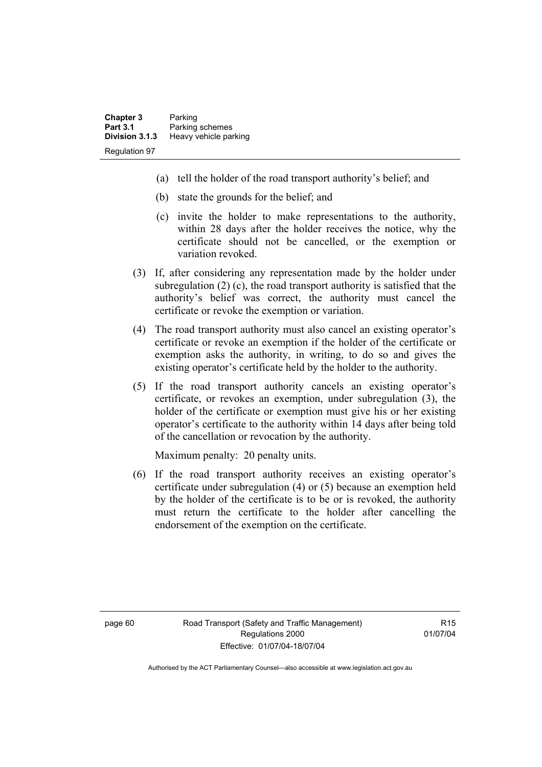- (a) tell the holder of the road transport authority's belief; and
- (b) state the grounds for the belief; and
- (c) invite the holder to make representations to the authority, within 28 days after the holder receives the notice, why the certificate should not be cancelled, or the exemption or variation revoked.
- (3) If, after considering any representation made by the holder under subregulation (2) (c), the road transport authority is satisfied that the authority's belief was correct, the authority must cancel the certificate or revoke the exemption or variation.
- (4) The road transport authority must also cancel an existing operator's certificate or revoke an exemption if the holder of the certificate or exemption asks the authority, in writing, to do so and gives the existing operator's certificate held by the holder to the authority.
- (5) If the road transport authority cancels an existing operator's certificate, or revokes an exemption, under subregulation (3), the holder of the certificate or exemption must give his or her existing operator's certificate to the authority within 14 days after being told of the cancellation or revocation by the authority.

Maximum penalty: 20 penalty units.

 (6) If the road transport authority receives an existing operator's certificate under subregulation (4) or (5) because an exemption held by the holder of the certificate is to be or is revoked, the authority must return the certificate to the holder after cancelling the endorsement of the exemption on the certificate.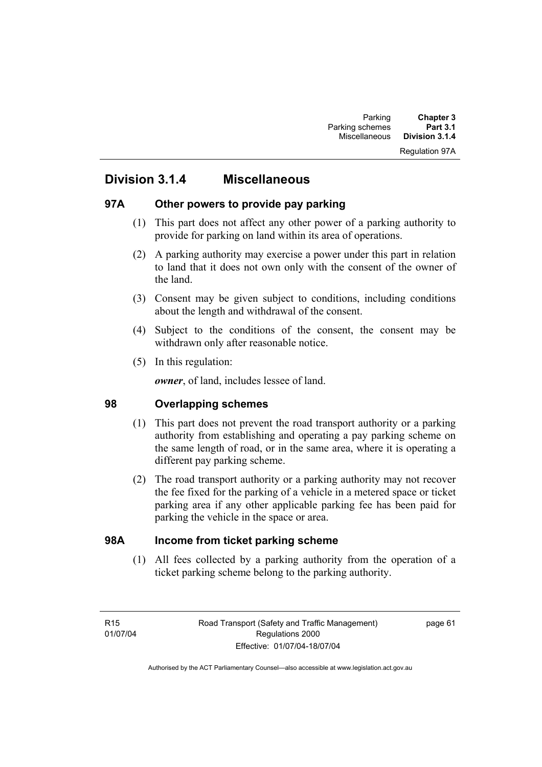#### Regulation 97A

# **Division 3.1.4 Miscellaneous**

#### **97A Other powers to provide pay parking**

- (1) This part does not affect any other power of a parking authority to provide for parking on land within its area of operations.
- (2) A parking authority may exercise a power under this part in relation to land that it does not own only with the consent of the owner of the land.
- (3) Consent may be given subject to conditions, including conditions about the length and withdrawal of the consent.
- (4) Subject to the conditions of the consent, the consent may be withdrawn only after reasonable notice.
- (5) In this regulation:

*owner*, of land, includes lessee of land.

### **98 Overlapping schemes**

- (1) This part does not prevent the road transport authority or a parking authority from establishing and operating a pay parking scheme on the same length of road, or in the same area, where it is operating a different pay parking scheme.
- (2) The road transport authority or a parking authority may not recover the fee fixed for the parking of a vehicle in a metered space or ticket parking area if any other applicable parking fee has been paid for parking the vehicle in the space or area.

#### **98A Income from ticket parking scheme**

 (1) All fees collected by a parking authority from the operation of a ticket parking scheme belong to the parking authority.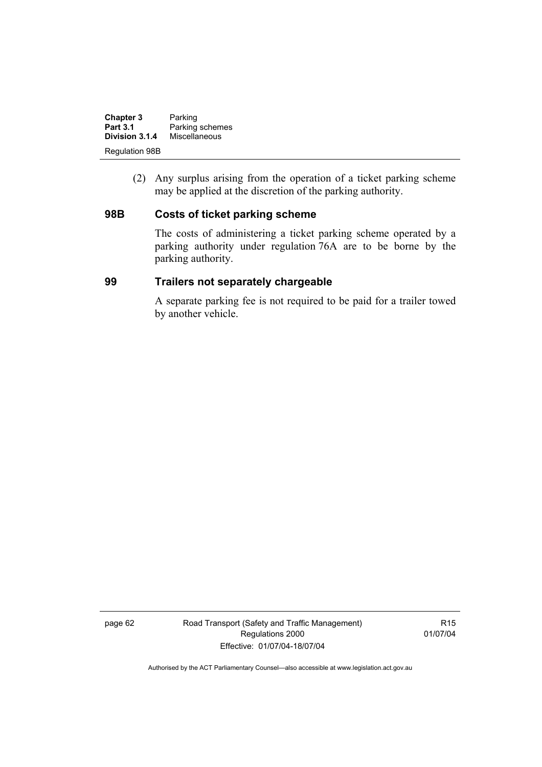| <b>Chapter 3</b>      | Parking         |
|-----------------------|-----------------|
| <b>Part 3.1</b>       | Parking schemes |
| Division 3.1.4        | Miscellaneous   |
| <b>Regulation 98B</b> |                 |

 (2) Any surplus arising from the operation of a ticket parking scheme may be applied at the discretion of the parking authority.

#### **98B Costs of ticket parking scheme**

The costs of administering a ticket parking scheme operated by a parking authority under regulation 76A are to be borne by the parking authority.

#### **99 Trailers not separately chargeable**

A separate parking fee is not required to be paid for a trailer towed by another vehicle.

page 62 Road Transport (Safety and Traffic Management) Regulations 2000 Effective: 01/07/04-18/07/04

R15 01/07/04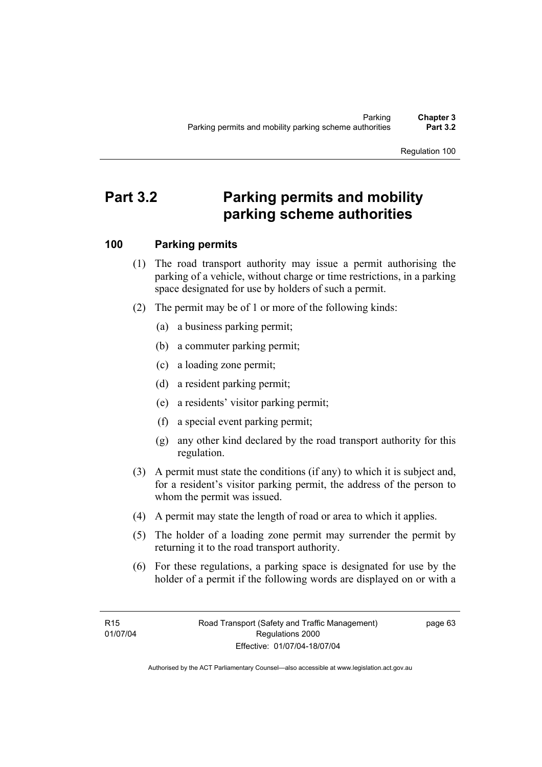# **Part 3.2 Parking permits and mobility parking scheme authorities**

# **100 Parking permits**

- (1) The road transport authority may issue a permit authorising the parking of a vehicle, without charge or time restrictions, in a parking space designated for use by holders of such a permit.
- (2) The permit may be of 1 or more of the following kinds:
	- (a) a business parking permit;
	- (b) a commuter parking permit;
	- (c) a loading zone permit;
	- (d) a resident parking permit;
	- (e) a residents' visitor parking permit;
	- (f) a special event parking permit;
	- (g) any other kind declared by the road transport authority for this regulation.
- (3) A permit must state the conditions (if any) to which it is subject and, for a resident's visitor parking permit, the address of the person to whom the permit was issued.
- (4) A permit may state the length of road or area to which it applies.
- (5) The holder of a loading zone permit may surrender the permit by returning it to the road transport authority.
- (6) For these regulations, a parking space is designated for use by the holder of a permit if the following words are displayed on or with a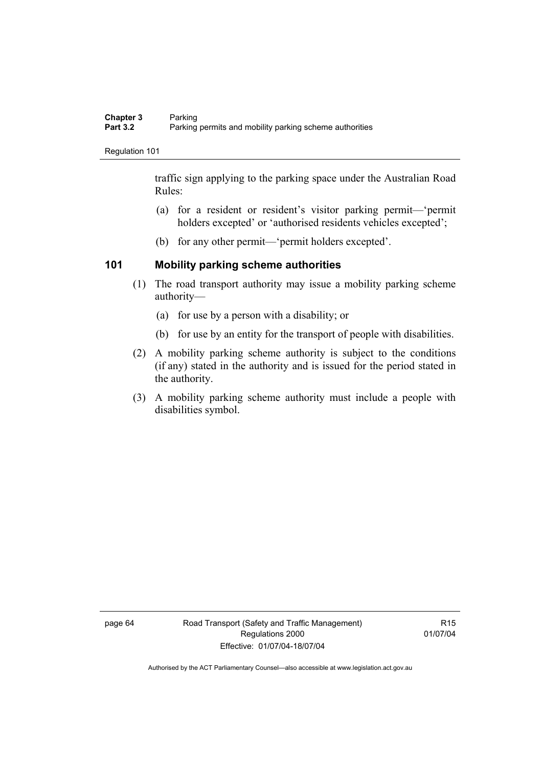traffic sign applying to the parking space under the Australian Road Rules:

- (a) for a resident or resident's visitor parking permit—'permit holders excepted' or 'authorised residents vehicles excepted';
- (b) for any other permit—'permit holders excepted'.

# **101 Mobility parking scheme authorities**

- (1) The road transport authority may issue a mobility parking scheme authority—
	- (a) for use by a person with a disability; or
	- (b) for use by an entity for the transport of people with disabilities.
- (2) A mobility parking scheme authority is subject to the conditions (if any) stated in the authority and is issued for the period stated in the authority.
- (3) A mobility parking scheme authority must include a people with disabilities symbol.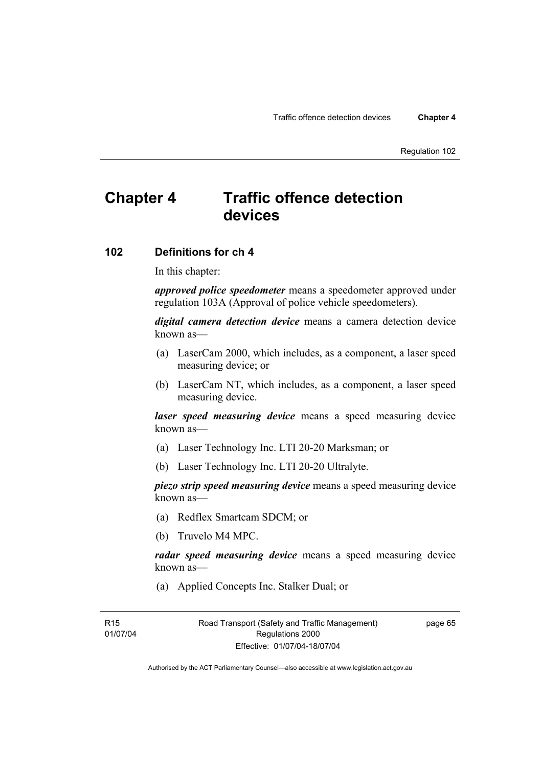# **Chapter 4 Traffic offence detection devices**

## **102 Definitions for ch 4**

In this chapter:

*approved police speedometer* means a speedometer approved under regulation 103A (Approval of police vehicle speedometers).

*digital camera detection device* means a camera detection device known as—

- (a) LaserCam 2000, which includes, as a component, a laser speed measuring device; or
- (b) LaserCam NT, which includes, as a component, a laser speed measuring device.

*laser speed measuring device* means a speed measuring device known as—

- (a) Laser Technology Inc. LTI 20-20 Marksman; or
- (b) Laser Technology Inc. LTI 20-20 Ultralyte.

*piezo strip speed measuring device* means a speed measuring device known as—

- (a) Redflex Smartcam SDCM; or
- (b) Truvelo M4 MPC.

*radar speed measuring device* means a speed measuring device known as—

(a) Applied Concepts Inc. Stalker Dual; or

page 65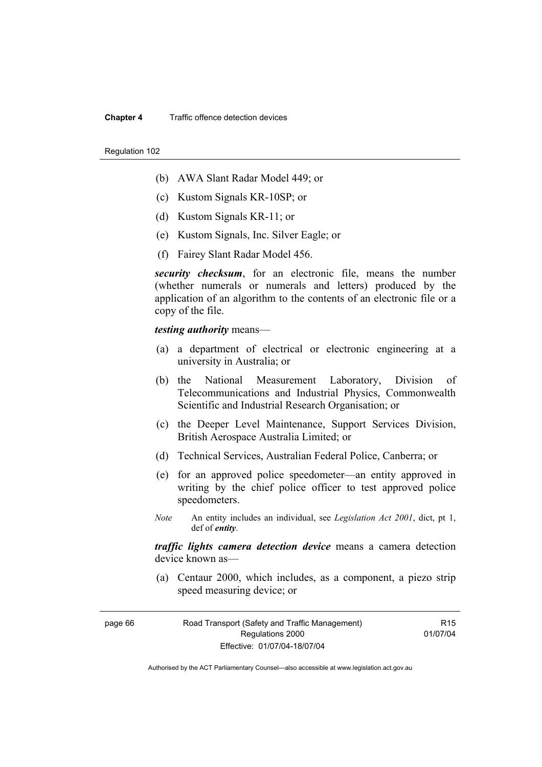#### **Chapter 4** Traffic offence detection devices

#### Regulation 102

- (b) AWA Slant Radar Model 449; or
- (c) Kustom Signals KR-10SP; or
- (d) Kustom Signals KR-11; or
- (e) Kustom Signals, Inc. Silver Eagle; or
- (f) Fairey Slant Radar Model 456.

*security checksum*, for an electronic file, means the number (whether numerals or numerals and letters) produced by the application of an algorithm to the contents of an electronic file or a copy of the file.

*testing authority* means—

- (a) a department of electrical or electronic engineering at a university in Australia; or
- (b) the National Measurement Laboratory, Division of Telecommunications and Industrial Physics, Commonwealth Scientific and Industrial Research Organisation; or
- (c) the Deeper Level Maintenance, Support Services Division, British Aerospace Australia Limited; or
- (d) Technical Services, Australian Federal Police, Canberra; or
- (e) for an approved police speedometer—an entity approved in writing by the chief police officer to test approved police speedometers.
- *Note* An entity includes an individual, see *Legislation Act 2001*, dict, pt 1, def of *entity*.

*traffic lights camera detection device* means a camera detection device known as—

 (a) Centaur 2000, which includes, as a component, a piezo strip speed measuring device; or

page 66 Road Transport (Safety and Traffic Management) Regulations 2000 Effective: 01/07/04-18/07/04

R15 01/07/04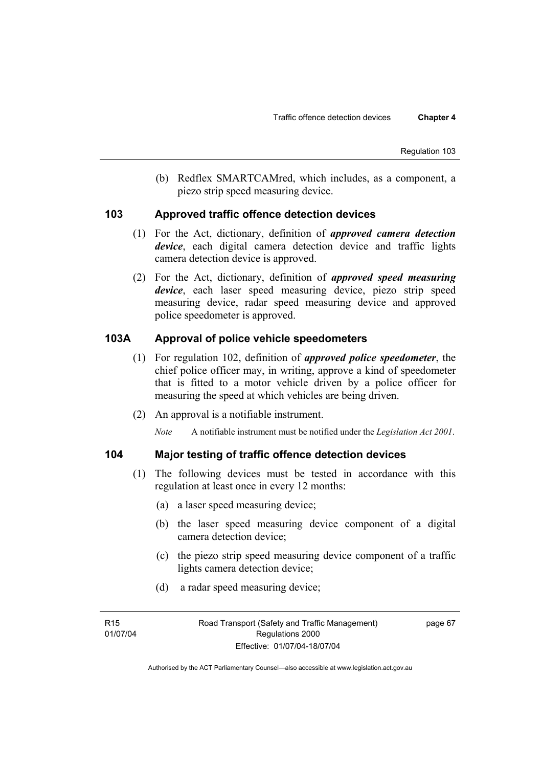(b) Redflex SMARTCAMred, which includes, as a component, a piezo strip speed measuring device.

## **103 Approved traffic offence detection devices**

- (1) For the Act, dictionary, definition of *approved camera detection device*, each digital camera detection device and traffic lights camera detection device is approved.
- (2) For the Act, dictionary, definition of *approved speed measuring device*, each laser speed measuring device, piezo strip speed measuring device, radar speed measuring device and approved police speedometer is approved.

# **103A Approval of police vehicle speedometers**

- (1) For regulation 102, definition of *approved police speedometer*, the chief police officer may, in writing, approve a kind of speedometer that is fitted to a motor vehicle driven by a police officer for measuring the speed at which vehicles are being driven.
- (2) An approval is a notifiable instrument.

*Note* A notifiable instrument must be notified under the *Legislation Act 2001*.

# **104 Major testing of traffic offence detection devices**

- (1) The following devices must be tested in accordance with this regulation at least once in every 12 months:
	- (a) a laser speed measuring device;
	- (b) the laser speed measuring device component of a digital camera detection device;
	- (c) the piezo strip speed measuring device component of a traffic lights camera detection device;
	- (d) a radar speed measuring device;

page 67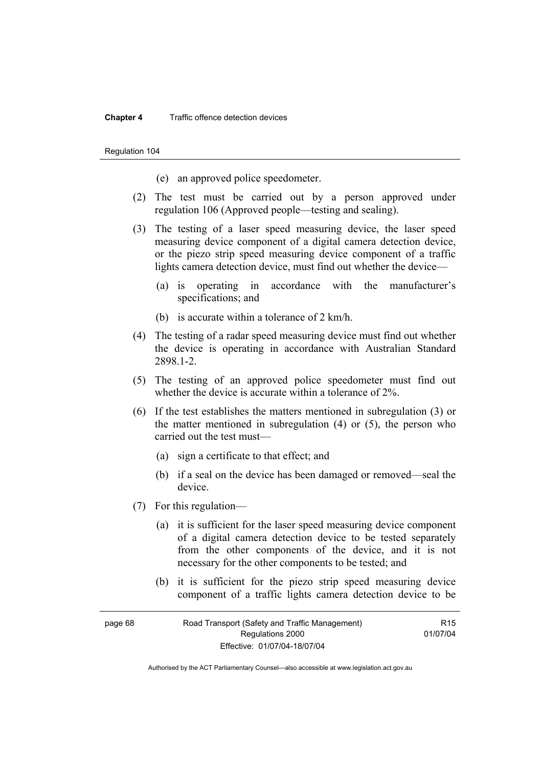#### **Chapter 4** Traffic offence detection devices

Regulation 104

- (e) an approved police speedometer.
- (2) The test must be carried out by a person approved under regulation 106 (Approved people—testing and sealing).
- (3) The testing of a laser speed measuring device, the laser speed measuring device component of a digital camera detection device, or the piezo strip speed measuring device component of a traffic lights camera detection device, must find out whether the device—
	- (a) is operating in accordance with the manufacturer's specifications; and
	- (b) is accurate within a tolerance of 2 km/h.
- (4) The testing of a radar speed measuring device must find out whether the device is operating in accordance with Australian Standard 2898.1-2.
- (5) The testing of an approved police speedometer must find out whether the device is accurate within a tolerance of 2%.
- (6) If the test establishes the matters mentioned in subregulation (3) or the matter mentioned in subregulation (4) or (5), the person who carried out the test must—
	- (a) sign a certificate to that effect; and
	- (b) if a seal on the device has been damaged or removed—seal the device.
- (7) For this regulation—
	- (a) it is sufficient for the laser speed measuring device component of a digital camera detection device to be tested separately from the other components of the device, and it is not necessary for the other components to be tested; and
	- (b) it is sufficient for the piezo strip speed measuring device component of a traffic lights camera detection device to be

| page 68 | Road Transport (Safety and Traffic Management) |          |
|---------|------------------------------------------------|----------|
|         | Regulations 2000                               | 01/07/04 |
|         | Effective: 01/07/04-18/07/04                   |          |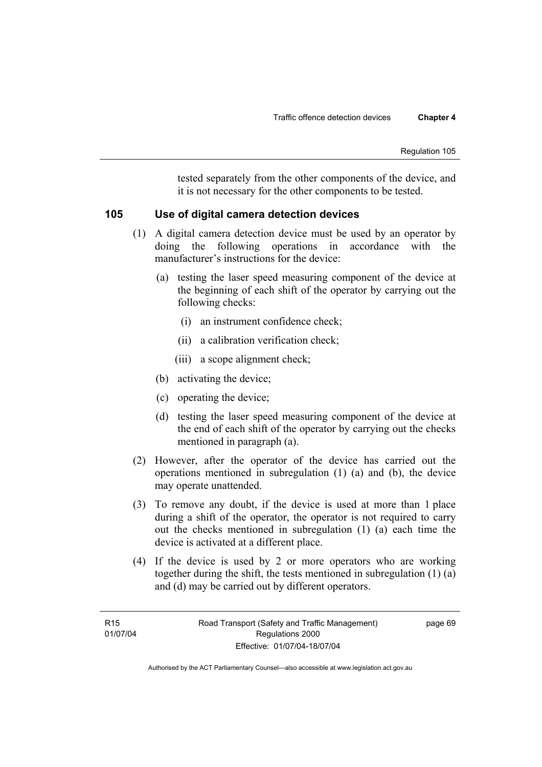tested separately from the other components of the device, and it is not necessary for the other components to be tested.

# **105 Use of digital camera detection devices**

- (1) A digital camera detection device must be used by an operator by doing the following operations in accordance with the manufacturer's instructions for the device:
	- (a) testing the laser speed measuring component of the device at the beginning of each shift of the operator by carrying out the following checks:
		- (i) an instrument confidence check;
		- (ii) a calibration verification check;
		- (iii) a scope alignment check;
	- (b) activating the device;
	- (c) operating the device;
	- (d) testing the laser speed measuring component of the device at the end of each shift of the operator by carrying out the checks mentioned in paragraph (a).
- (2) However, after the operator of the device has carried out the operations mentioned in subregulation (1) (a) and (b), the device may operate unattended.
- (3) To remove any doubt, if the device is used at more than 1 place during a shift of the operator, the operator is not required to carry out the checks mentioned in subregulation (1) (a) each time the device is activated at a different place.
- (4) If the device is used by 2 or more operators who are working together during the shift, the tests mentioned in subregulation (1) (a) and (d) may be carried out by different operators.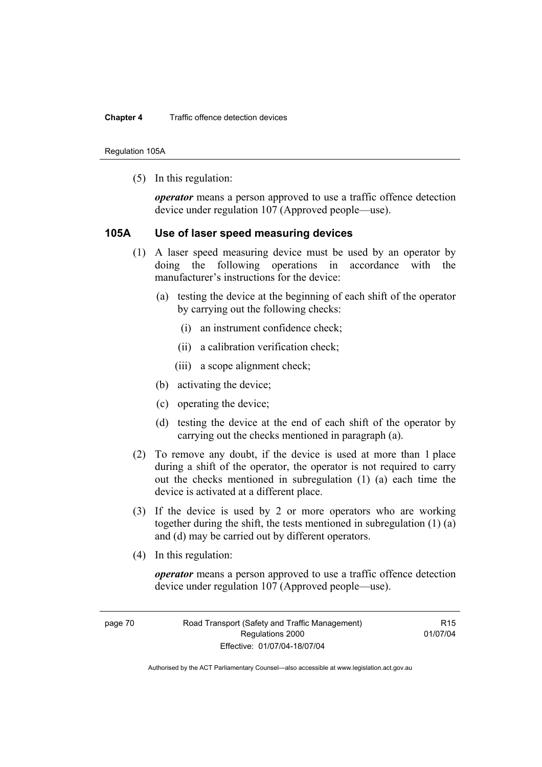Regulation 105A

(5) In this regulation:

*operator* means a person approved to use a traffic offence detection device under regulation 107 (Approved people—use).

## **105A Use of laser speed measuring devices**

- (1) A laser speed measuring device must be used by an operator by doing the following operations in accordance with the manufacturer's instructions for the device:
	- (a) testing the device at the beginning of each shift of the operator by carrying out the following checks:
		- (i) an instrument confidence check;
		- (ii) a calibration verification check;
		- (iii) a scope alignment check;
	- (b) activating the device;
	- (c) operating the device;
	- (d) testing the device at the end of each shift of the operator by carrying out the checks mentioned in paragraph (a).
- (2) To remove any doubt, if the device is used at more than 1 place during a shift of the operator, the operator is not required to carry out the checks mentioned in subregulation (1) (a) each time the device is activated at a different place.
- (3) If the device is used by 2 or more operators who are working together during the shift, the tests mentioned in subregulation (1) (a) and (d) may be carried out by different operators.
- (4) In this regulation:

*operator* means a person approved to use a traffic offence detection device under regulation 107 (Approved people—use).

**R15** 01/07/04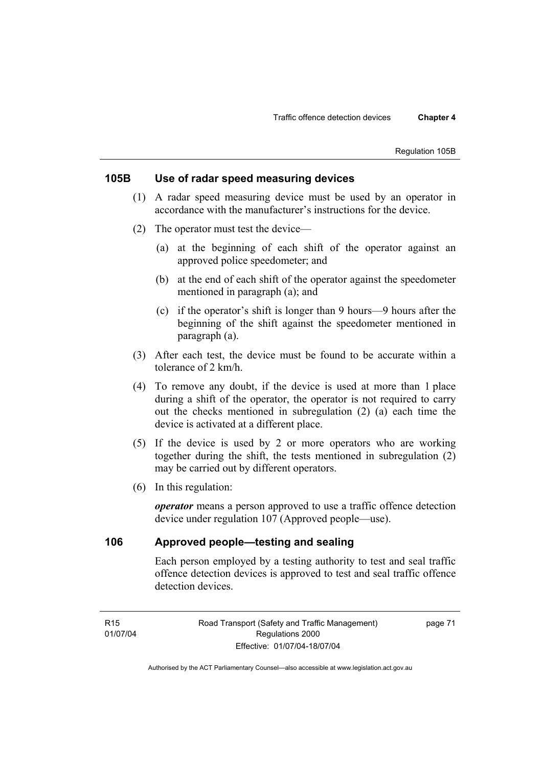# **105B Use of radar speed measuring devices**

- (1) A radar speed measuring device must be used by an operator in accordance with the manufacturer's instructions for the device.
- (2) The operator must test the device—
	- (a) at the beginning of each shift of the operator against an approved police speedometer; and
	- (b) at the end of each shift of the operator against the speedometer mentioned in paragraph (a); and
	- (c) if the operator's shift is longer than 9 hours—9 hours after the beginning of the shift against the speedometer mentioned in paragraph (a).
- (3) After each test, the device must be found to be accurate within a tolerance of 2 km/h.
- (4) To remove any doubt, if the device is used at more than 1 place during a shift of the operator, the operator is not required to carry out the checks mentioned in subregulation (2) (a) each time the device is activated at a different place.
- (5) If the device is used by 2 or more operators who are working together during the shift, the tests mentioned in subregulation (2) may be carried out by different operators.
- (6) In this regulation:

*operator* means a person approved to use a traffic offence detection device under regulation 107 (Approved people—use).

## **106 Approved people—testing and sealing**

Each person employed by a testing authority to test and seal traffic offence detection devices is approved to test and seal traffic offence detection devices.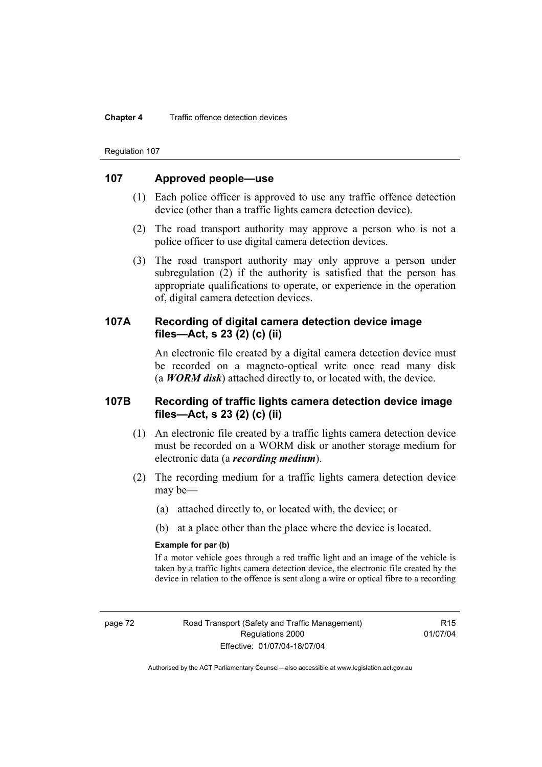#### **Chapter 4** Traffic offence detection devices

Regulation 107

## **107 Approved people—use**

- (1) Each police officer is approved to use any traffic offence detection device (other than a traffic lights camera detection device).
- (2) The road transport authority may approve a person who is not a police officer to use digital camera detection devices.
- (3) The road transport authority may only approve a person under subregulation (2) if the authority is satisfied that the person has appropriate qualifications to operate, or experience in the operation of, digital camera detection devices.

# **107A Recording of digital camera detection device image files—Act, s 23 (2) (c) (ii)**

An electronic file created by a digital camera detection device must be recorded on a magneto-optical write once read many disk (a *WORM disk*) attached directly to, or located with, the device.

## **107B Recording of traffic lights camera detection device image files—Act, s 23 (2) (c) (ii)**

- (1) An electronic file created by a traffic lights camera detection device must be recorded on a WORM disk or another storage medium for electronic data (a *recording medium*).
- (2) The recording medium for a traffic lights camera detection device may be—
	- (a) attached directly to, or located with, the device; or
	- (b) at a place other than the place where the device is located.

## **Example for par (b)**

If a motor vehicle goes through a red traffic light and an image of the vehicle is taken by a traffic lights camera detection device, the electronic file created by the device in relation to the offence is sent along a wire or optical fibre to a recording

R15 01/07/04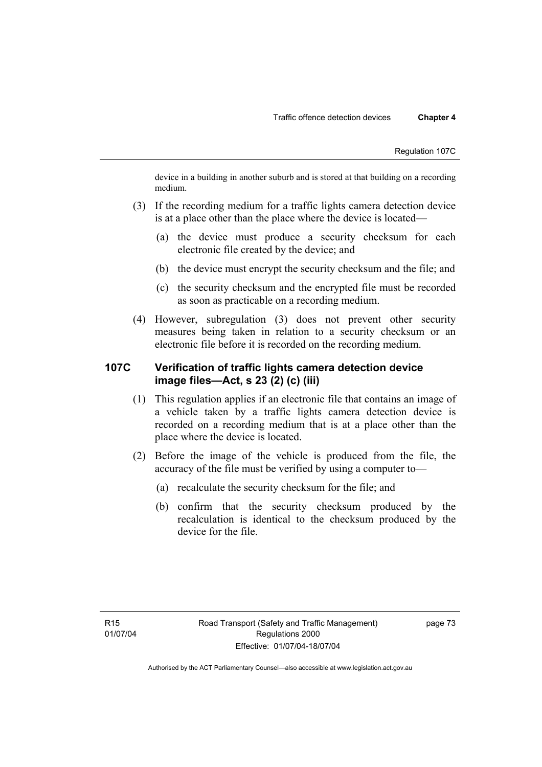device in a building in another suburb and is stored at that building on a recording medium.

- (3) If the recording medium for a traffic lights camera detection device is at a place other than the place where the device is located—
	- (a) the device must produce a security checksum for each electronic file created by the device; and
	- (b) the device must encrypt the security checksum and the file; and
	- (c) the security checksum and the encrypted file must be recorded as soon as practicable on a recording medium.
- (4) However, subregulation (3) does not prevent other security measures being taken in relation to a security checksum or an electronic file before it is recorded on the recording medium.

# **107C Verification of traffic lights camera detection device image files—Act, s 23 (2) (c) (iii)**

- (1) This regulation applies if an electronic file that contains an image of a vehicle taken by a traffic lights camera detection device is recorded on a recording medium that is at a place other than the place where the device is located.
- (2) Before the image of the vehicle is produced from the file, the accuracy of the file must be verified by using a computer to—
	- (a) recalculate the security checksum for the file; and
	- (b) confirm that the security checksum produced by the recalculation is identical to the checksum produced by the device for the file.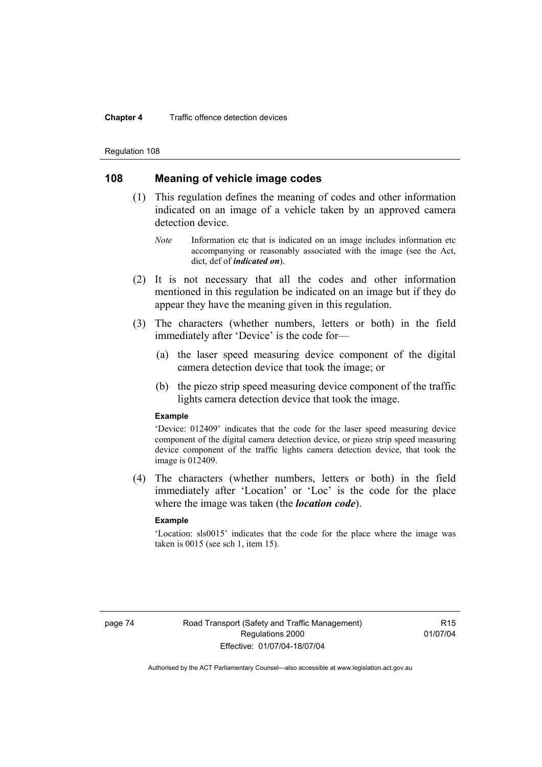#### **Chapter 4** Traffic offence detection devices

Regulation 108

## **108 Meaning of vehicle image codes**

- (1) This regulation defines the meaning of codes and other information indicated on an image of a vehicle taken by an approved camera detection device.
	- *Note* Information etc that is indicated on an image includes information etc accompanying or reasonably associated with the image (see the Act, dict, def of *indicated on*).
- (2) It is not necessary that all the codes and other information mentioned in this regulation be indicated on an image but if they do appear they have the meaning given in this regulation.
- (3) The characters (whether numbers, letters or both) in the field immediately after 'Device' is the code for—
	- (a) the laser speed measuring device component of the digital camera detection device that took the image; or
	- (b) the piezo strip speed measuring device component of the traffic lights camera detection device that took the image.

#### **Example**

'Device: 012409' indicates that the code for the laser speed measuring device component of the digital camera detection device, or piezo strip speed measuring device component of the traffic lights camera detection device, that took the image is 012409.

 (4) The characters (whether numbers, letters or both) in the field immediately after 'Location' or 'Loc' is the code for the place where the image was taken (the *location code*).

#### **Example**

'Location: sls0015' indicates that the code for the place where the image was taken is 0015 (see sch 1, item 15).

R15 01/07/04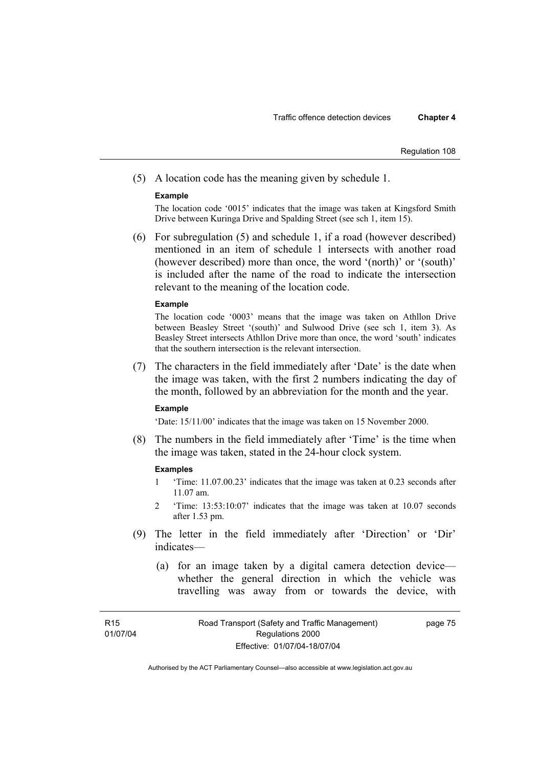(5) A location code has the meaning given by schedule 1.

### **Example**

The location code '0015' indicates that the image was taken at Kingsford Smith Drive between Kuringa Drive and Spalding Street (see sch 1, item 15).

 (6) For subregulation (5) and schedule 1, if a road (however described) mentioned in an item of schedule 1 intersects with another road (however described) more than once, the word '(north)' or '(south)' is included after the name of the road to indicate the intersection relevant to the meaning of the location code.

### **Example**

The location code '0003' means that the image was taken on Athllon Drive between Beasley Street '(south)' and Sulwood Drive (see sch 1, item 3). As Beasley Street intersects Athllon Drive more than once, the word 'south' indicates that the southern intersection is the relevant intersection.

 (7) The characters in the field immediately after 'Date' is the date when the image was taken, with the first 2 numbers indicating the day of the month, followed by an abbreviation for the month and the year.

#### **Example**

'Date: 15/11/00' indicates that the image was taken on 15 November 2000.

 (8) The numbers in the field immediately after 'Time' is the time when the image was taken, stated in the 24-hour clock system.

### **Examples**

- 1 'Time: 11.07.00.23' indicates that the image was taken at 0.23 seconds after 11.07 am.
- 2 'Time: 13:53:10:07' indicates that the image was taken at 10.07 seconds after 1.53 pm.
- (9) The letter in the field immediately after 'Direction' or 'Dir' indicates—
	- (a) for an image taken by a digital camera detection device whether the general direction in which the vehicle was travelling was away from or towards the device, with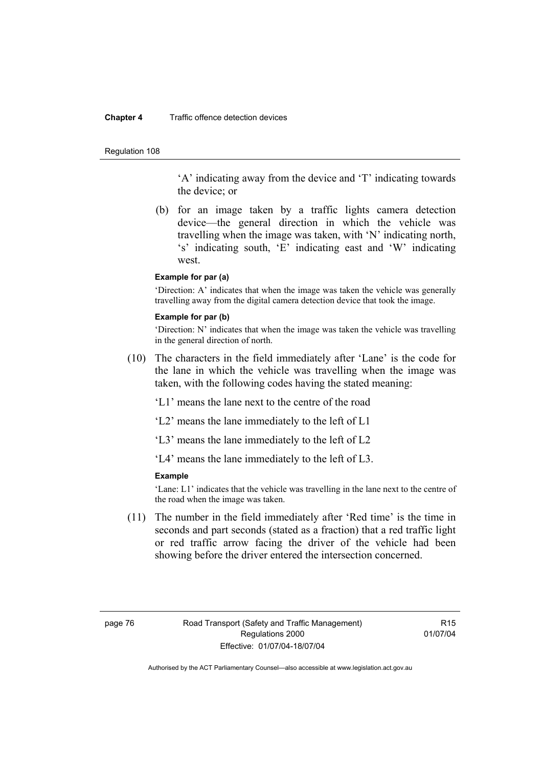#### **Chapter 4** Traffic offence detection devices

#### Regulation 108

'A' indicating away from the device and 'T' indicating towards the device; or

 (b) for an image taken by a traffic lights camera detection device—the general direction in which the vehicle was travelling when the image was taken, with 'N' indicating north, 's' indicating south, 'E' indicating east and 'W' indicating west.

## **Example for par (a)**

'Direction: A' indicates that when the image was taken the vehicle was generally travelling away from the digital camera detection device that took the image.

#### **Example for par (b)**

'Direction: N' indicates that when the image was taken the vehicle was travelling in the general direction of north.

 (10) The characters in the field immediately after 'Lane' is the code for the lane in which the vehicle was travelling when the image was taken, with the following codes having the stated meaning:

'L1' means the lane next to the centre of the road

'L2' means the lane immediately to the left of L1

'L3' means the lane immediately to the left of L2

'L4' means the lane immediately to the left of L3.

## **Example**

'Lane: L1' indicates that the vehicle was travelling in the lane next to the centre of the road when the image was taken.

 (11) The number in the field immediately after 'Red time' is the time in seconds and part seconds (stated as a fraction) that a red traffic light or red traffic arrow facing the driver of the vehicle had been showing before the driver entered the intersection concerned.

R15 01/07/04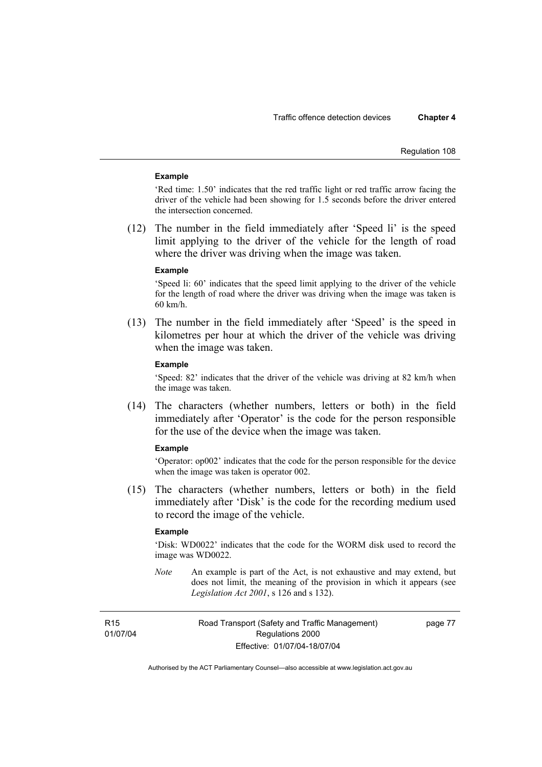#### **Example**

'Red time: 1.50' indicates that the red traffic light or red traffic arrow facing the driver of the vehicle had been showing for 1.5 seconds before the driver entered the intersection concerned.

 (12) The number in the field immediately after 'Speed li' is the speed limit applying to the driver of the vehicle for the length of road where the driver was driving when the image was taken.

#### **Example**

'Speed li: 60' indicates that the speed limit applying to the driver of the vehicle for the length of road where the driver was driving when the image was taken is 60 km/h.

 (13) The number in the field immediately after 'Speed' is the speed in kilometres per hour at which the driver of the vehicle was driving when the image was taken.

## **Example**

'Speed: 82' indicates that the driver of the vehicle was driving at 82 km/h when the image was taken.

 (14) The characters (whether numbers, letters or both) in the field immediately after 'Operator' is the code for the person responsible for the use of the device when the image was taken.

#### **Example**

'Operator: op002' indicates that the code for the person responsible for the device when the image was taken is operator 002.

 (15) The characters (whether numbers, letters or both) in the field immediately after 'Disk' is the code for the recording medium used to record the image of the vehicle.

### **Example**

'Disk: WD0022' indicates that the code for the WORM disk used to record the image was WD0022.

*Note* An example is part of the Act, is not exhaustive and may extend, but does not limit, the meaning of the provision in which it appears (see *Legislation Act 2001*, s 126 and s 132).

R15 01/07/04 Road Transport (Safety and Traffic Management) Regulations 2000 Effective: 01/07/04-18/07/04

page 77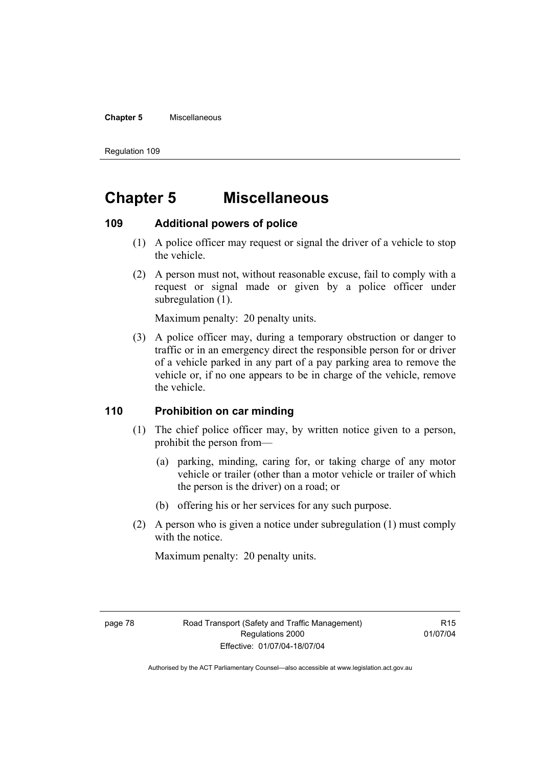#### **Chapter 5** Miscellaneous

Regulation 109

# **Chapter 5 Miscellaneous**

## **109 Additional powers of police**

- (1) A police officer may request or signal the driver of a vehicle to stop the vehicle.
- (2) A person must not, without reasonable excuse, fail to comply with a request or signal made or given by a police officer under subregulation  $(1)$ .

Maximum penalty: 20 penalty units.

 (3) A police officer may, during a temporary obstruction or danger to traffic or in an emergency direct the responsible person for or driver of a vehicle parked in any part of a pay parking area to remove the vehicle or, if no one appears to be in charge of the vehicle, remove the vehicle.

## **110 Prohibition on car minding**

- (1) The chief police officer may, by written notice given to a person, prohibit the person from—
	- (a) parking, minding, caring for, or taking charge of any motor vehicle or trailer (other than a motor vehicle or trailer of which the person is the driver) on a road; or
	- (b) offering his or her services for any such purpose.
- (2) A person who is given a notice under subregulation (1) must comply with the notice.

Maximum penalty: 20 penalty units.

**R15** 01/07/04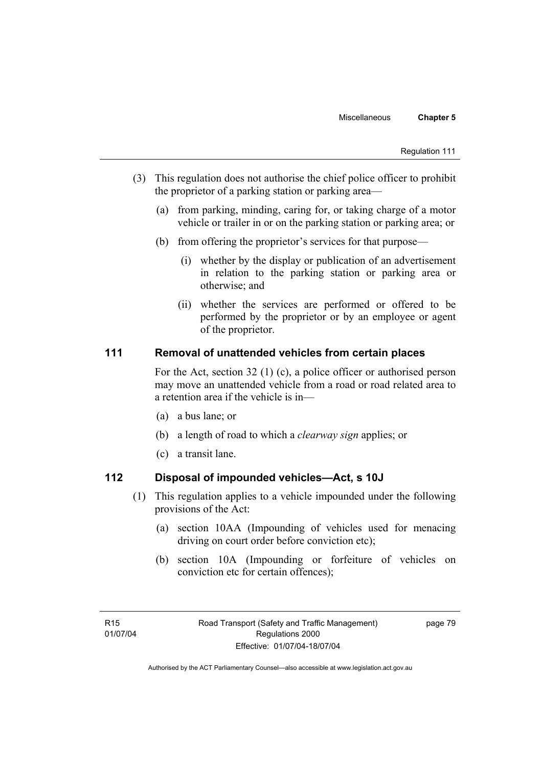- (3) This regulation does not authorise the chief police officer to prohibit the proprietor of a parking station or parking area—
	- (a) from parking, minding, caring for, or taking charge of a motor vehicle or trailer in or on the parking station or parking area; or
	- (b) from offering the proprietor's services for that purpose—
		- (i) whether by the display or publication of an advertisement in relation to the parking station or parking area or otherwise; and
		- (ii) whether the services are performed or offered to be performed by the proprietor or by an employee or agent of the proprietor.

# **111 Removal of unattended vehicles from certain places**

For the Act, section 32 (1) (c), a police officer or authorised person may move an unattended vehicle from a road or road related area to a retention area if the vehicle is in—

- (a) a bus lane; or
- (b) a length of road to which a *clearway sign* applies; or
- (c) a transit lane.

# **112 Disposal of impounded vehicles—Act, s 10J**

- (1) This regulation applies to a vehicle impounded under the following provisions of the Act:
	- (a) section 10AA (Impounding of vehicles used for menacing driving on court order before conviction etc);
	- (b) section 10A (Impounding or forfeiture of vehicles on conviction etc for certain offences);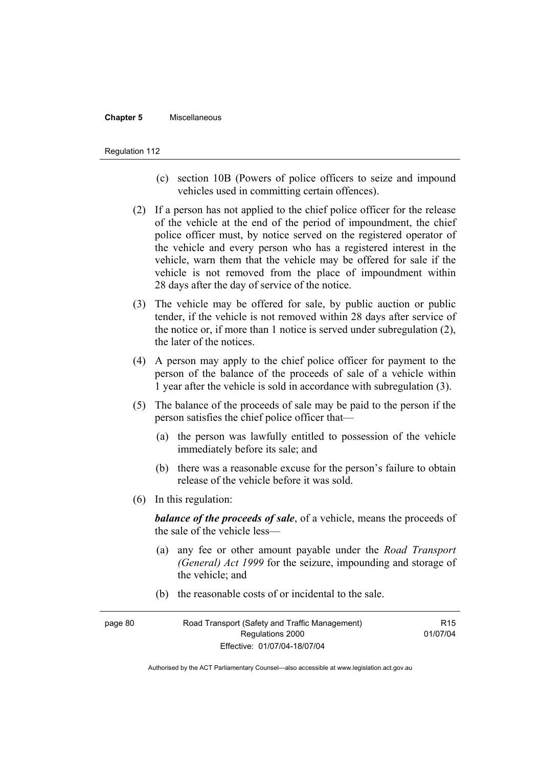#### **Chapter 5** Miscellaneous

#### Regulation 112

- (c) section 10B (Powers of police officers to seize and impound vehicles used in committing certain offences).
- (2) If a person has not applied to the chief police officer for the release of the vehicle at the end of the period of impoundment, the chief police officer must, by notice served on the registered operator of the vehicle and every person who has a registered interest in the vehicle, warn them that the vehicle may be offered for sale if the vehicle is not removed from the place of impoundment within 28 days after the day of service of the notice.
- (3) The vehicle may be offered for sale, by public auction or public tender, if the vehicle is not removed within 28 days after service of the notice or, if more than 1 notice is served under subregulation (2), the later of the notices.
- (4) A person may apply to the chief police officer for payment to the person of the balance of the proceeds of sale of a vehicle within 1 year after the vehicle is sold in accordance with subregulation (3).
- (5) The balance of the proceeds of sale may be paid to the person if the person satisfies the chief police officer that—
	- (a) the person was lawfully entitled to possession of the vehicle immediately before its sale; and
	- (b) there was a reasonable excuse for the person's failure to obtain release of the vehicle before it was sold.
- (6) In this regulation:

*balance of the proceeds of sale*, of a vehicle, means the proceeds of the sale of the vehicle less—

- (a) any fee or other amount payable under the *Road Transport (General) Act 1999* for the seizure, impounding and storage of the vehicle; and
- (b) the reasonable costs of or incidental to the sale.

| page 80 | Road Transport (Safety and Traffic Management) | R <sub>15</sub> |
|---------|------------------------------------------------|-----------------|
|         | Regulations 2000                               | 01/07/04        |
|         | Effective: 01/07/04-18/07/04                   |                 |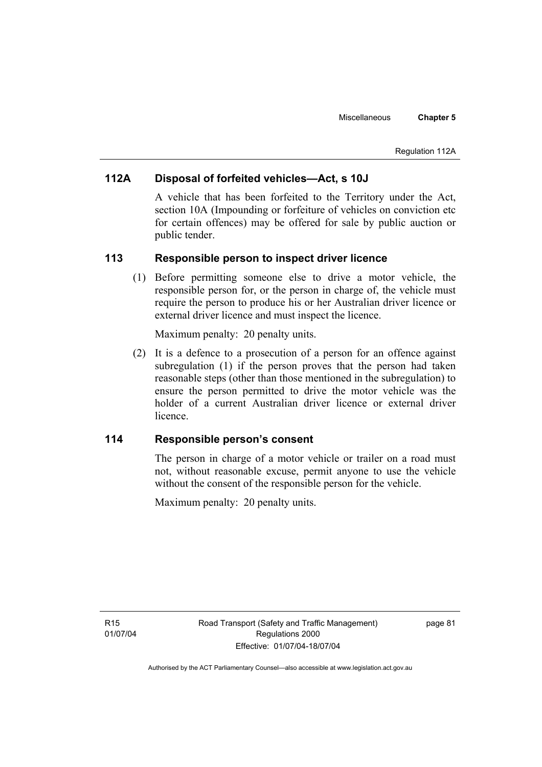#### Regulation 112A

# **112A Disposal of forfeited vehicles—Act, s 10J**

A vehicle that has been forfeited to the Territory under the Act, section 10A (Impounding or forfeiture of vehicles on conviction etc for certain offences) may be offered for sale by public auction or public tender.

## **113 Responsible person to inspect driver licence**

 (1) Before permitting someone else to drive a motor vehicle, the responsible person for, or the person in charge of, the vehicle must require the person to produce his or her Australian driver licence or external driver licence and must inspect the licence.

Maximum penalty: 20 penalty units.

 (2) It is a defence to a prosecution of a person for an offence against subregulation (1) if the person proves that the person had taken reasonable steps (other than those mentioned in the subregulation) to ensure the person permitted to drive the motor vehicle was the holder of a current Australian driver licence or external driver licence.

# **114 Responsible person's consent**

The person in charge of a motor vehicle or trailer on a road must not, without reasonable excuse, permit anyone to use the vehicle without the consent of the responsible person for the vehicle.

Maximum penalty: 20 penalty units.

page 81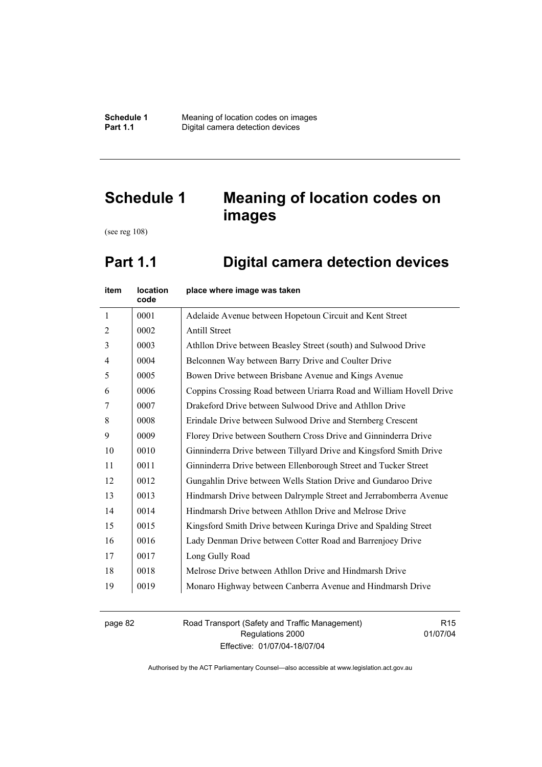# **Schedule 1 Meaning of location codes on images**

(see reg 108)

# **Part 1.1 Digital camera detection devices**

| item           | location<br>code | place where image was taken                                         |
|----------------|------------------|---------------------------------------------------------------------|
| $\mathbf{1}$   | 0001             | Adelaide Avenue between Hopetoun Circuit and Kent Street            |
| $\overline{2}$ | 0002             | <b>Antill Street</b>                                                |
| 3              | 0003             | Athllon Drive between Beasley Street (south) and Sulwood Drive      |
| $\overline{4}$ | 0004             | Belconnen Way between Barry Drive and Coulter Drive                 |
| 5              | 0005             | Bowen Drive between Brisbane Avenue and Kings Avenue                |
| 6              | 0006             | Coppins Crossing Road between Uriarra Road and William Hovell Drive |
| 7              | 0007             | Drakeford Drive between Sulwood Drive and Athllon Drive             |
| 8              | 0008             | Erindale Drive between Sulwood Drive and Sternberg Crescent         |
| 9              | 0009             | Florey Drive between Southern Cross Drive and Ginninderra Drive     |
| 10             | 0010             | Ginninderra Drive between Tillyard Drive and Kingsford Smith Drive  |
| 11             | 0011             | Ginninderra Drive between Ellenborough Street and Tucker Street     |
| 12             | 0012             | Gungahlin Drive between Wells Station Drive and Gundaroo Drive      |
| 13             | 0013             | Hindmarsh Drive between Dalrymple Street and Jerrabomberra Avenue   |
| 14             | 0014             | Hindmarsh Drive between Athllon Drive and Melrose Drive             |
| 15             | 0015             | Kingsford Smith Drive between Kuringa Drive and Spalding Street     |
| 16             | 0016             | Lady Denman Drive between Cotter Road and Barrenjoey Drive          |
| 17             | 0017             | Long Gully Road                                                     |
| 18             | 0018             | Melrose Drive between Athllon Drive and Hindmarsh Drive             |
| 19             | 0019             | Monaro Highway between Canberra Avenue and Hindmarsh Drive          |

page 82 Road Transport (Safety and Traffic Management) Regulations 2000 Effective: 01/07/04-18/07/04

R15 01/07/04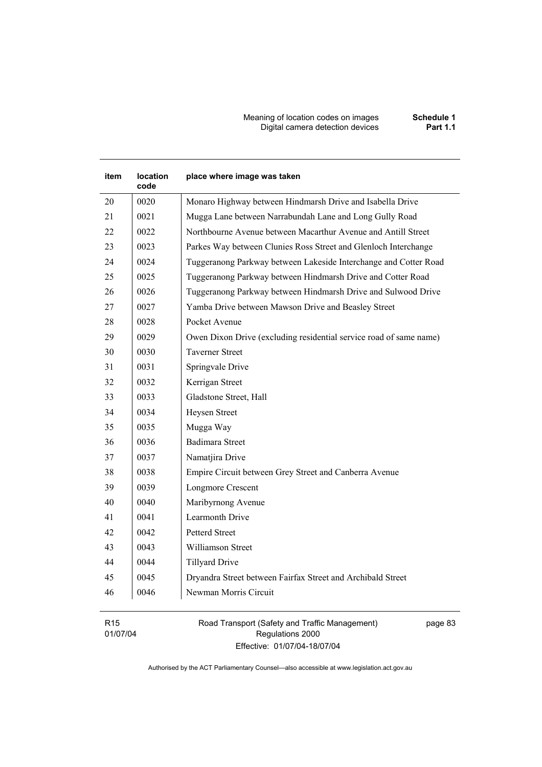Meaning of location codes on images **Schedule 1 Digital camera detection devices** 

# **item location code place where image was taken**  20 | 0020 | Monaro Highway between Hindmarsh Drive and Isabella Drive 21 | 0021 | Mugga Lane between Narrabundah Lane and Long Gully Road 22 | 0022 | Northbourne Avenue between Macarthur Avenue and Antill Street 23 0023 Parkes Way between Clunies Ross Street and Glenloch Interchange 24 | 0024 | Tuggeranong Parkway between Lakeside Interchange and Cotter Road 25 0025 Tuggeranong Parkway between Hindmarsh Drive and Cotter Road 26 | 0026 | Tuggeranong Parkway between Hindmarsh Drive and Sulwood Drive 27 0027 Yamba Drive between Mawson Drive and Beasley Street 28 0028 Pocket Avenue 29 | 0029 | Owen Dixon Drive (excluding residential service road of same name) 30 0030 Taverner Street 31 0031 Springvale Drive 32 0032 Kerrigan Street 33 0033 Gladstone Street, Hall 34 0034 Heysen Street 35 0035 Mugga Way 36 0036 Badimara Street 37 0037 Namatjira Drive 38 0038 Empire Circuit between Grey Street and Canberra Avenue 39 0039 Longmore Crescent 40 0040 Maribyrnong Avenue 41 0041 Learmonth Drive 42 0042 Petterd Street 43 0043 Williamson Street 44 0044 Tillyard Drive 45 0045 Dryandra Street between Fairfax Street and Archibald Street 46 0046 Newman Morris Circuit

R15 01/07/04 Road Transport (Safety and Traffic Management) Regulations 2000 Effective: 01/07/04-18/07/04

page 83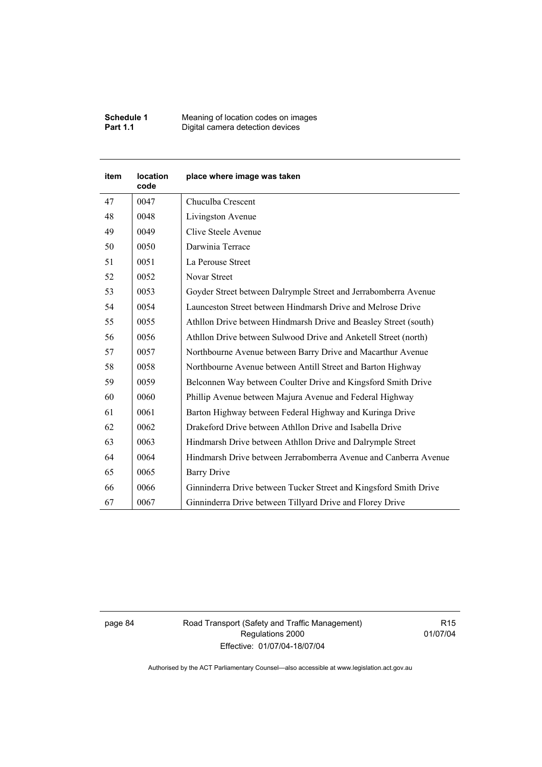| <b>Schedule 1</b> | Meaning of location codes on images |
|-------------------|-------------------------------------|
| <b>Part 1.1</b>   | Digital camera detection devices    |

| <b>item</b> | location<br>code | place where image was taken                                       |
|-------------|------------------|-------------------------------------------------------------------|
| 47          | 0047             | Chuculba Crescent                                                 |
| 48          | 0048             | Livingston Avenue                                                 |
| 49          | 0049             | Clive Steele Avenue                                               |
| 50          | 0050             | Darwinia Terrace                                                  |
| 51          | 0051             | La Perouse Street                                                 |
| 52          | 0052             | Novar Street                                                      |
| 53          | 0053             | Goyder Street between Dalrymple Street and Jerrabomberra Avenue   |
| 54          | 0054             | Launceston Street between Hindmarsh Drive and Melrose Drive       |
| 55          | 0055             | Athllon Drive between Hindmarsh Drive and Beasley Street (south)  |
| 56          | 0056             | Athllon Drive between Sulwood Drive and Anketell Street (north)   |
| 57          | 0057             | Northbourne Avenue between Barry Drive and Macarthur Avenue       |
| 58          | 0058             | Northbourne Avenue between Antill Street and Barton Highway       |
| 59          | 0059             | Belconnen Way between Coulter Drive and Kingsford Smith Drive     |
| 60          | 0060             | Phillip Avenue between Majura Avenue and Federal Highway          |
| 61          | 0061             | Barton Highway between Federal Highway and Kuringa Drive          |
| 62          | 0062             | Drakeford Drive between Athllon Drive and Isabella Drive          |
| 63          | 0063             | Hindmarsh Drive between Athllon Drive and Dalrymple Street        |
| 64          | 0064             | Hindmarsh Drive between Jerrabomberra Avenue and Canberra Avenue  |
| 65          | 0065             | <b>Barry Drive</b>                                                |
| 66          | 0066             | Ginninderra Drive between Tucker Street and Kingsford Smith Drive |
| 67          | 0067             | Ginninderra Drive between Tillyard Drive and Florey Drive         |

page 84 Road Transport (Safety and Traffic Management) Regulations 2000 Effective: 01/07/04-18/07/04

R15 01/07/04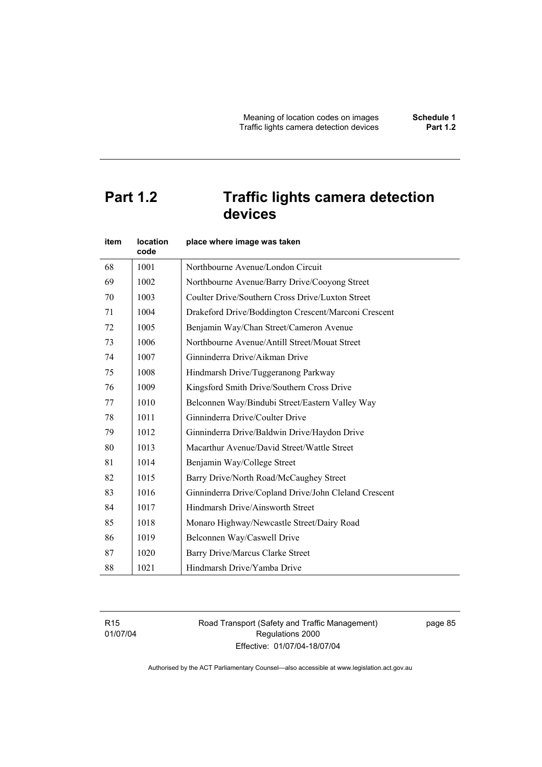# **Part 1.2 Traffic lights camera detection devices**

| item | <b>location</b><br>code | place where image was taken                           |
|------|-------------------------|-------------------------------------------------------|
| 68   | 1001                    | Northbourne Avenue/London Circuit                     |
| 69   | 1002                    | Northbourne Avenue/Barry Drive/Cooyong Street         |
| 70   | 1003                    | Coulter Drive/Southern Cross Drive/Luxton Street      |
| 71   | 1004                    | Drakeford Drive/Boddington Crescent/Marconi Crescent  |
| 72   | 1005                    | Benjamin Way/Chan Street/Cameron Avenue               |
| 73   | 1006                    | Northbourne Avenue/Antill Street/Mouat Street         |
| 74   | 1007                    | Ginninderra Drive/Aikman Drive                        |
| 75   | 1008                    | Hindmarsh Drive/Tuggeranong Parkway                   |
| 76   | 1009                    | Kingsford Smith Drive/Southern Cross Drive            |
| 77   | 1010                    | Belconnen Way/Bindubi Street/Eastern Valley Way       |
| 78   | 1011                    | Ginninderra Drive/Coulter Drive                       |
| 79   | 1012                    | Ginninderra Drive/Baldwin Drive/Haydon Drive          |
| 80   | 1013                    | Macarthur Avenue/David Street/Wattle Street           |
| 81   | 1014                    | Benjamin Way/College Street                           |
| 82   | 1015                    | Barry Drive/North Road/McCaughey Street               |
| 83   | 1016                    | Ginninderra Drive/Copland Drive/John Cleland Crescent |
| 84   | 1017                    | Hindmarsh Drive/Ainsworth Street                      |
| 85   | 1018                    | Monaro Highway/Newcastle Street/Dairy Road            |
| 86   | 1019                    | Belconnen Way/Caswell Drive                           |
| 87   | 1020                    | Barry Drive/Marcus Clarke Street                      |
| 88   | 1021                    | Hindmarsh Drive/Yamba Drive                           |

R15 01/07/04 Road Transport (Safety and Traffic Management) Regulations 2000 Effective: 01/07/04-18/07/04

page 85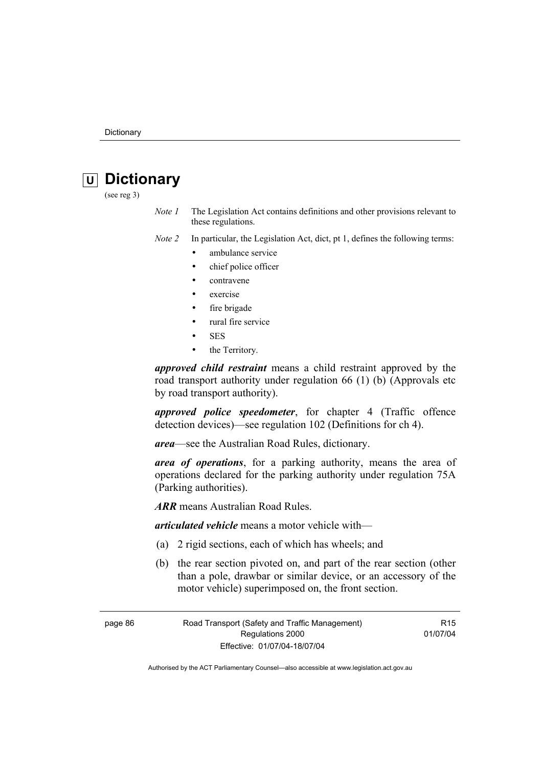# **U Dictionary**

(see reg 3)

*Note 1* The Legislation Act contains definitions and other provisions relevant to these regulations.

*Note 2* In particular, the Legislation Act, dict, pt 1, defines the following terms:

- ambulance service
- chief police officer
- contravene
- exercise
- fire brigade
- rural fire service
- SES
- the Territory.

*approved child restraint* means a child restraint approved by the road transport authority under regulation 66 (1) (b) (Approvals etc by road transport authority).

*approved police speedometer*, for chapter 4 (Traffic offence detection devices)—see regulation 102 (Definitions for ch 4).

*area*—see the Australian Road Rules, dictionary.

*area of operations*, for a parking authority, means the area of operations declared for the parking authority under regulation 75A (Parking authorities).

*ARR* means Australian Road Rules.

*articulated vehicle* means a motor vehicle with—

- (a) 2 rigid sections, each of which has wheels; and
- (b) the rear section pivoted on, and part of the rear section (other than a pole, drawbar or similar device, or an accessory of the motor vehicle) superimposed on, the front section.

page 86 Road Transport (Safety and Traffic Management) Regulations 2000 Effective: 01/07/04-18/07/04

R15 01/07/04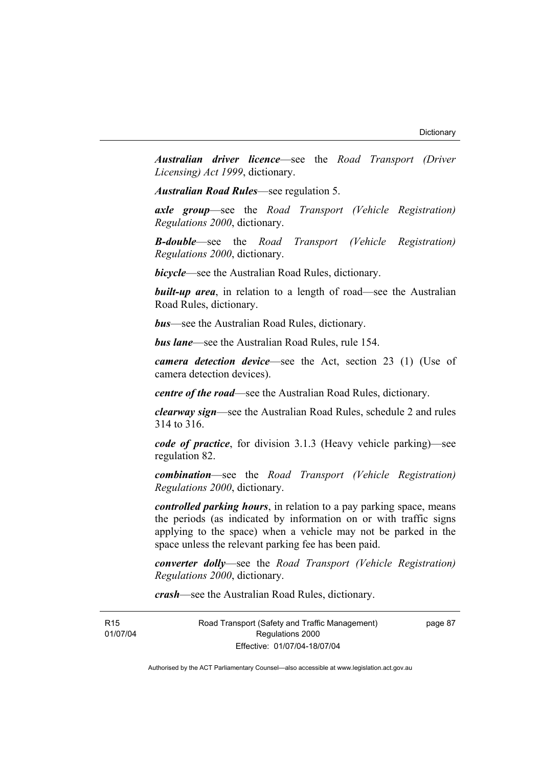*Australian driver licence*—see the *Road Transport (Driver Licensing) Act 1999*, dictionary.

*Australian Road Rules*—see regulation 5.

*axle group*—see the *Road Transport (Vehicle Registration) Regulations 2000*, dictionary.

*B-double*—see the *Road Transport (Vehicle Registration) Regulations 2000*, dictionary.

*bicycle*—see the Australian Road Rules, dictionary.

**built-up area**, in relation to a length of road—see the Australian Road Rules, dictionary.

*bus*—see the Australian Road Rules, dictionary.

*bus lane*—see the Australian Road Rules, rule 154.

*camera detection device*—see the Act, section 23 (1) (Use of camera detection devices).

*centre of the road*—see the Australian Road Rules, dictionary.

*clearway sign*—see the Australian Road Rules, schedule 2 and rules 314 to 316.

*code of practice*, for division 3.1.3 (Heavy vehicle parking)—see regulation 82.

*combination*—see the *Road Transport (Vehicle Registration) Regulations 2000*, dictionary.

*controlled parking hours*, in relation to a pay parking space, means the periods (as indicated by information on or with traffic signs applying to the space) when a vehicle may not be parked in the space unless the relevant parking fee has been paid.

*converter dolly*—see the *Road Transport (Vehicle Registration) Regulations 2000*, dictionary.

*crash*—see the Australian Road Rules, dictionary.

R15 01/07/04 Road Transport (Safety and Traffic Management) Regulations 2000 Effective: 01/07/04-18/07/04

page 87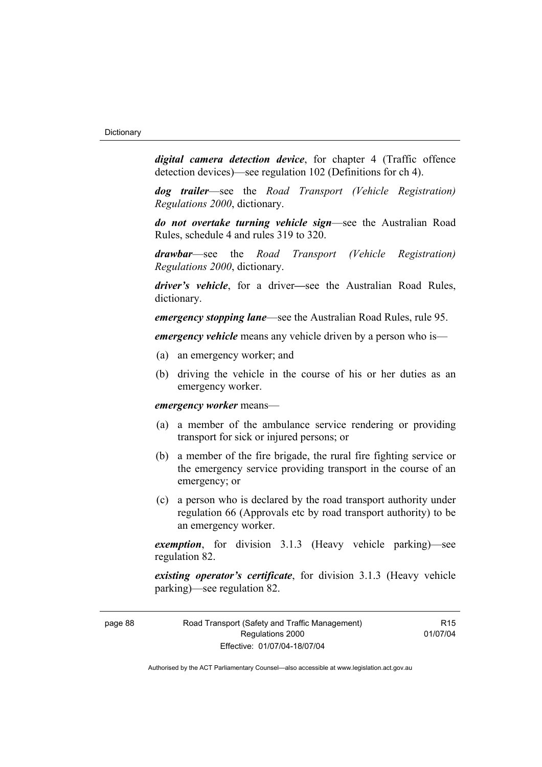*digital camera detection device*, for chapter 4 (Traffic offence detection devices)—see regulation 102 (Definitions for ch 4).

*dog trailer*—see the *Road Transport (Vehicle Registration) Regulations 2000*, dictionary.

*do not overtake turning vehicle sign*—see the Australian Road Rules, schedule 4 and rules 319 to 320.

*drawbar*—see the *Road Transport (Vehicle Registration) Regulations 2000*, dictionary.

*driver's vehicle*, for a driver*—*see the Australian Road Rules, dictionary.

*emergency stopping lane*—see the Australian Road Rules, rule 95.

*emergency vehicle* means any vehicle driven by a person who is—

- (a) an emergency worker; and
- (b) driving the vehicle in the course of his or her duties as an emergency worker.

#### *emergency worker* means—

- (a) a member of the ambulance service rendering or providing transport for sick or injured persons; or
- (b) a member of the fire brigade, the rural fire fighting service or the emergency service providing transport in the course of an emergency; or
- (c) a person who is declared by the road transport authority under regulation 66 (Approvals etc by road transport authority) to be an emergency worker.

*exemption*, for division 3.1.3 (Heavy vehicle parking)—see regulation 82.

*existing operator's certificate*, for division 3.1.3 (Heavy vehicle parking)—see regulation 82.

R15 01/07/04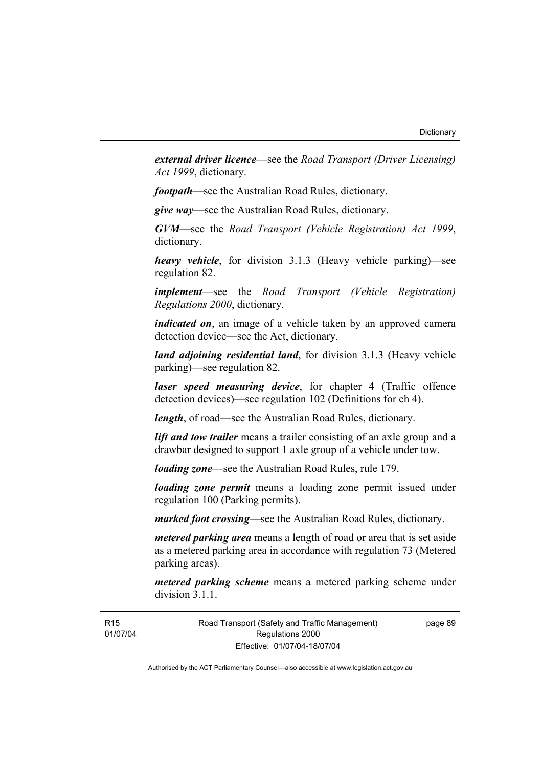*external driver licence*—see the *Road Transport (Driver Licensing) Act 1999*, dictionary.

*footpath*—see the Australian Road Rules, dictionary.

*give way*—see the Australian Road Rules, dictionary.

*GVM*—see the *Road Transport (Vehicle Registration) Act 1999*, dictionary.

*heavy vehicle*, for division 3.1.3 (Heavy vehicle parking)—see regulation 82.

*implement*—see the *Road Transport (Vehicle Registration) Regulations 2000*, dictionary.

*indicated on*, an image of a vehicle taken by an approved camera detection device—see the Act, dictionary.

*land adjoining residential land*, for division 3.1.3 (Heavy vehicle parking)—see regulation 82.

*laser speed measuring device*, for chapter 4 (Traffic offence detection devices)—see regulation 102 (Definitions for ch 4).

*length*, of road—see the Australian Road Rules, dictionary.

*lift and tow trailer* means a trailer consisting of an axle group and a drawbar designed to support 1 axle group of a vehicle under tow.

*loading zone*—see the Australian Road Rules, rule 179.

*loading zone permit* means a loading zone permit issued under regulation 100 (Parking permits).

*marked foot crossing*—see the Australian Road Rules, dictionary.

*metered parking area* means a length of road or area that is set aside as a metered parking area in accordance with regulation 73 (Metered parking areas).

*metered parking scheme* means a metered parking scheme under division 3.1.1

page 89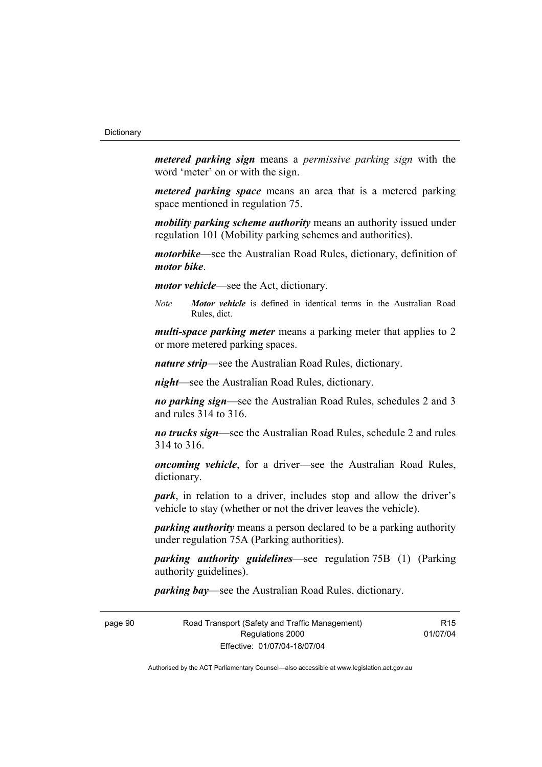*metered parking sign* means a *permissive parking sign* with the word 'meter' on or with the sign.

*metered parking space* means an area that is a metered parking space mentioned in regulation 75.

*mobility parking scheme authority* means an authority issued under regulation 101 (Mobility parking schemes and authorities).

*motorbike*—see the Australian Road Rules, dictionary, definition of *motor bike*.

*motor vehicle*—see the Act, dictionary.

*Note Motor vehicle* is defined in identical terms in the Australian Road Rules, dict.

*multi-space parking meter* means a parking meter that applies to 2 or more metered parking spaces.

*nature strip*—see the Australian Road Rules, dictionary.

*night*—see the Australian Road Rules, dictionary.

*no parking sign*—see the Australian Road Rules, schedules 2 and 3 and rules 314 to 316.

*no trucks sign*—see the Australian Road Rules, schedule 2 and rules 314 to 316.

*oncoming vehicle*, for a driver—see the Australian Road Rules, dictionary.

*park*, in relation to a driver, includes stop and allow the driver's vehicle to stay (whether or not the driver leaves the vehicle).

*parking authority* means a person declared to be a parking authority under regulation 75A (Parking authorities).

*parking authority guidelines*—see regulation 75B (1) (Parking authority guidelines).

*parking bay*—see the Australian Road Rules, dictionary.

page 90 Road Transport (Safety and Traffic Management) Regulations 2000 Effective: 01/07/04-18/07/04

**R15** 01/07/04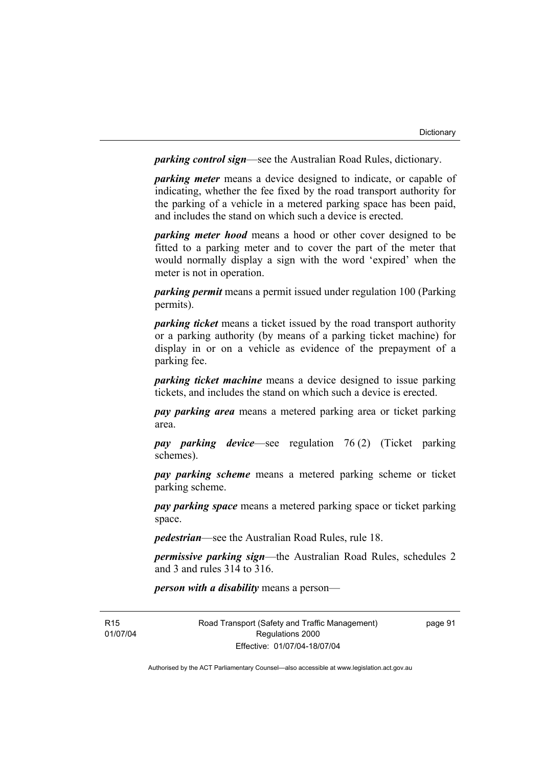*parking control sign*—see the Australian Road Rules, dictionary.

*parking meter* means a device designed to indicate, or capable of indicating, whether the fee fixed by the road transport authority for the parking of a vehicle in a metered parking space has been paid, and includes the stand on which such a device is erected.

*parking meter hood* means a hood or other cover designed to be fitted to a parking meter and to cover the part of the meter that would normally display a sign with the word 'expired' when the meter is not in operation.

*parking permit* means a permit issued under regulation 100 (Parking permits).

*parking ticket* means a ticket issued by the road transport authority or a parking authority (by means of a parking ticket machine) for display in or on a vehicle as evidence of the prepayment of a parking fee.

*parking ticket machine* means a device designed to issue parking tickets, and includes the stand on which such a device is erected.

*pay parking area* means a metered parking area or ticket parking area.

*pay parking device*—see regulation 76 (2) (Ticket parking schemes).

*pay parking scheme* means a metered parking scheme or ticket parking scheme.

*pay parking space* means a metered parking space or ticket parking space.

*pedestrian*—see the Australian Road Rules, rule 18.

*permissive parking sign*—the Australian Road Rules, schedules 2 and 3 and rules 314 to 316.

*person with a disability* means a person—

**R15** 01/07/04 Road Transport (Safety and Traffic Management) Regulations 2000 Effective: 01/07/04-18/07/04

page 91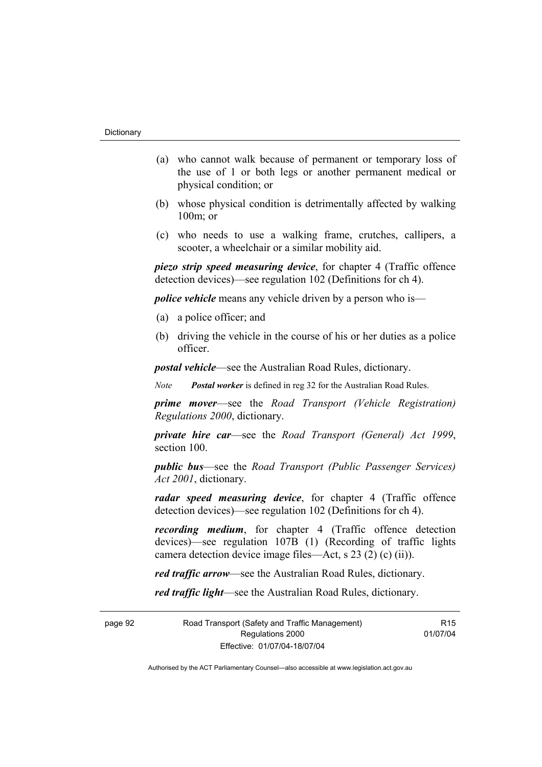- (a) who cannot walk because of permanent or temporary loss of the use of 1 or both legs or another permanent medical or physical condition; or
- (b) whose physical condition is detrimentally affected by walking 100m; or
- (c) who needs to use a walking frame, crutches, callipers, a scooter, a wheelchair or a similar mobility aid.

*piezo strip speed measuring device*, for chapter 4 (Traffic offence detection devices)—see regulation 102 (Definitions for ch 4).

*police vehicle* means any vehicle driven by a person who is—

- (a) a police officer; and
- (b) driving the vehicle in the course of his or her duties as a police officer.

*postal vehicle*—see the Australian Road Rules, dictionary.

*Note Postal worker* is defined in reg 32 for the Australian Road Rules.

*prime mover*—see the *Road Transport (Vehicle Registration) Regulations 2000*, dictionary.

*private hire car*—see the *Road Transport (General) Act 1999*, section 100.

*public bus*—see the *Road Transport (Public Passenger Services) Act 2001*, dictionary.

*radar speed measuring device*, for chapter 4 (Traffic offence detection devices)—see regulation 102 (Definitions for ch 4).

*recording medium*, for chapter 4 (Traffic offence detection devices)—see regulation 107B (1) (Recording of traffic lights camera detection device image files—Act, s 23 (2) (c) (ii)).

*red traffic arrow*—see the Australian Road Rules, dictionary.

*red traffic light*—see the Australian Road Rules, dictionary.

page 92 Road Transport (Safety and Traffic Management) Regulations 2000 Effective: 01/07/04-18/07/04

**R15** 01/07/04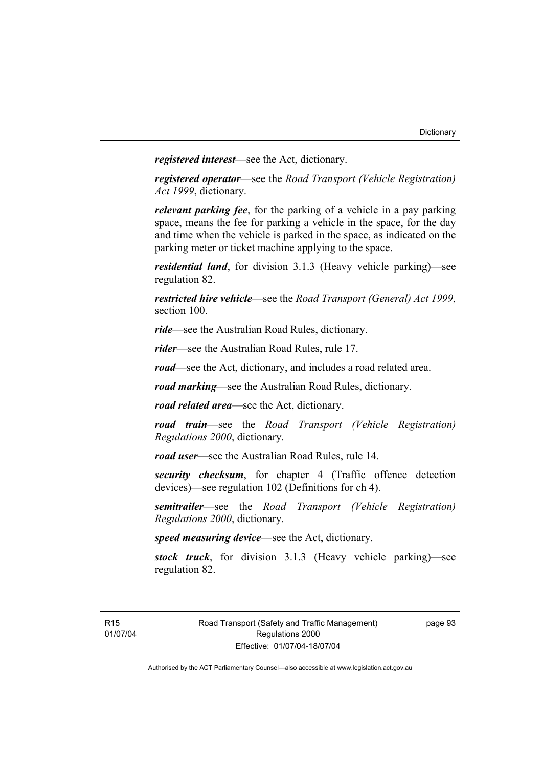*registered interest*—see the Act, dictionary.

*registered operator*—see the *Road Transport (Vehicle Registration) Act 1999*, dictionary.

*relevant parking fee*, for the parking of a vehicle in a pay parking space, means the fee for parking a vehicle in the space, for the day and time when the vehicle is parked in the space, as indicated on the parking meter or ticket machine applying to the space.

*residential land*, for division 3.1.3 (Heavy vehicle parking)—see regulation 82.

*restricted hire vehicle*—see the *Road Transport (General) Act 1999*, section 100.

*ride*—see the Australian Road Rules, dictionary.

*rider*—see the Australian Road Rules, rule 17.

*road*—see the Act, dictionary, and includes a road related area.

*road marking*—see the Australian Road Rules, dictionary.

*road related area*—see the Act, dictionary.

*road train*—see the *Road Transport (Vehicle Registration) Regulations 2000*, dictionary.

*road user*—see the Australian Road Rules, rule 14.

*security checksum*, for chapter 4 (Traffic offence detection devices)—see regulation 102 (Definitions for ch 4).

*semitrailer*—see the *Road Transport (Vehicle Registration) Regulations 2000*, dictionary.

*speed measuring device*—see the Act, dictionary.

*stock truck*, for division 3.1.3 (Heavy vehicle parking)—see regulation 82.

page 93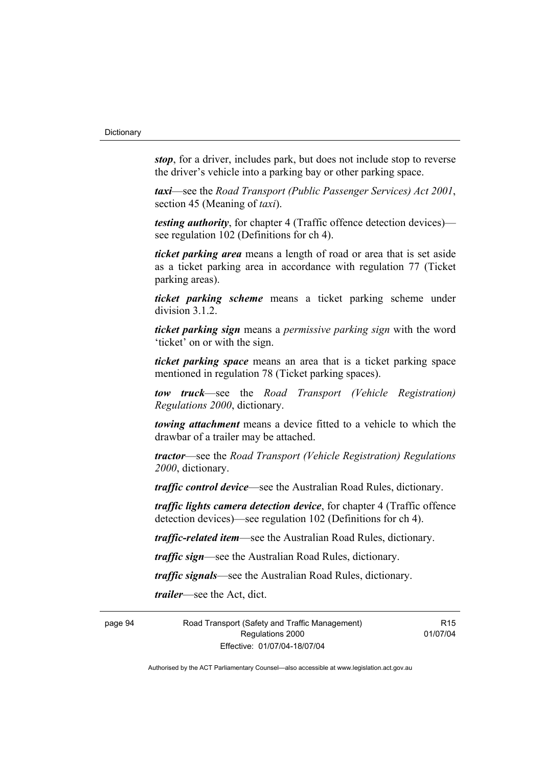*stop*, for a driver, includes park, but does not include stop to reverse the driver's vehicle into a parking bay or other parking space.

*taxi*—see the *Road Transport (Public Passenger Services) Act 2001*, section 45 (Meaning of *taxi*).

*testing authority*, for chapter 4 (Traffic offence detection devices) see regulation 102 (Definitions for ch 4).

*ticket parking area* means a length of road or area that is set aside as a ticket parking area in accordance with regulation 77 (Ticket parking areas).

*ticket parking scheme* means a ticket parking scheme under division 3.1.2.

*ticket parking sign* means a *permissive parking sign* with the word 'ticket' on or with the sign.

*ticket parking space* means an area that is a ticket parking space mentioned in regulation 78 (Ticket parking spaces).

*tow truck*—see the *Road Transport (Vehicle Registration) Regulations 2000*, dictionary.

*towing attachment* means a device fitted to a vehicle to which the drawbar of a trailer may be attached.

*tractor*—see the *Road Transport (Vehicle Registration) Regulations 2000*, dictionary.

*traffic control device*—see the Australian Road Rules, dictionary.

*traffic lights camera detection device*, for chapter 4 (Traffic offence detection devices)—see regulation 102 (Definitions for ch 4).

*traffic-related item*—see the Australian Road Rules, dictionary.

*traffic sign*—see the Australian Road Rules, dictionary.

*traffic signals*—see the Australian Road Rules, dictionary.

*trailer*—see the Act, dict.

page 94 Road Transport (Safety and Traffic Management) Regulations 2000 Effective: 01/07/04-18/07/04

**R15** 01/07/04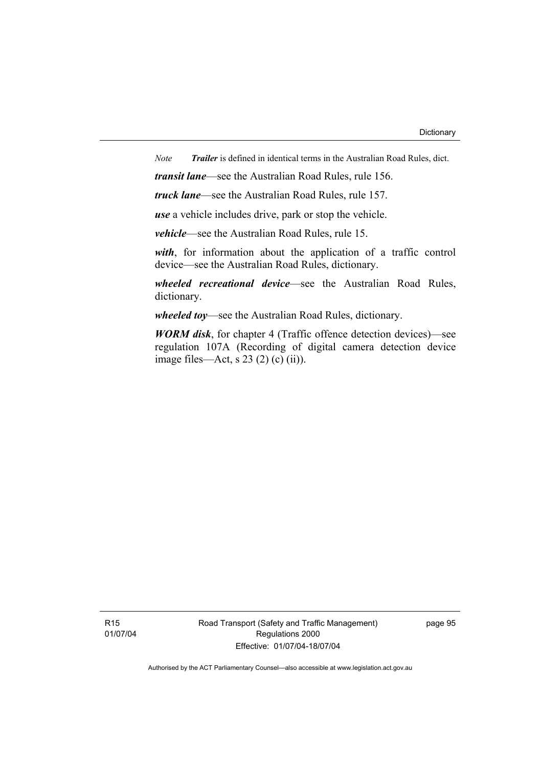*Note Trailer* is defined in identical terms in the Australian Road Rules, dict.

*transit lane*—see the Australian Road Rules, rule 156.

*truck lane*—see the Australian Road Rules, rule 157.

*use* a vehicle includes drive, park or stop the vehicle.

*vehicle*—see the Australian Road Rules, rule 15.

*with*, for information about the application of a traffic control device—see the Australian Road Rules, dictionary.

*wheeled recreational device*—see the Australian Road Rules, dictionary.

*wheeled toy*—see the Australian Road Rules, dictionary.

*WORM disk*, for chapter 4 (Traffic offence detection devices)—see regulation 107A (Recording of digital camera detection device image files—Act, s 23 (2) (c) (ii)).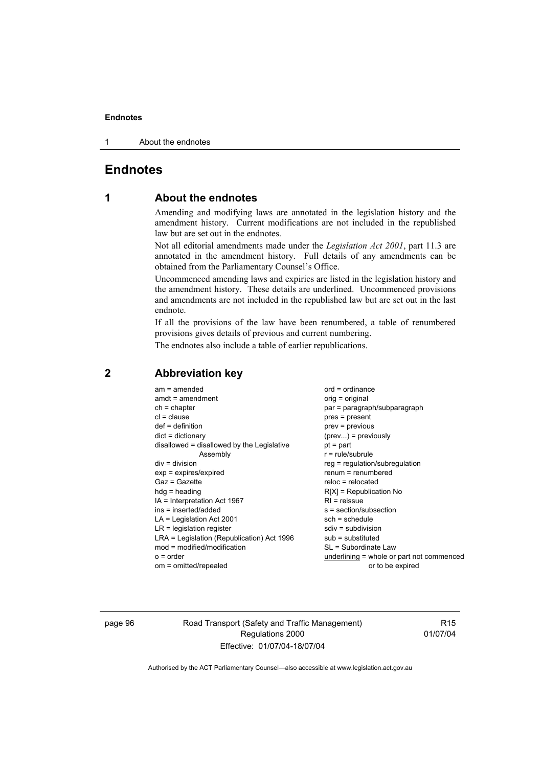#### **Endnotes**

1 About the endnotes

# **Endnotes**

# **1 About the endnotes**

Amending and modifying laws are annotated in the legislation history and the amendment history. Current modifications are not included in the republished law but are set out in the endnotes.

Not all editorial amendments made under the *Legislation Act 2001*, part 11.3 are annotated in the amendment history. Full details of any amendments can be obtained from the Parliamentary Counsel's Office.

Uncommenced amending laws and expiries are listed in the legislation history and the amendment history. These details are underlined. Uncommenced provisions and amendments are not included in the republished law but are set out in the last endnote.

If all the provisions of the law have been renumbered, a table of renumbered provisions gives details of previous and current numbering.

The endnotes also include a table of earlier republications.

| $am = amended$<br>$amdt = amendment$<br>$ch = chapter$<br>$cl = clause$<br>$def = definition$<br>$dict = dictionary$<br>disallowed = disallowed by the Legislative<br>Assembly<br>$div =$ division<br>$exp = expires/expired$<br>$Gaz = Gazette$<br>$hda =$ heading<br>IA = Interpretation Act 1967<br>ins = inserted/added<br>$LA =$ Legislation Act 2001<br>$LR =$ legislation register<br>LRA = Legislation (Republication) Act 1996<br>$mod = modified/modification$ | $ord = ordinance$<br>orig = original<br>par = paragraph/subparagraph<br>$pres = present$<br>$prev = previous$<br>$(\text{prev})$ = previously<br>$pt = part$<br>$r = rule/subrule$<br>reg = regulation/subregulation<br>$renum = renumbered$<br>$reloc = relocated$<br>$R[X]$ = Republication No<br>$RI = reissue$<br>$s = section/subsection$<br>$sch = schedule$<br>$sdiv = subdivision$<br>$sub =$ substituted<br>SL = Subordinate Law |
|--------------------------------------------------------------------------------------------------------------------------------------------------------------------------------------------------------------------------------------------------------------------------------------------------------------------------------------------------------------------------------------------------------------------------------------------------------------------------|-------------------------------------------------------------------------------------------------------------------------------------------------------------------------------------------------------------------------------------------------------------------------------------------------------------------------------------------------------------------------------------------------------------------------------------------|
| $o = order$<br>om = omitted/repealed                                                                                                                                                                                                                                                                                                                                                                                                                                     | underlining = whole or part not commenced<br>or to be expired                                                                                                                                                                                                                                                                                                                                                                             |
|                                                                                                                                                                                                                                                                                                                                                                                                                                                                          |                                                                                                                                                                                                                                                                                                                                                                                                                                           |

## **2 Abbreviation key**

page 96 Road Transport (Safety and Traffic Management) Regulations 2000 Effective: 01/07/04-18/07/04

R15 01/07/04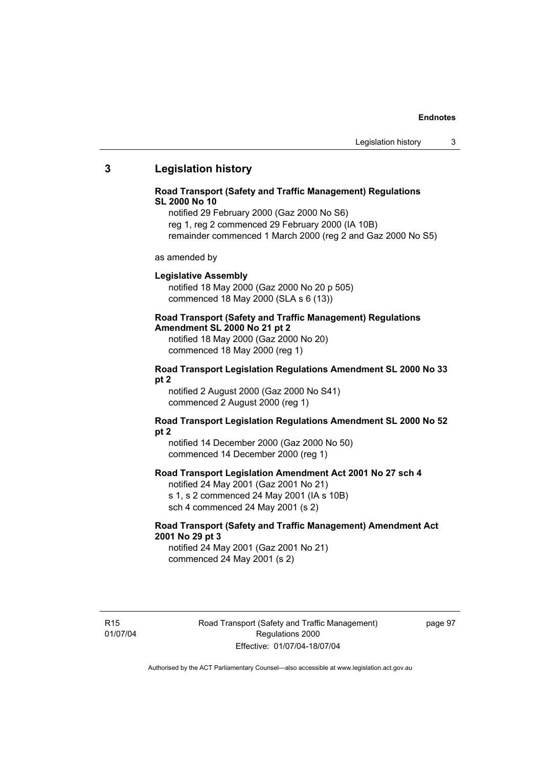#### **Endnotes**

## **3 Legislation history**

### **Road Transport (Safety and Traffic Management) Regulations SL 2000 No 10**

notified 29 February 2000 (Gaz 2000 No S6) reg 1, reg 2 commenced 29 February 2000 (IA 10B) remainder commenced 1 March 2000 (reg 2 and Gaz 2000 No S5)

as amended by

#### **Legislative Assembly**

notified 18 May 2000 (Gaz 2000 No 20 p 505) commenced 18 May 2000 (SLA s 6 (13))

# **Road Transport (Safety and Traffic Management) Regulations**

**Amendment SL 2000 No 21 pt 2** 

notified 18 May 2000 (Gaz 2000 No 20) commenced 18 May 2000 (reg 1)

#### **Road Transport Legislation Regulations Amendment SL 2000 No 33 pt 2**

notified 2 August 2000 (Gaz 2000 No S41) commenced 2 August 2000 (reg 1)

## **Road Transport Legislation Regulations Amendment SL 2000 No 52 pt 2**

notified 14 December 2000 (Gaz 2000 No 50) commenced 14 December 2000 (reg 1)

### **Road Transport Legislation Amendment Act 2001 No 27 sch 4**

notified 24 May 2001 (Gaz 2001 No 21) s 1, s 2 commenced 24 May 2001 (IA s 10B) sch 4 commenced 24 May 2001 (s 2)

## **Road Transport (Safety and Traffic Management) Amendment Act 2001 No 29 pt 3**

notified 24 May 2001 (Gaz 2001 No 21) commenced 24 May 2001 (s 2)

R15 01/07/04 page 97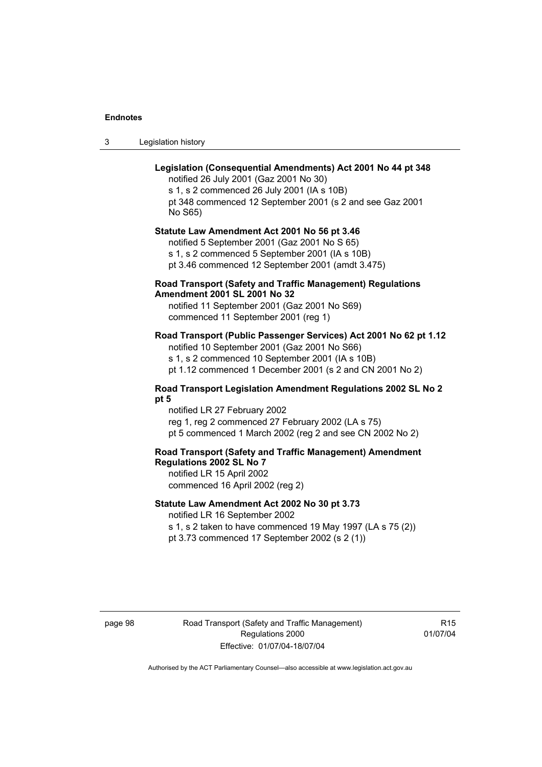#### **Endnotes**

3 Legislation history

## **Legislation (Consequential Amendments) Act 2001 No 44 pt 348**

notified 26 July 2001 (Gaz 2001 No 30) s 1, s 2 commenced 26 July 2001 (IA s 10B) pt 348 commenced 12 September 2001 (s 2 and see Gaz 2001 No S65)

## **Statute Law Amendment Act 2001 No 56 pt 3.46**

notified 5 September 2001 (Gaz 2001 No S 65) s 1, s 2 commenced 5 September 2001 (IA s 10B) pt 3.46 commenced 12 September 2001 (amdt 3.475)

## **Road Transport (Safety and Traffic Management) Regulations Amendment 2001 SL 2001 No 32**

notified 11 September 2001 (Gaz 2001 No S69) commenced 11 September 2001 (reg 1)

## **Road Transport (Public Passenger Services) Act 2001 No 62 pt 1.12**

notified 10 September 2001 (Gaz 2001 No S66) s 1, s 2 commenced 10 September 2001 (IA s 10B)

pt 1.12 commenced 1 December 2001 (s 2 and CN 2001 No 2)

## **Road Transport Legislation Amendment Regulations 2002 SL No 2 pt 5**

notified LR 27 February 2002 reg 1, reg 2 commenced 27 February 2002 (LA s 75) pt 5 commenced 1 March 2002 (reg 2 and see CN 2002 No 2)

## **Road Transport (Safety and Traffic Management) Amendment Regulations 2002 SL No 7**

notified LR 15 April 2002 commenced 16 April 2002 (reg 2)

## **Statute Law Amendment Act 2002 No 30 pt 3.73**

notified LR 16 September 2002

s 1, s 2 taken to have commenced 19 May 1997 (LA s 75 (2)) pt 3.73 commenced 17 September 2002 (s 2 (1))

page 98 Road Transport (Safety and Traffic Management) Regulations 2000 Effective: 01/07/04-18/07/04

R15 01/07/04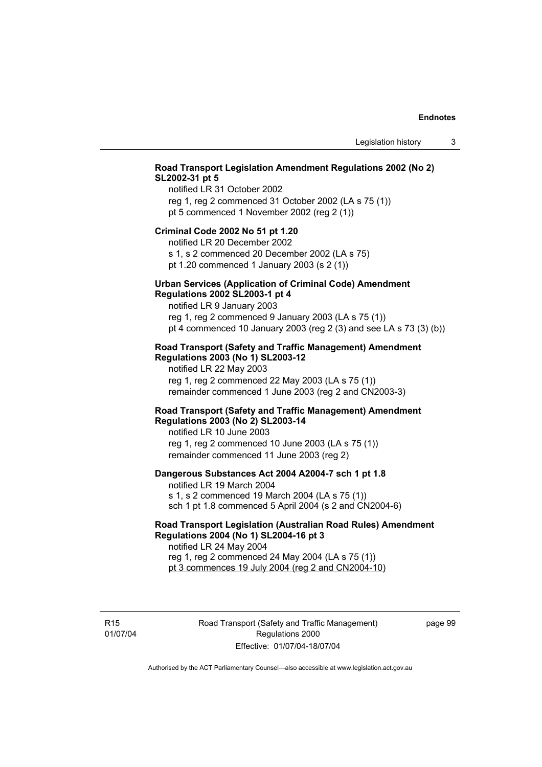## **Road Transport Legislation Amendment Regulations 2002 (No 2) SL2002-31 pt 5**

notified LR 31 October 2002 reg 1, reg 2 commenced 31 October 2002 (LA s 75 (1)) pt 5 commenced 1 November 2002 (reg 2 (1))

#### **Criminal Code 2002 No 51 pt 1.20**

notified LR 20 December 2002 s 1, s 2 commenced 20 December 2002 (LA s 75)

pt 1.20 commenced 1 January 2003 (s 2 (1))

#### **Urban Services (Application of Criminal Code) Amendment Regulations 2002 SL2003-1 pt 4**

notified LR 9 January 2003 reg 1, reg 2 commenced 9 January 2003 (LA s 75 (1)) pt 4 commenced 10 January 2003 (reg 2 (3) and see LA s 73 (3) (b))

#### **Road Transport (Safety and Traffic Management) Amendment Regulations 2003 (No 1) SL2003-12**

notified LR 22 May 2003 reg 1, reg 2 commenced 22 May 2003 (LA s 75 (1)) remainder commenced 1 June 2003 (reg 2 and CN2003-3)

#### **Road Transport (Safety and Traffic Management) Amendment Regulations 2003 (No 2) SL2003-14**

notified LR 10 June 2003 reg 1, reg 2 commenced 10 June 2003 (LA s 75 (1)) remainder commenced 11 June 2003 (reg 2)

## **Dangerous Substances Act 2004 A2004-7 sch 1 pt 1.8**

notified LR 19 March 2004 s 1, s 2 commenced 19 March 2004 (LA s 75 (1)) sch 1 pt 1.8 commenced 5 April 2004 (s 2 and CN2004-6)

## **Road Transport Legislation (Australian Road Rules) Amendment Regulations 2004 (No 1) SL2004-16 pt 3**

notified LR 24 May 2004 reg 1, reg 2 commenced 24 May 2004 (LA s 75 (1)) pt 3 commences 19 July 2004 (reg 2 and CN2004-10)

R15 01/07/04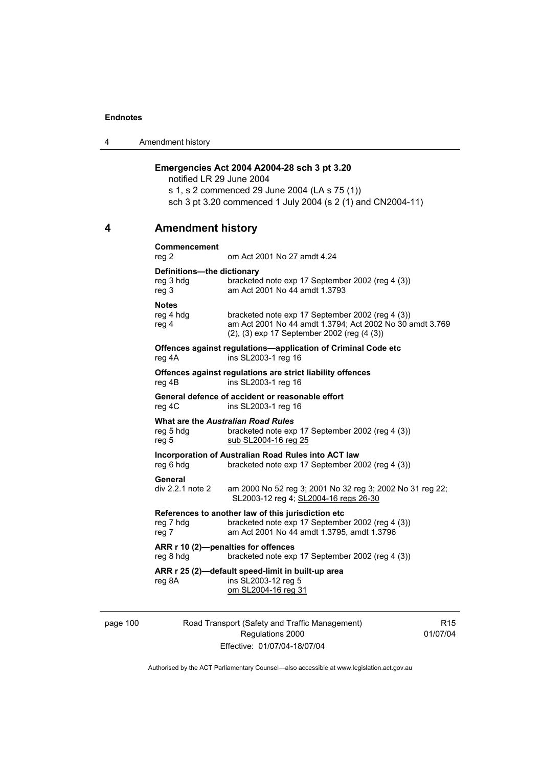4 Amendment history

# **Emergencies Act 2004 A2004-28 sch 3 pt 3.20**

notified LR 29 June 2004 s 1, s 2 commenced 29 June 2004 (LA s 75 (1)) sch 3 pt 3.20 commenced 1 July 2004 (s 2 (1) and CN2004-11)

# **4 Amendment history**

| <b>Commencement</b><br>reg 2                     | om Act 2001 No 27 amdt 4.24                                                                                                                                 |
|--------------------------------------------------|-------------------------------------------------------------------------------------------------------------------------------------------------------------|
| Definitions-the dictionary<br>reg 3 hdg<br>reg 3 | bracketed note exp 17 September 2002 (reg 4 (3))<br>am Act 2001 No 44 amdt 1.3793                                                                           |
| <b>Notes</b><br>reg 4 hdg<br>reg 4               | bracketed note exp 17 September 2002 (reg 4 (3))<br>am Act 2001 No 44 amdt 1.3794; Act 2002 No 30 amdt 3.769<br>(2), (3) exp 17 September 2002 (reg (4 (3)) |
| reg 4A                                           | Offences against regulations-application of Criminal Code etc<br>ins SL2003-1 reg 16                                                                        |
| reg 4B                                           | Offences against regulations are strict liability offences<br>ins SL2003-1 reg 16                                                                           |
| reg 4C                                           | General defence of accident or reasonable effort<br>ins SL2003-1 reg 16                                                                                     |
| reg 5 hdg<br>reg 5                               | What are the Australian Road Rules<br>bracketed note exp 17 September 2002 (reg 4 (3))<br>sub SL2004-16 reg 25                                              |
| reg 6 hdg                                        | Incorporation of Australian Road Rules into ACT law<br>bracketed note exp 17 September 2002 (reg 4 (3))                                                     |
| General<br>div 2.2.1 note 2                      | am 2000 No 52 reg 3; 2001 No 32 reg 3; 2002 No 31 reg 22;<br>SL2003-12 reg 4; SL2004-16 regs 26-30                                                          |
| reg 7 hdg<br>reg 7                               | References to another law of this jurisdiction etc<br>bracketed note exp 17 September 2002 (reg 4 (3))<br>am Act 2001 No 44 amdt 1.3795, amdt 1.3796        |
| reg 8 hdg                                        | ARR r 10 (2)-penalties for offences<br>bracketed note exp 17 September 2002 (reg 4 (3))                                                                     |
| reg 8A                                           | ARR r 25 (2)-default speed-limit in built-up area<br>ins SL2003-12 reg 5<br>om SL2004-16 reg 31                                                             |

page 100 Road Transport (Safety and Traffic Management) Regulations 2000 Effective: 01/07/04-18/07/04

R15 01/07/04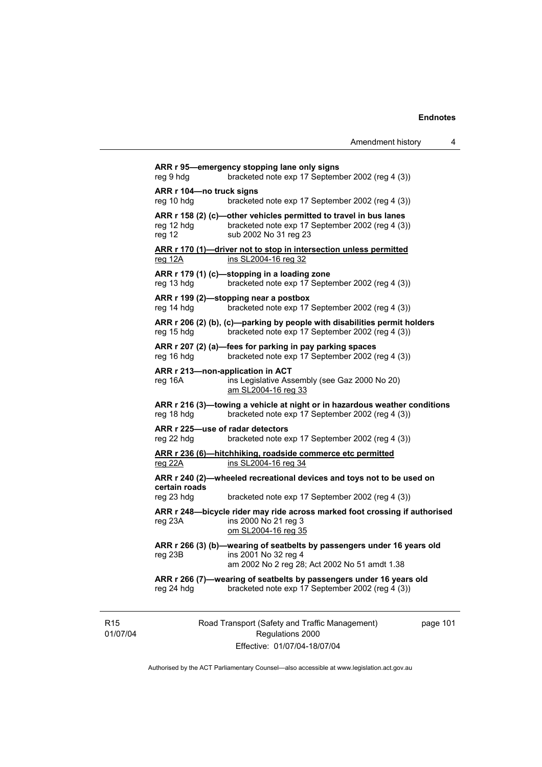|                                                | Amendment history                                                                                                                                | 4 |
|------------------------------------------------|--------------------------------------------------------------------------------------------------------------------------------------------------|---|
| reg 9 hdg                                      | ARR r 95-emergency stopping lane only signs<br>bracketed note exp 17 September 2002 (reg 4 (3))                                                  |   |
| ARR r 104-no truck signs<br>reg 10 hdg         | bracketed note exp 17 September 2002 (reg 4 (3))                                                                                                 |   |
| reg 12 hdg<br>reg 12                           | ARR r 158 (2) (c)-other vehicles permitted to travel in bus lanes<br>bracketed note exp 17 September 2002 (reg 4 (3))<br>sub 2002 No 31 reg 23   |   |
| reg 12A                                        | <u>ARR r 170 (1)—driver not to stop in intersection unless permitted</u><br>ins SL2004-16 reg 32                                                 |   |
| reg 13 hdg                                     | ARR r 179 (1) (c)-stopping in a loading zone<br>bracketed note exp 17 September 2002 (reg 4 (3))                                                 |   |
| reg 14 hdg                                     | ARR r 199 (2)-stopping near a postbox<br>bracketed note exp 17 September 2002 (reg 4 (3))                                                        |   |
| reg 15 hdg                                     | ARR r 206 (2) (b), (c)-parking by people with disabilities permit holders<br>bracketed note exp 17 September 2002 (reg 4 (3))                    |   |
| reg 16 hdg                                     | ARR r 207 (2) (a)—fees for parking in pay parking spaces<br>bracketed note exp 17 September 2002 (reg 4 (3))                                     |   |
| reg 16A                                        | ARR r 213-non-application in ACT<br>ins Legislative Assembly (see Gaz 2000 No 20)<br>am SL2004-16 reg 33                                         |   |
| reg 18 hdg                                     | ARR r 216 (3)—towing a vehicle at night or in hazardous weather conditions<br>bracketed note exp 17 September 2002 (reg 4 (3))                   |   |
| ARR r 225-use of radar detectors<br>reg 22 hdg | bracketed note exp 17 September 2002 (reg 4 (3))                                                                                                 |   |
| reg 22A                                        | ARR r 236 (6)—hitchhiking, roadside commerce etc permitted<br>ins SL2004-16 reg 34                                                               |   |
| certain roads                                  | ARR r 240 (2)-wheeled recreational devices and toys not to be used on                                                                            |   |
| reg 23 hdg                                     | bracketed note exp 17 September 2002 (reg 4 (3))                                                                                                 |   |
| reg 23A                                        | ARR r 248-bicycle rider may ride across marked foot crossing if authorised<br>ins 2000 No 21 reg 3<br>om SL2004-16 reg 35                        |   |
| reg 23B                                        | ARR r 266 (3) (b)-wearing of seatbelts by passengers under 16 years old<br>ins 2001 No 32 reg 4<br>am 2002 No 2 reg 28; Act 2002 No 51 amdt 1.38 |   |
| reg 24 hdg                                     | ARR r 266 (7)—wearing of seatbelts by passengers under 16 years old<br>bracketed note exp 17 September 2002 (reg 4 (3))                          |   |

R15 01/07/04 Road Transport (Safety and Traffic Management) Regulations 2000 Effective: 01/07/04-18/07/04

page 101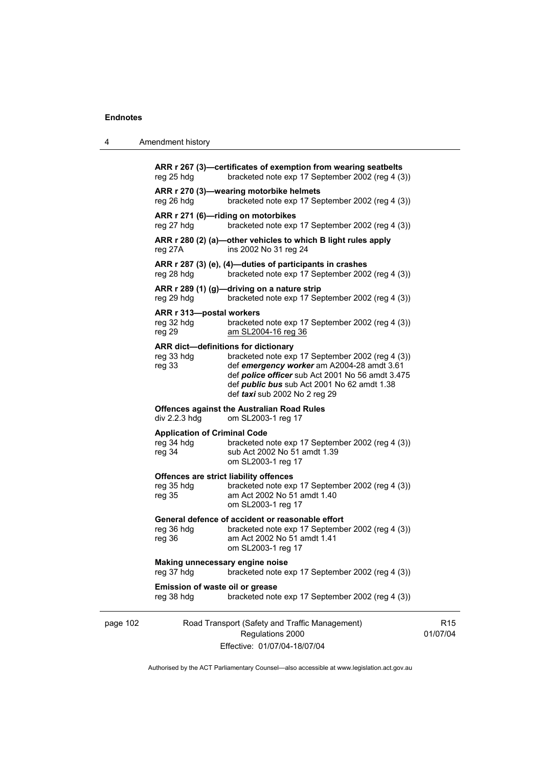| 4        | Amendment history                                              |                                                                                                                                                                                                                                           |                             |
|----------|----------------------------------------------------------------|-------------------------------------------------------------------------------------------------------------------------------------------------------------------------------------------------------------------------------------------|-----------------------------|
|          | reg 25 hdg                                                     | ARR r 267 (3)-certificates of exemption from wearing seatbelts<br>bracketed note exp 17 September 2002 (reg 4 (3))                                                                                                                        |                             |
|          | reg 26 hdg                                                     | ARR r 270 (3)-wearing motorbike helmets<br>bracketed note exp 17 September 2002 (reg 4 (3))                                                                                                                                               |                             |
|          | ARR r 271 (6)-riding on motorbikes<br>reg 27 hdg               | bracketed note exp 17 September 2002 (reg 4 (3))                                                                                                                                                                                          |                             |
|          | reg 27A                                                        | ARR r 280 (2) (a)—other vehicles to which B light rules apply<br>ins 2002 No 31 reg 24                                                                                                                                                    |                             |
|          | reg 28 hdg                                                     | ARR r 287 (3) (e), (4)—duties of participants in crashes<br>bracketed note exp 17 September 2002 (reg 4 (3))                                                                                                                              |                             |
|          | reg 29 hdg                                                     | ARR r 289 (1) (g)-driving on a nature strip<br>bracketed note exp 17 September 2002 (reg 4 (3))                                                                                                                                           |                             |
|          | ARR r 313-postal workers<br>reg 32 hdg<br>reg 29               | bracketed note exp 17 September 2002 (reg 4 (3))<br>am SL2004-16 reg 36                                                                                                                                                                   |                             |
|          | ARR dict-definitions for dictionary<br>reg 33 hdg<br>reg 33    | bracketed note exp 17 September 2002 (reg 4 (3))<br>def emergency worker am A2004-28 amdt 3.61<br>def police officer sub Act 2001 No 56 amdt 3.475<br>def <i>public bus</i> sub Act 2001 No 62 amdt 1.38<br>def taxi sub 2002 No 2 reg 29 |                             |
|          | div 2.2.3 hdg                                                  | <b>Offences against the Australian Road Rules</b><br>om SL2003-1 reg 17                                                                                                                                                                   |                             |
|          | <b>Application of Criminal Code</b><br>reg 34 hdg<br>reg 34    | bracketed note exp 17 September 2002 (reg 4 (3))<br>sub Act 2002 No 51 amdt 1.39<br>om SL2003-1 reg 17                                                                                                                                    |                             |
|          | Offences are strict liability offences<br>reg 35 hdg<br>reg 35 | bracketed note exp 17 September 2002 (reg 4 (3))<br>am Act 2002 No 51 amdt 1.40<br>om SL2003-1 reg 17                                                                                                                                     |                             |
|          | reg 36 hdg<br>reg 36                                           | General defence of accident or reasonable effort<br>bracketed note exp 17 September 2002 (reg 4 (3))<br>am Act 2002 No 51 amdt 1.41<br>om SL2003-1 reg 17                                                                                 |                             |
|          | Making unnecessary engine noise<br>reg 37 hdg                  | bracketed note exp 17 September 2002 (reg 4 (3))                                                                                                                                                                                          |                             |
|          | Emission of waste oil or grease<br>reg 38 hdg                  | bracketed note exp 17 September 2002 (reg 4 (3))                                                                                                                                                                                          |                             |
| page 102 |                                                                | Road Transport (Safety and Traffic Management)<br>Regulations 2000<br>Effective: 01/07/04-18/07/04                                                                                                                                        | R <sub>15</sub><br>01/07/04 |

Authorised by the ACT Parliamentary Counsel—also accessible at www.legislation.act.gov.au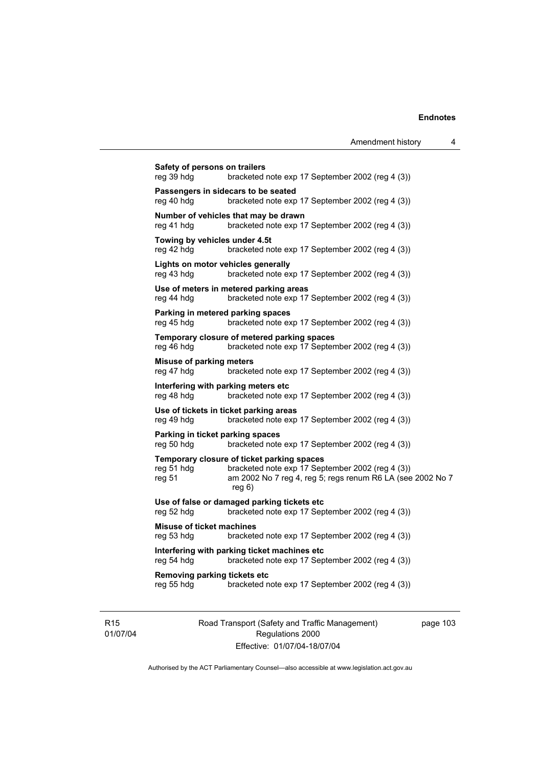| reg 40 hdg                                    | Passengers in sidecars to be seated<br>bracketed note exp 17 September 2002 (reg 4 (3))                                                                                  |
|-----------------------------------------------|--------------------------------------------------------------------------------------------------------------------------------------------------------------------------|
|                                               |                                                                                                                                                                          |
| reg 41 hdg                                    | Number of vehicles that may be drawn<br>bracketed note exp 17 September 2002 (reg 4 (3))                                                                                 |
| reg 42 hdg                                    | Towing by vehicles under 4.5t<br>bracketed note exp 17 September 2002 (reg 4 (3))                                                                                        |
| reg 43 hdg                                    | Lights on motor vehicles generally<br>bracketed note exp 17 September 2002 (reg 4 (3))                                                                                   |
| reg 44 hdg                                    | Use of meters in metered parking areas<br>bracketed note exp 17 September 2002 (reg 4 (3))                                                                               |
| reg 45 hdg                                    | Parking in metered parking spaces<br>bracketed note exp 17 September 2002 (reg 4 (3))                                                                                    |
| reg 46 hdg                                    | Temporary closure of metered parking spaces<br>bracketed note exp 17 September 2002 (reg 4 (3))                                                                          |
| <b>Misuse of parking meters</b><br>reg 47 hdg | bracketed note exp 17 September 2002 (reg 4 (3))                                                                                                                         |
| reg 48 hdg                                    | Interfering with parking meters etc.<br>bracketed note exp 17 September 2002 (reg 4 (3))                                                                                 |
| reg 49 hdg                                    | Use of tickets in ticket parking areas<br>bracketed note exp 17 September 2002 (reg 4 (3))                                                                               |
| reg 50 hdg                                    | Parking in ticket parking spaces<br>bracketed note exp 17 September 2002 (reg 4 (3))                                                                                     |
| reg 51 hdg<br>reg 51                          | Temporary closure of ticket parking spaces<br>bracketed note exp 17 September 2002 (reg 4 (3))<br>am 2002 No 7 reg 4, reg 5; regs renum R6 LA (see 2002 No 7<br>reg $6)$ |
| reg 52 hdg                                    | Use of false or damaged parking tickets etc<br>bracketed note exp 17 September 2002 (reg 4 (3))                                                                          |
| reg 53 hdg                                    | <b>Misuse of ticket machines</b><br>bracketed note exp 17 September 2002 (reg 4 (3))                                                                                     |
| reg 54 hdg                                    | Interfering with parking ticket machines etc<br>bracketed note exp 17 September 2002 (reg 4 (3))                                                                         |
|                                               | Removing parking tickets etc                                                                                                                                             |

R15 01/07/04 Road Transport (Safety and Traffic Management) Regulations 2000 Effective: 01/07/04-18/07/04

page 103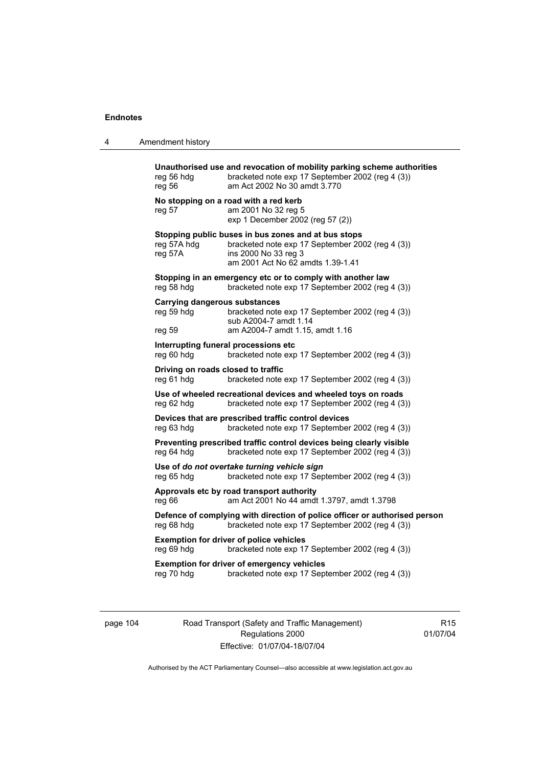| 4 | Amendment history |
|---|-------------------|
|---|-------------------|

| reg 56 hdg<br>reg 56                                         | Unauthorised use and revocation of mobility parking scheme authorities<br>bracketed note exp 17 September 2002 (reg 4 (3))<br>am Act 2002 No 30 amdt 3.770           |
|--------------------------------------------------------------|----------------------------------------------------------------------------------------------------------------------------------------------------------------------|
| reg 57                                                       | No stopping on a road with a red kerb<br>am 2001 No 32 reg 5<br>exp 1 December 2002 (reg 57 (2))                                                                     |
| reg 57A hdg<br>reg 57A                                       | Stopping public buses in bus zones and at bus stops<br>bracketed note exp 17 September 2002 (reg 4 (3))<br>ins 2000 No 33 reg 3<br>am 2001 Act No 62 amdts 1.39-1.41 |
| reg 58 hdg                                                   | Stopping in an emergency etc or to comply with another law<br>bracketed note exp 17 September 2002 (reg 4 (3))                                                       |
| <b>Carrying dangerous substances</b><br>reg 59 hdg<br>reg 59 | bracketed note exp 17 September 2002 (reg 4 (3))<br>sub A2004-7 amdt 1.14<br>am A2004-7 amdt 1.15, amdt 1.16                                                         |
| reg 60 hdg                                                   | Interrupting funeral processions etc<br>bracketed note exp 17 September 2002 (reg 4 (3))                                                                             |
| Driving on roads closed to traffic<br>reg 61 hdg             | bracketed note exp 17 September 2002 (reg 4 (3))                                                                                                                     |
| reg 62 hdg                                                   | Use of wheeled recreational devices and wheeled toys on roads<br>bracketed note exp 17 September 2002 (reg 4 (3))                                                    |
| reg 63 hdg                                                   | Devices that are prescribed traffic control devices<br>bracketed note exp 17 September 2002 (reg 4 (3))                                                              |
| reg 64 hdg                                                   | Preventing prescribed traffic control devices being clearly visible<br>bracketed note exp 17 September 2002 (reg 4 (3))                                              |
| reg 65 hdg                                                   | Use of do not overtake turning vehicle sign<br>bracketed note exp 17 September 2002 (reg 4 (3))                                                                      |
| reg 66                                                       | Approvals etc by road transport authority<br>am Act 2001 No 44 amdt 1.3797, amdt 1.3798                                                                              |
| reg 68 hdg                                                   | Defence of complying with direction of police officer or authorised person<br>bracketed note exp 17 September 2002 (reg 4 (3))                                       |
| reg 69 hdg                                                   | <b>Exemption for driver of police vehicles</b><br>bracketed note exp 17 September 2002 (reg 4 (3))                                                                   |
| reg 70 hdg                                                   | <b>Exemption for driver of emergency vehicles</b><br>bracketed note exp 17 September 2002 (reg 4 (3))                                                                |
|                                                              |                                                                                                                                                                      |

page 104 Road Transport (Safety and Traffic Management) Regulations 2000 Effective: 01/07/04-18/07/04

R15 01/07/04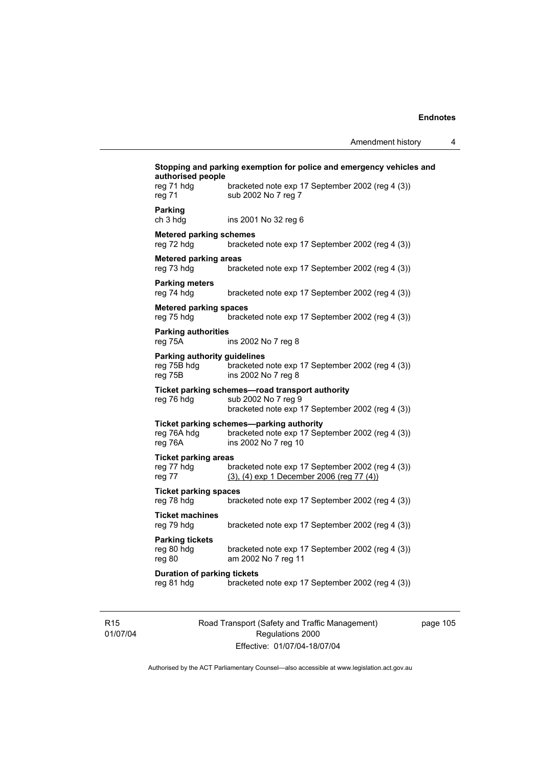| reg 71 hdg<br>reg 71                                   | bracketed note exp 17 September 2002 (reg 4 (3))<br>sub 2002 No 7 reg 7                                                    |
|--------------------------------------------------------|----------------------------------------------------------------------------------------------------------------------------|
| Parking<br>ch 3 hdg                                    | ins 2001 No 32 reg 6                                                                                                       |
| <b>Metered parking schemes</b><br>reg 72 hdg           | bracketed note exp 17 September 2002 (reg 4 (3))                                                                           |
| <b>Metered parking areas</b><br>reg 73 hdg             | bracketed note exp 17 September 2002 (reg 4 (3))                                                                           |
| <b>Parking meters</b><br>reg 74 hdg                    | bracketed note exp 17 September 2002 (reg 4 (3))                                                                           |
| <b>Metered parking spaces</b><br>reg 75 hdg            | bracketed note exp 17 September 2002 (reg 4 (3))                                                                           |
| <b>Parking authorities</b><br>reg 75A                  | ins 2002 No 7 reg 8                                                                                                        |
| Parking authority guidelines<br>reg 75B hdg<br>reg 75B | bracketed note exp 17 September 2002 (reg 4 (3))<br>ins 2002 No 7 reg 8                                                    |
| reg 76 hdg                                             | Ticket parking schemes-road transport authority<br>sub 2002 No 7 reg 9<br>bracketed note exp 17 September 2002 (reg 4 (3)) |
| reg 76A hdg<br>reg 76A                                 | Ticket parking schemes—parking authority<br>bracketed note exp 17 September 2002 (reg 4 (3))<br>ins 2002 No 7 reg 10       |
| <b>Ticket parking areas</b><br>reg 77 hdg<br>reg 77    | bracketed note exp 17 September 2002 (reg 4 (3))<br>$(3)$ , $(4)$ exp 1 December 2006 (reg 77 $(4)$ )                      |
| <b>Ticket parking spaces</b>                           | bracketed note exp 17 September 2002 (reg 4 (3))                                                                           |
| reg 78 hdg                                             |                                                                                                                            |
| <b>Ticket machines</b><br>reg 79 hdg                   | bracketed note exp 17 September 2002 (reg 4 (3))                                                                           |
| <b>Parking tickets</b><br>reg 80 hdg<br>reg 80         | bracketed note exp 17 September 2002 (reg 4 (3))<br>am 2002 No 7 reg 11                                                    |

R15 01/07/04 Road Transport (Safety and Traffic Management) Regulations 2000 Effective: 01/07/04-18/07/04

page 105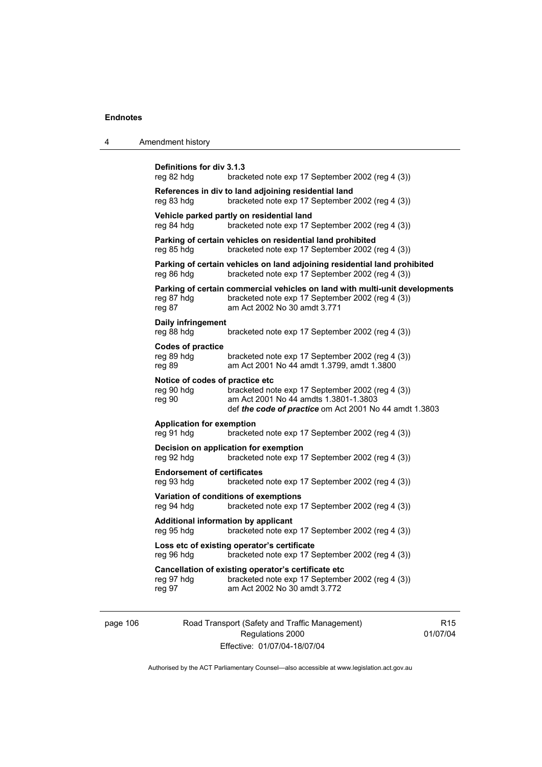|  | Amendment history |
|--|-------------------|
|--|-------------------|

| Definitions for div 3.1.3<br>reg 82 hdg                  | bracketed note exp 17 September 2002 (reg 4 (3))                                                                                                                |
|----------------------------------------------------------|-----------------------------------------------------------------------------------------------------------------------------------------------------------------|
| reg 83 hdg                                               | References in div to land adjoining residential land<br>bracketed note exp 17 September 2002 (reg 4 (3))                                                        |
| reg 84 hdg                                               | Vehicle parked partly on residential land<br>bracketed note exp 17 September 2002 (reg 4 (3))                                                                   |
| reg 85 hdg                                               | Parking of certain vehicles on residential land prohibited<br>bracketed note exp 17 September 2002 (reg 4 (3))                                                  |
| reg 86 hdg                                               | Parking of certain vehicles on land adjoining residential land prohibited<br>bracketed note exp 17 September 2002 (reg 4 (3))                                   |
| reg 87 hdg<br>reg 87                                     | Parking of certain commercial vehicles on land with multi-unit developments<br>bracketed note exp 17 September 2002 (reg 4 (3))<br>am Act 2002 No 30 amdt 3.771 |
| <b>Daily infringement</b><br>reg 88 hdg                  | bracketed note exp 17 September 2002 (reg 4 (3))                                                                                                                |
| Codes of practice<br>reg 89 hdg<br>reg 89                | bracketed note exp 17 September 2002 (reg 4 (3))<br>am Act 2001 No 44 amdt 1.3799, amdt 1.3800                                                                  |
| Notice of codes of practice etc<br>reg 90 hdg<br>reg 90  | bracketed note exp 17 September 2002 (reg 4 (3))<br>am Act 2001 No 44 amdts 1.3801-1.3803<br>def the code of practice om Act 2001 No 44 amdt 1.3803             |
| <b>Application for exemption</b><br>reg 91 hdg           | bracketed note exp 17 September 2002 (reg 4 (3))                                                                                                                |
| reg 92 hdg                                               | Decision on application for exemption<br>bracketed note exp 17 September 2002 (reg 4 (3))                                                                       |
| <b>Endorsement of certificates</b><br>reg 93 hdg         | bracketed note exp 17 September 2002 (reg 4 (3))                                                                                                                |
| reg 94 hdg                                               | Variation of conditions of exemptions<br>bracketed note exp 17 September 2002 (reg 4 (3))                                                                       |
| <b>Additional information by applicant</b><br>reg 95 hdg | bracketed note exp 17 September 2002 (reg 4 (3))                                                                                                                |
| reg 96 hdg                                               | Loss etc of existing operator's certificate<br>bracketed note exp 17 September 2002 (reg 4 (3))                                                                 |
| reg 97 hdg<br>reg 97                                     | Cancellation of existing operator's certificate etc<br>bracketed note exp 17 September 2002 (reg 4 (3))<br>am Act 2002 No 30 amdt 3.772                         |
|                                                          |                                                                                                                                                                 |

page 106 Road Transport (Safety and Traffic Management) Regulations 2000 Effective: 01/07/04-18/07/04

R15 01/07/04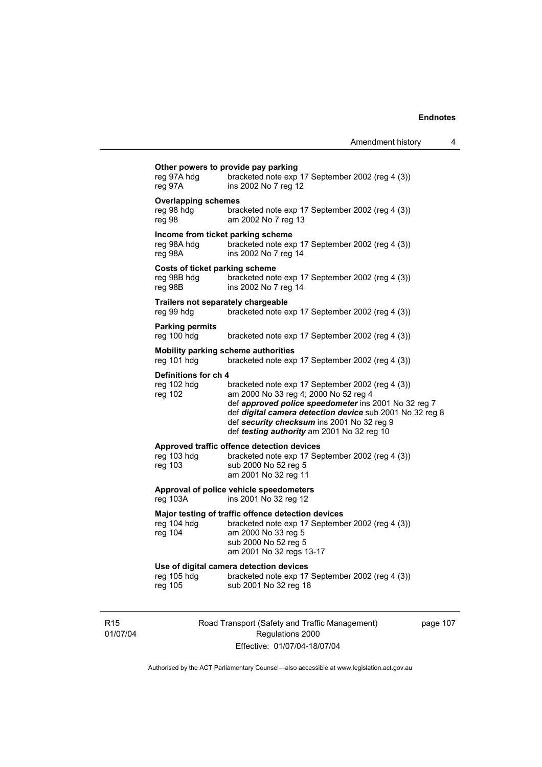| reg 97A hdg<br>reg 97A                                          | bracketed note exp 17 September 2002 (reg 4 (3))<br>ins 2002 No 7 reg 12                                                                                                                                                                                                                                  |
|-----------------------------------------------------------------|-----------------------------------------------------------------------------------------------------------------------------------------------------------------------------------------------------------------------------------------------------------------------------------------------------------|
| <b>Overlapping schemes</b><br>reg 98 hdg<br>reg 98              | bracketed note exp 17 September 2002 (reg 4 (3))<br>am 2002 No 7 reg 13                                                                                                                                                                                                                                   |
| reg 98A hdg<br>reg 98A                                          | Income from ticket parking scheme<br>bracketed note exp 17 September 2002 (reg 4 (3))<br>ins 2002 No 7 reg 14                                                                                                                                                                                             |
| <b>Costs of ticket parking scheme</b><br>reg 98B hdg<br>reg 98B | bracketed note exp 17 September 2002 (reg 4 (3))<br>ins 2002 No 7 reg 14                                                                                                                                                                                                                                  |
| reg 99 hdg                                                      | Trailers not separately chargeable<br>bracketed note exp 17 September 2002 (reg 4 (3))                                                                                                                                                                                                                    |
| <b>Parking permits</b><br>reg 100 hdg                           | bracketed note exp 17 September 2002 (reg 4 (3))                                                                                                                                                                                                                                                          |
| reg 101 hdg                                                     | Mobility parking scheme authorities<br>bracketed note exp 17 September 2002 (reg 4 (3))                                                                                                                                                                                                                   |
| Definitions for ch 4<br>reg 102 hdg<br>reg 102                  | bracketed note exp 17 September 2002 (reg 4 (3))<br>am 2000 No 33 reg 4; 2000 No 52 reg 4<br>def approved police speedometer ins 2001 No 32 reg 7<br>def digital camera detection device sub 2001 No 32 reg 8<br>def security checksum ins 2001 No 32 reg 9<br>def testing authority am 2001 No 32 reg 10 |
| reg 103 hdg<br>reg 103                                          | Approved traffic offence detection devices<br>bracketed note exp 17 September 2002 (reg 4 (3))<br>sub 2000 No 52 reg 5<br>am 2001 No 32 reg 11                                                                                                                                                            |
| reg 103A                                                        | Approval of police vehicle speedometers<br>ins 2001 No 32 reg 12                                                                                                                                                                                                                                          |
| reg 104 hdg<br>reg 104                                          | Major testing of traffic offence detection devices<br>bracketed note exp 17 September 2002 (reg 4 (3))<br>am 2000 No 33 reg 5<br>sub 2000 No 52 reg 5<br>am 2001 No 32 regs 13-17                                                                                                                         |
| reg 105 hdg<br>reg 105                                          | Use of digital camera detection devices<br>bracketed note exp 17 September 2002 (reg 4 (3))<br>sub 2001 No 32 reg 18                                                                                                                                                                                      |

R15 01/07/04 Road Transport (Safety and Traffic Management) Regulations 2000 Effective: 01/07/04-18/07/04

page 107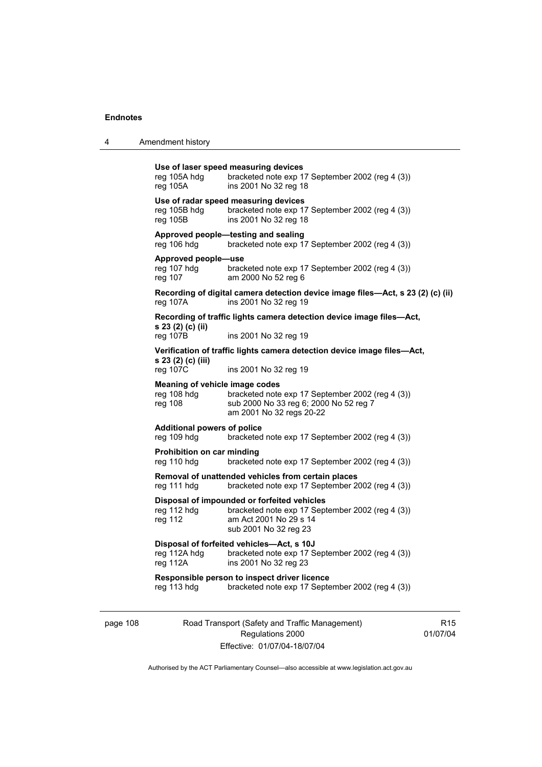|  | Amendment history |
|--|-------------------|
|--|-------------------|

| page 108 |                                                          | Road Transport (Safety and Traffic Management)                                                                                                     | R <sub>15</sub> |
|----------|----------------------------------------------------------|----------------------------------------------------------------------------------------------------------------------------------------------------|-----------------|
|          | reg 113 hdg                                              | Responsible person to inspect driver licence<br>bracketed note exp 17 September 2002 (reg 4 (3))                                                   |                 |
|          | reg 112A hdg<br>reg 112A                                 | Disposal of forfeited vehicles-Act, s 10J<br>bracketed note exp 17 September 2002 (reg 4 (3))<br>ins 2001 No 32 reg 23                             |                 |
|          | reg 112 hdg<br>reg 112                                   | Disposal of impounded or forfeited vehicles<br>bracketed note exp 17 September 2002 (reg 4 (3))<br>am Act 2001 No 29 s 14<br>sub 2001 No 32 reg 23 |                 |
|          | reg 111 hdg                                              | Removal of unattended vehicles from certain places<br>bracketed note exp 17 September 2002 (reg 4 (3))                                             |                 |
|          | Prohibition on car minding<br>reg 110 hdg                | bracketed note exp 17 September 2002 (reg 4 (3))                                                                                                   |                 |
|          | <b>Additional powers of police</b><br>reg 109 hdg        | bracketed note exp 17 September 2002 (reg 4 (3))                                                                                                   |                 |
|          | Meaning of vehicle image codes<br>reg 108 hdg<br>reg 108 | bracketed note exp 17 September 2002 (reg 4 (3))<br>sub 2000 No 33 reg 6; 2000 No 52 reg 7<br>am 2001 No 32 regs 20-22                             |                 |
|          | s 23 (2) (c) (iii)<br>reg 107C                           | Verification of traffic lights camera detection device image files-Act,<br>ins 2001 No 32 reg 19                                                   |                 |
|          | reg 107B                                                 | ins 2001 No 32 reg 19                                                                                                                              |                 |
|          | s 23 (2) (c) (ii)                                        | Recording of traffic lights camera detection device image files—Act,                                                                               |                 |
|          | reg 107A                                                 | Recording of digital camera detection device image files—Act, s 23 (2) (c) (ii)<br>ins 2001 No 32 reg 19                                           |                 |
|          | Approved people-use<br>reg 107 hdg<br>reg 107            | bracketed note exp 17 September 2002 (reg 4 (3))<br>am 2000 No 52 reg 6                                                                            |                 |
|          | reg 106 hdg                                              | Approved people-testing and sealing<br>bracketed note exp 17 September 2002 (reg 4 (3))                                                            |                 |
|          | reg 105B hdg<br>reg 105B                                 | Use of radar speed measuring devices<br>bracketed note exp 17 September 2002 (reg 4 (3))<br>ins 2001 No 32 reg 18                                  |                 |
|          | reg 105A hdg<br>reg 105A                                 | Use of laser speed measuring devices<br>bracketed note exp 17 September 2002 (reg 4 (3))<br>ins 2001 No 32 reg 18                                  |                 |
|          |                                                          |                                                                                                                                                    |                 |

Regulations 2000 Effective: 01/07/04-18/07/04

R15 01/07/04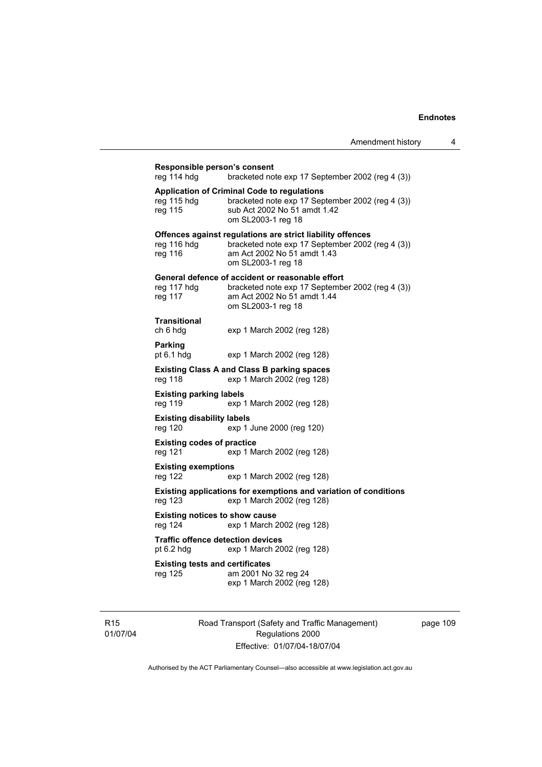|                                                                                                 |                                                                                                                                                                     | Amendment history | 4 |  |  |  |
|-------------------------------------------------------------------------------------------------|---------------------------------------------------------------------------------------------------------------------------------------------------------------------|-------------------|---|--|--|--|
| Responsible person's consent<br>reg 114 hdg<br>bracketed note exp 17 September 2002 (reg 4 (3)) |                                                                                                                                                                     |                   |   |  |  |  |
| reg 115 hdg<br>reg 115                                                                          | <b>Application of Criminal Code to regulations</b><br>bracketed note exp 17 September 2002 (reg 4 (3))<br>sub Act 2002 No 51 amdt 1.42<br>om SL2003-1 reg 18        |                   |   |  |  |  |
| reg 116 hdg<br>reg 116                                                                          | Offences against regulations are strict liability offences<br>bracketed note exp 17 September 2002 (reg 4 (3))<br>am Act 2002 No 51 amdt 1.43<br>om SL2003-1 reg 18 |                   |   |  |  |  |
| reg 117 hdg<br>reg 117                                                                          | General defence of accident or reasonable effort<br>bracketed note exp 17 September 2002 (reg 4 (3))<br>am Act 2002 No 51 amdt 1.44<br>om SL2003-1 reg 18           |                   |   |  |  |  |
| <b>Transitional</b><br>ch 6 hdg                                                                 | exp 1 March 2002 (reg 128)                                                                                                                                          |                   |   |  |  |  |
| <b>Parking</b><br>pt $6.1$ hdg                                                                  | exp 1 March 2002 (reg 128)                                                                                                                                          |                   |   |  |  |  |
| reg 118                                                                                         | <b>Existing Class A and Class B parking spaces</b><br>exp 1 March 2002 (reg 128)                                                                                    |                   |   |  |  |  |
| <b>Existing parking labels</b><br>reg 119                                                       | exp 1 March 2002 (reg 128)                                                                                                                                          |                   |   |  |  |  |
| <b>Existing disability labels</b><br>reg 120                                                    | exp 1 June 2000 (reg 120)                                                                                                                                           |                   |   |  |  |  |
| <b>Existing codes of practice</b><br>reg 121                                                    | exp 1 March 2002 (reg 128)                                                                                                                                          |                   |   |  |  |  |
| <b>Existing exemptions</b><br>reg 122                                                           | exp 1 March 2002 (reg 128)                                                                                                                                          |                   |   |  |  |  |
| reg 123                                                                                         | Existing applications for exemptions and variation of conditions<br>exp 1 March 2002 (reg 128)                                                                      |                   |   |  |  |  |
| <b>Existing notices to show cause</b><br>reg 124                                                | exp 1 March 2002 (reg 128)                                                                                                                                          |                   |   |  |  |  |
| <b>Traffic offence detection devices</b><br>pt $6.2$ hdg                                        | exp 1 March 2002 (reg 128)                                                                                                                                          |                   |   |  |  |  |
| <b>Existing tests and certificates</b><br>reg 125                                               | am 2001 No 32 reg 24<br>exp 1 March 2002 (reg 128)                                                                                                                  |                   |   |  |  |  |
|                                                                                                 |                                                                                                                                                                     |                   |   |  |  |  |

R15 01/07/04 Road Transport (Safety and Traffic Management) Regulations 2000 Effective: 01/07/04-18/07/04

page 109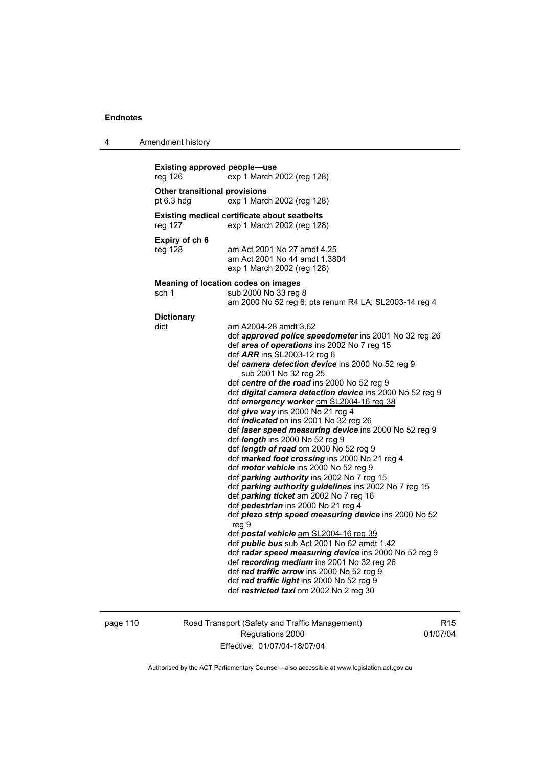4 Amendment history

| reg 126                                             | exp 1 March 2002 (reg 128)                                                                          |  |  |
|-----------------------------------------------------|-----------------------------------------------------------------------------------------------------|--|--|
| <b>Other transitional provisions</b>                |                                                                                                     |  |  |
| pt $6.3$ hdg                                        | exp 1 March 2002 (reg 128)                                                                          |  |  |
| <b>Existing medical certificate about seatbelts</b> |                                                                                                     |  |  |
| reg 127                                             | exp 1 March 2002 (reg 128)                                                                          |  |  |
| Expiry of ch 6                                      |                                                                                                     |  |  |
| reg 128                                             | am Act 2001 No 27 amdt 4.25                                                                         |  |  |
|                                                     | am Act 2001 No 44 amdt 1.3804                                                                       |  |  |
|                                                     | exp 1 March 2002 (reg 128)                                                                          |  |  |
| Meaning of location codes on images                 |                                                                                                     |  |  |
| sch 1                                               | sub 2000 No 33 reg 8                                                                                |  |  |
|                                                     | am 2000 No 52 reg 8; pts renum R4 LA; SL2003-14 reg 4                                               |  |  |
| <b>Dictionary</b>                                   |                                                                                                     |  |  |
| dict                                                | am A2004-28 amdt 3.62                                                                               |  |  |
|                                                     | def approved police speedometer ins 2001 No 32 reg 26                                               |  |  |
|                                                     | def area of operations ins 2002 No 7 reg 15                                                         |  |  |
|                                                     | def ARR ins SL2003-12 reg 6                                                                         |  |  |
|                                                     | def camera detection device ins 2000 No 52 reg 9                                                    |  |  |
|                                                     | sub 2001 No 32 reg 25                                                                               |  |  |
|                                                     | def centre of the road ins 2000 No 52 reg 9                                                         |  |  |
|                                                     | def digital camera detection device ins 2000 No 52 reg 9                                            |  |  |
|                                                     | def emergency worker om SL2004-16 reg 38<br>def give way ins 2000 No 21 reg 4                       |  |  |
|                                                     | def indicated on ins 2001 No 32 reg 26                                                              |  |  |
|                                                     | def laser speed measuring device ins 2000 No 52 reg 9                                               |  |  |
|                                                     | def length ins 2000 No 52 reg 9                                                                     |  |  |
|                                                     | def length of road om 2000 No 52 reg 9                                                              |  |  |
|                                                     | def marked foot crossing ins 2000 No 21 reg 4                                                       |  |  |
|                                                     | def motor vehicle ins 2000 No 52 reg 9                                                              |  |  |
|                                                     | def parking authority ins 2002 No 7 reg 15                                                          |  |  |
|                                                     | def parking authority guidelines ins 2002 No 7 reg 15                                               |  |  |
|                                                     | def parking ticket am 2002 No 7 reg 16                                                              |  |  |
|                                                     | def pedestrian ins 2000 No 21 reg 4                                                                 |  |  |
|                                                     | def piezo strip speed measuring device ins 2000 No 52<br>reg 9                                      |  |  |
|                                                     | def postal vehicle am SL2004-16 reg 39                                                              |  |  |
|                                                     | def <i>public bus</i> sub Act 2001 No 62 amdt 1.42                                                  |  |  |
|                                                     | def radar speed measuring device ins 2000 No 52 reg 9<br>def recording medium ins 2001 No 32 reg 26 |  |  |
|                                                     | def red traffic arrow ins 2000 No 52 reg 9                                                          |  |  |
|                                                     | def red traffic light ins 2000 No 52 reg 9                                                          |  |  |
|                                                     | def restricted taxi om 2002 No 2 reg 30                                                             |  |  |

page 110 Road Transport (Safety and Traffic Management) Regulations 2000 Effective: 01/07/04-18/07/04

R15 01/07/04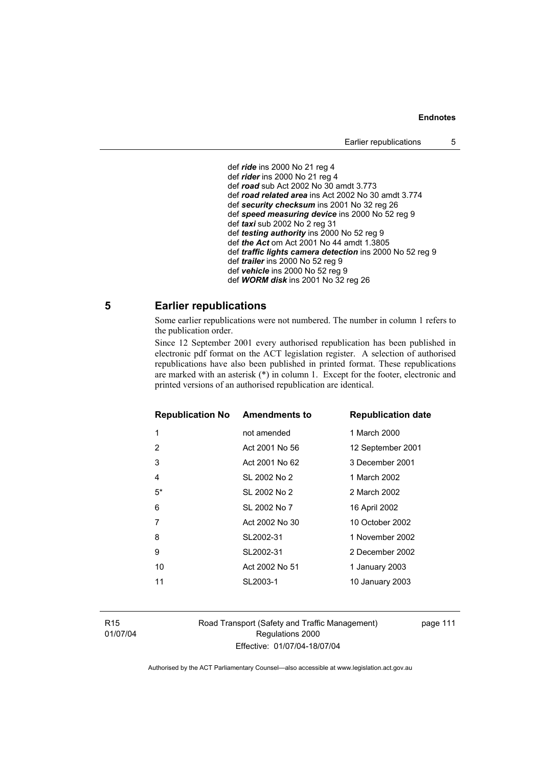def *ride* ins 2000 No 21 reg 4 def *rider* ins 2000 No 21 reg 4 def *road* sub Act 2002 No 30 amdt 3.773 def *road related area* ins Act 2002 No 30 amdt 3.774 def *security checksum* ins 2001 No 32 reg 26 def *speed measuring device* ins 2000 No 52 reg 9 def *taxi* sub 2002 No 2 reg 31 def *testing authority* ins 2000 No 52 reg 9 def *the Act* om Act 2001 No 44 amdt 1.3805 def *traffic lights camera detection* ins 2000 No 52 reg 9 def *trailer* ins 2000 No 52 reg 9 def *vehicle* ins 2000 No 52 reg 9 def *WORM disk* ins 2001 No 32 reg 26

## **5 Earlier republications**

Some earlier republications were not numbered. The number in column 1 refers to the publication order.

Since 12 September 2001 every authorised republication has been published in electronic pdf format on the ACT legislation register. A selection of authorised republications have also been published in printed format. These republications are marked with an asterisk (\*) in column 1. Except for the footer, electronic and printed versions of an authorised republication are identical.

| <b>Republication No Amendments to</b> |                | <b>Republication date</b> |
|---------------------------------------|----------------|---------------------------|
| 1                                     | not amended    | 1 March 2000              |
| 2                                     | Act 2001 No 56 | 12 September 2001         |
| 3                                     | Act 2001 No 62 | 3 December 2001           |
| 4                                     | SL 2002 No 2   | 1 March 2002              |
| $5^*$                                 | SL 2002 No 2   | 2 March 2002              |
| 6                                     | SL 2002 No 7   | 16 April 2002             |
| 7                                     | Act 2002 No 30 | 10 October 2002           |
| 8                                     | SL2002-31      | 1 November 2002           |
| 9                                     | SL2002-31      | 2 December 2002           |
| 10                                    | Act 2002 No 51 | 1 January 2003            |
| 11                                    | SL2003-1       | 10 January 2003           |
|                                       |                |                           |

R15 01/07/04 Road Transport (Safety and Traffic Management) Regulations 2000 Effective: 01/07/04-18/07/04

page 111